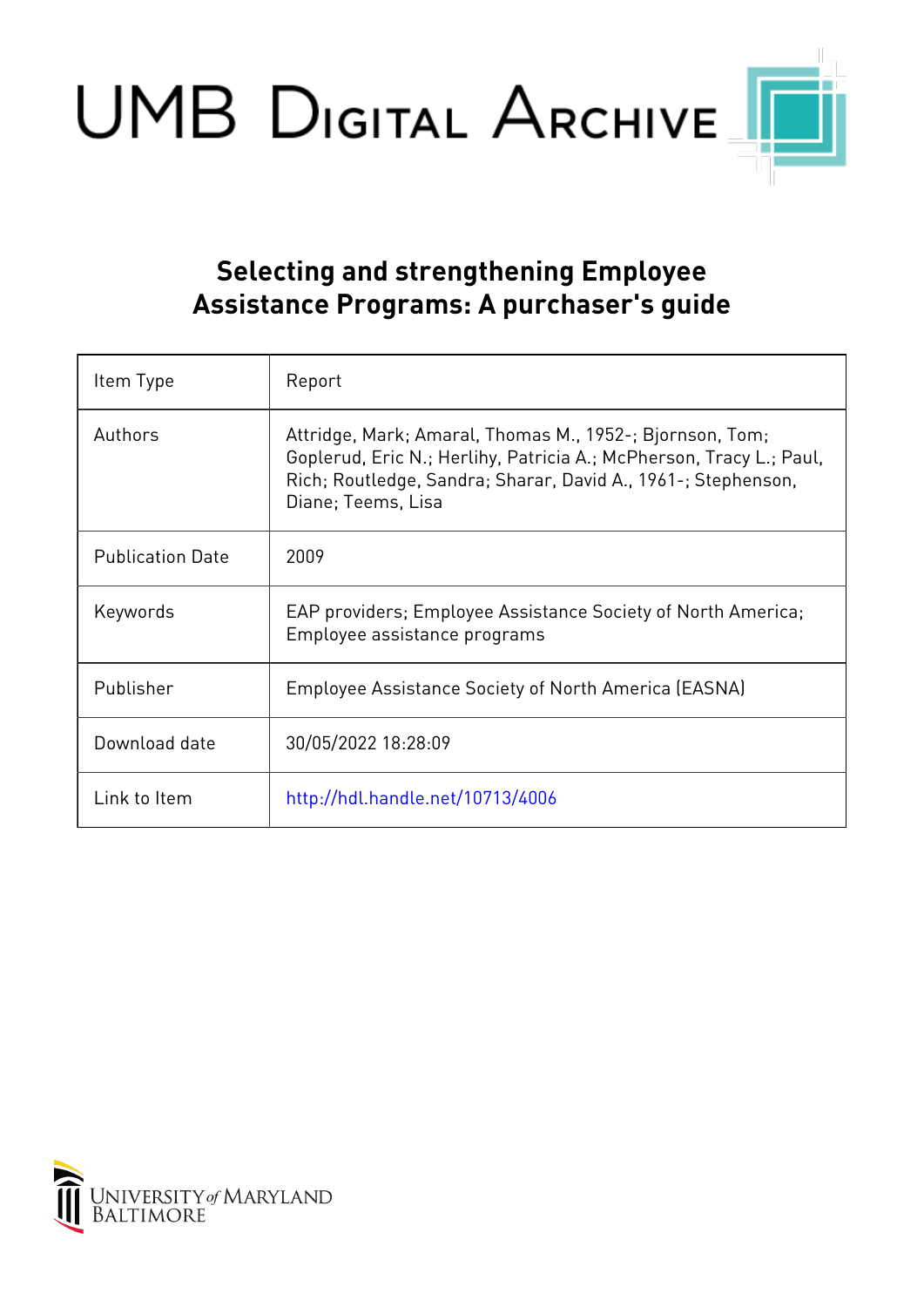UMB DIGITAL ARCHIVE

## **Selecting and strengthening Employee Assistance Programs: A purchaser's guide**

| Item Type               | Report                                                                                                                                                                                                                 |
|-------------------------|------------------------------------------------------------------------------------------------------------------------------------------------------------------------------------------------------------------------|
| Authors                 | Attridge, Mark; Amaral, Thomas M., 1952-; Bjornson, Tom;<br>Goplerud, Eric N.; Herlihy, Patricia A.; McPherson, Tracy L.; Paul,<br>Rich; Routledge, Sandra; Sharar, David A., 1961-; Stephenson,<br>Diane; Teems, Lisa |
| <b>Publication Date</b> | 2009                                                                                                                                                                                                                   |
| Keywords                | EAP providers; Employee Assistance Society of North America;<br>Employee assistance programs                                                                                                                           |
| Publisher               | <b>Employee Assistance Society of North America (EASNA)</b>                                                                                                                                                            |
| Download date           | 30/05/2022 18:28:09                                                                                                                                                                                                    |
| Link to Item            | http://hdl.handle.net/10713/4006                                                                                                                                                                                       |

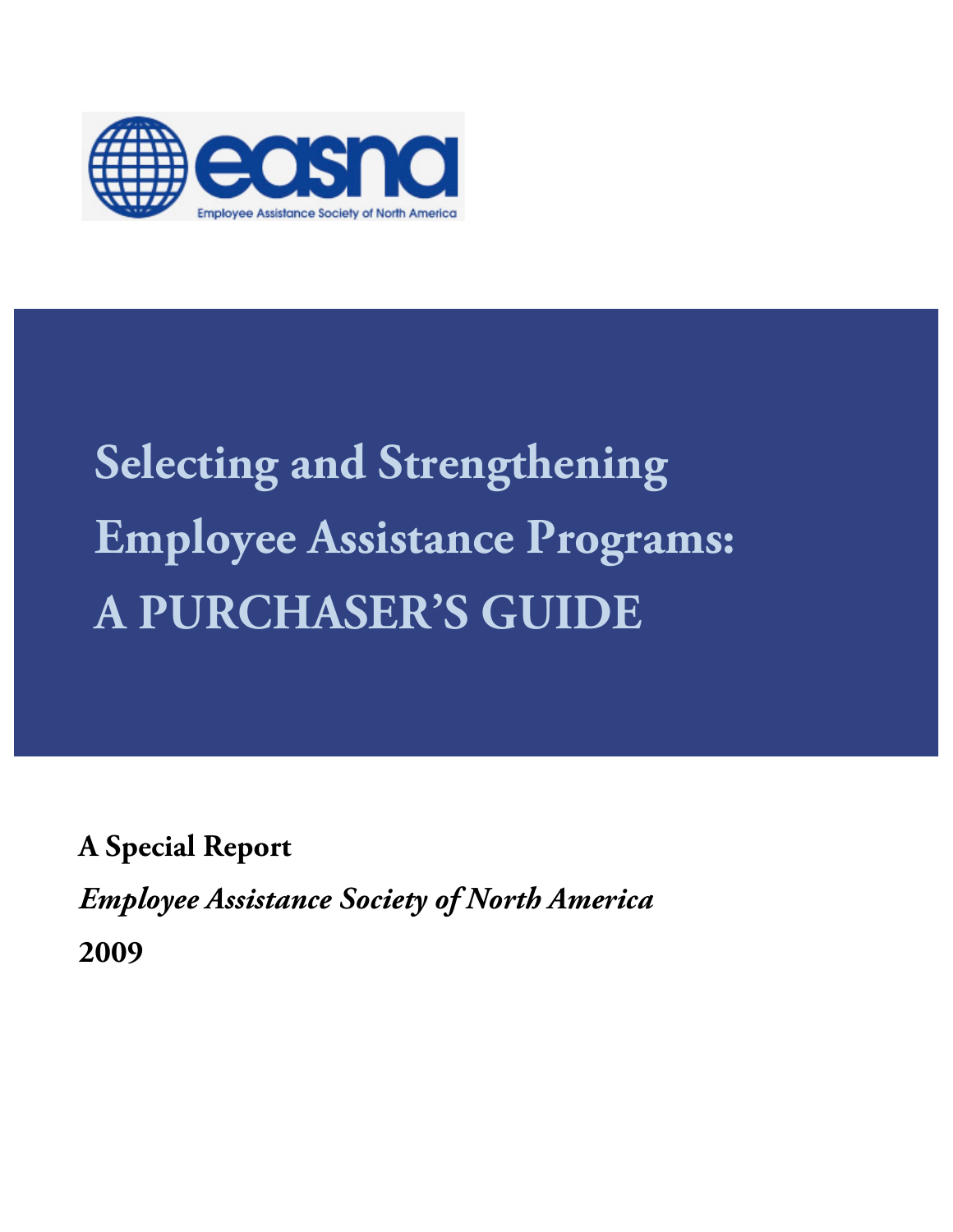

# **Selecting and Strengthening Employee Assistance Programs: A PURCHASER'S GUIDE**

**A Special Report** 

*Employee Assistance Society of North America*

**2009**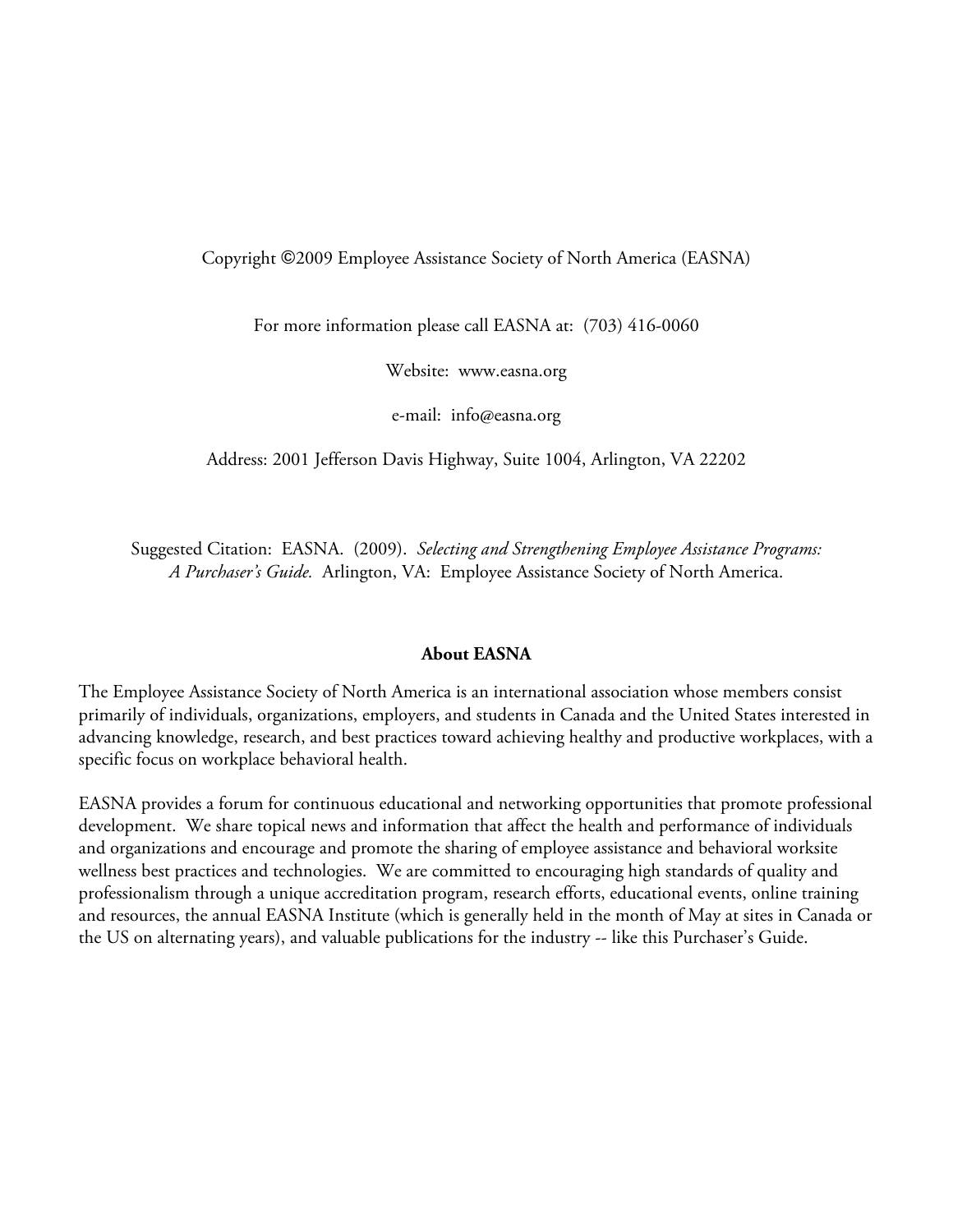#### Copyright ©2009 Employee Assistance Society of North America (EASNA)

For more information please call EASNA at: (703) 416-0060

Website: www.easna.org

e-mail: info@easna.org

Address: 2001 Jefferson Davis Highway, Suite 1004, Arlington, VA 22202

Suggested Citation: EASNA. (2009). *Selecting and Strengthening Employee Assistance Programs: A Purchaser's Guide.* Arlington, VA: Employee Assistance Society of North America.

#### **About EASNA**

The Employee Assistance Society of North America is an international association whose members consist primarily of individuals, organizations, employers, and students in Canada and the United States interested in advancing knowledge, research, and best practices toward achieving healthy and productive workplaces, with a specific focus on workplace behavioral health.

EASNA provides a forum for continuous educational and networking opportunities that promote professional development. We share topical news and information that affect the health and performance of individuals and organizations and encourage and promote the sharing of employee assistance and behavioral worksite wellness best practices and technologies. We are committed to encouraging high standards of quality and professionalism through a unique accreditation program, research efforts, educational events, online training and resources, the annual EASNA Institute (which is generally held in the month of May at sites in Canada or the US on alternating years), and valuable publications for the industry -- like this Purchaser's Guide.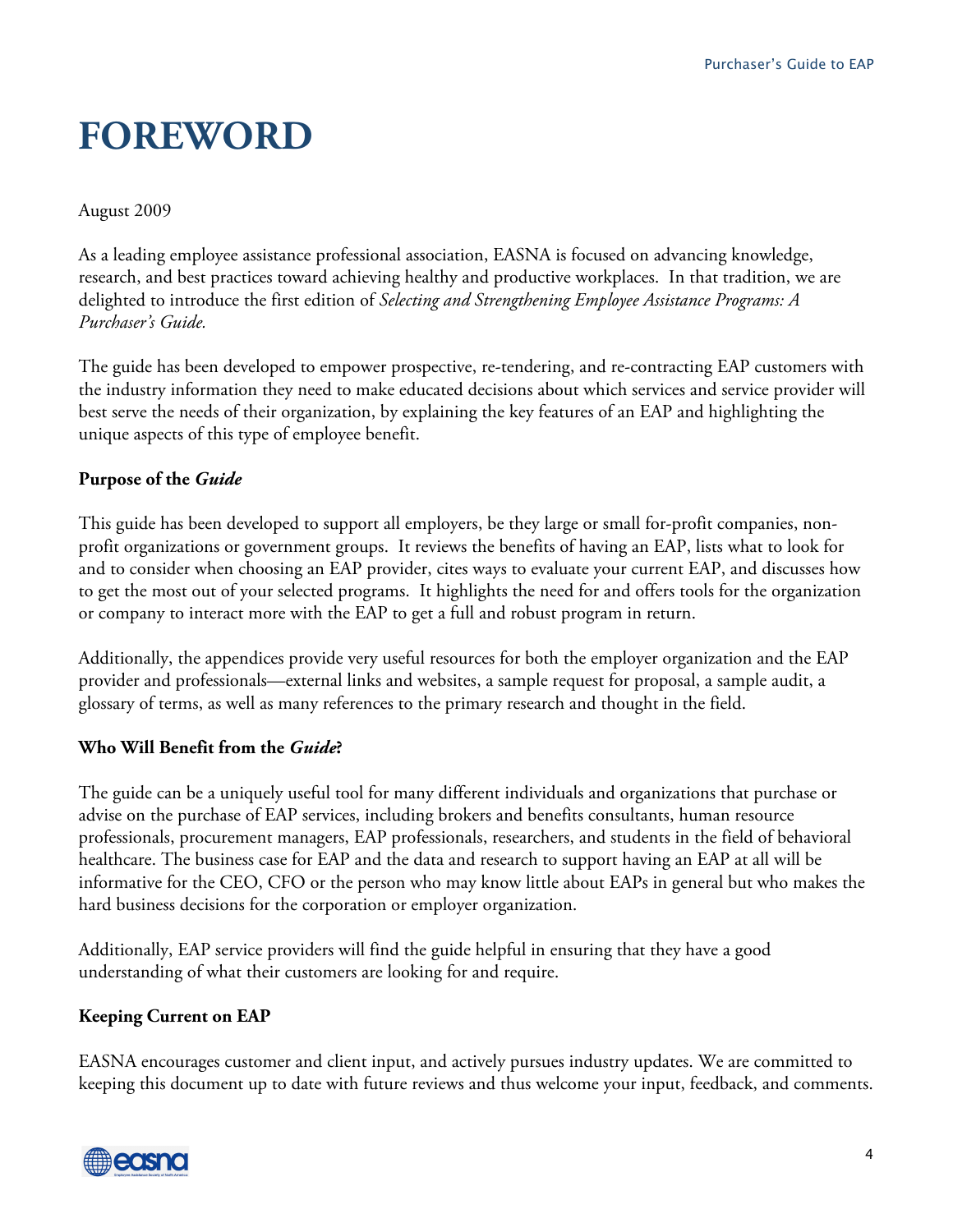## **FOREWORD**

#### August 2009

As a leading employee assistance professional association, EASNA is focused on advancing knowledge, research, and best practices toward achieving healthy and productive workplaces. In that tradition, we are delighted to introduce the first edition of *Selecting and Strengthening Employee Assistance Programs: A Purchaser's Guide.*

The guide has been developed to empower prospective, re-tendering, and re-contracting EAP customers with the industry information they need to make educated decisions about which services and service provider will best serve the needs of their organization, by explaining the key features of an EAP and highlighting the unique aspects of this type of employee benefit.

### **Purpose of the** *Guide*

This guide has been developed to support all employers, be they large or small for-profit companies, nonprofit organizations or government groups. It reviews the benefits of having an EAP, lists what to look for and to consider when choosing an EAP provider, cites ways to evaluate your current EAP, and discusses how to get the most out of your selected programs. It highlights the need for and offers tools for the organization or company to interact more with the EAP to get a full and robust program in return.

Additionally, the appendices provide very useful resources for both the employer organization and the EAP provider and professionals—external links and websites, a sample request for proposal, a sample audit, a glossary of terms, as well as many references to the primary research and thought in the field.

### **Who Will Benefit from the** *Guide***?**

The guide can be a uniquely useful tool for many different individuals and organizations that purchase or advise on the purchase of EAP services, including brokers and benefits consultants, human resource professionals, procurement managers, EAP professionals, researchers, and students in the field of behavioral healthcare. The business case for EAP and the data and research to support having an EAP at all will be informative for the CEO, CFO or the person who may know little about EAPs in general but who makes the hard business decisions for the corporation or employer organization.

Additionally, EAP service providers will find the guide helpful in ensuring that they have a good understanding of what their customers are looking for and require.

### **Keeping Current on EAP**

EASNA encourages customer and client input, and actively pursues industry updates. We are committed to keeping this document up to date with future reviews and thus welcome your input, feedback, and comments.

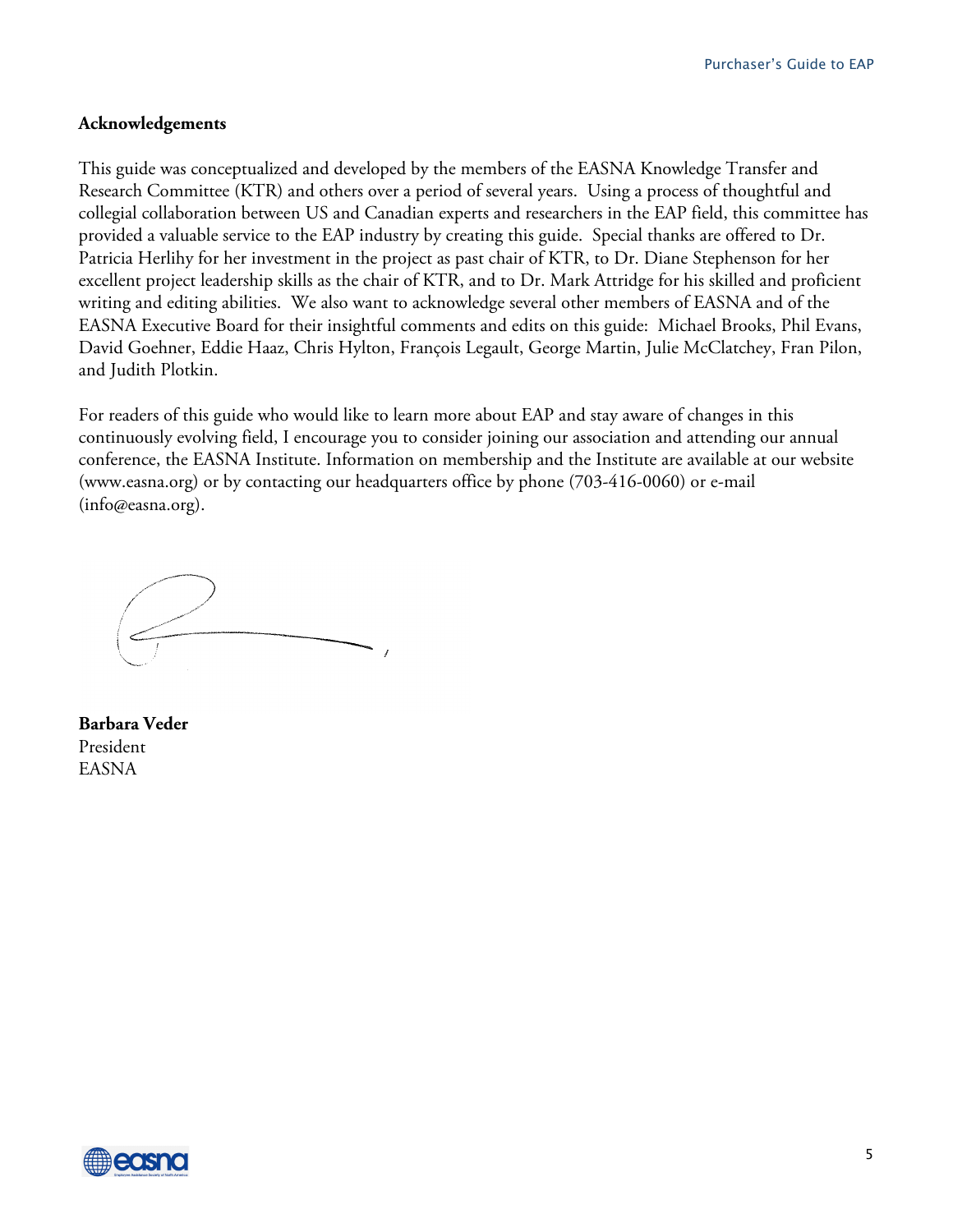#### **Acknowledgements**

This guide was conceptualized and developed by the members of the EASNA Knowledge Transfer and Research Committee (KTR) and others over a period of several years. Using a process of thoughtful and collegial collaboration between US and Canadian experts and researchers in the EAP field, this committee has provided a valuable service to the EAP industry by creating this guide. Special thanks are offered to Dr. Patricia Herlihy for her investment in the project as past chair of KTR, to Dr. Diane Stephenson for her excellent project leadership skills as the chair of KTR, and to Dr. Mark Attridge for his skilled and proficient writing and editing abilities. We also want to acknowledge several other members of EASNA and of the EASNA Executive Board for their insightful comments and edits on this guide: Michael Brooks, Phil Evans, David Goehner, Eddie Haaz, Chris Hylton, François Legault, George Martin, Julie McClatchey, Fran Pilon, and Judith Plotkin.

For readers of this guide who would like to learn more about EAP and stay aware of changes in this continuously evolving field, I encourage you to consider joining our association and attending our annual conference, the EASNA Institute. Information on membership and the Institute are available at our website (www.easna.org) or by contacting our headquarters office by phone (703-416-0060) or e-mail (info@easna.org).

**Barbara Veder** President EASNA

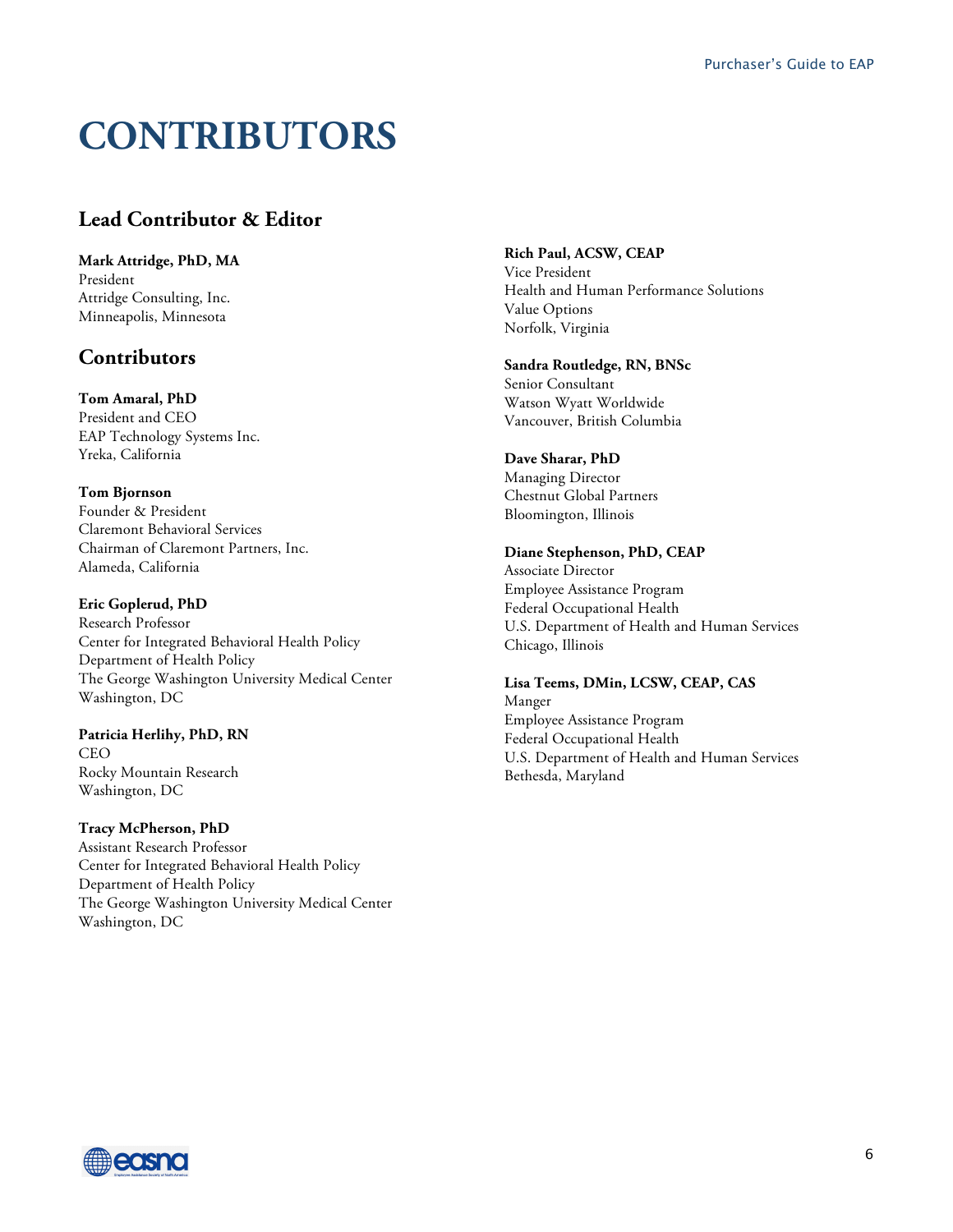## **CONTRIBUTORS**

## **Lead Contributor & Editor**

**Mark Attridge, PhD, MA** President Attridge Consulting, Inc. Minneapolis, Minnesota

## **Contributors**

**Tom Amaral, PhD** President and CEO EAP Technology Systems Inc. Yreka, California

**Tom Bjornson** Founder & President Claremont Behavioral Services Chairman of Claremont Partners, Inc. Alameda, California

#### **Eric Goplerud, PhD**

Research Professor Center for Integrated Behavioral Health Policy Department of Health Policy The George Washington University Medical Center Washington, DC

**Patricia Herlihy, PhD, RN CEO** Rocky Mountain Research Washington, DC

**Tracy McPherson, PhD** Assistant Research Professor Center for Integrated Behavioral Health Policy Department of Health Policy The George Washington University Medical Center Washington, DC

**Rich Paul, ACSW, CEAP**

Vice President Health and Human Performance Solutions Value Options Norfolk, Virginia

**Sandra Routledge, RN, BNSc**

Senior Consultant Watson Wyatt Worldwide Vancouver, British Columbia

#### **Dave Sharar, PhD**

Managing Director Chestnut Global Partners Bloomington, Illinois

#### **Diane Stephenson, PhD, CEAP**

Associate Director Employee Assistance Program Federal Occupational Health U.S. Department of Health and Human Services Chicago, Illinois

**Lisa Teems, DMin, LCSW, CEAP, CAS** Manger Employee Assistance Program Federal Occupational Health U.S. Department of Health and Human Services Bethesda, Maryland

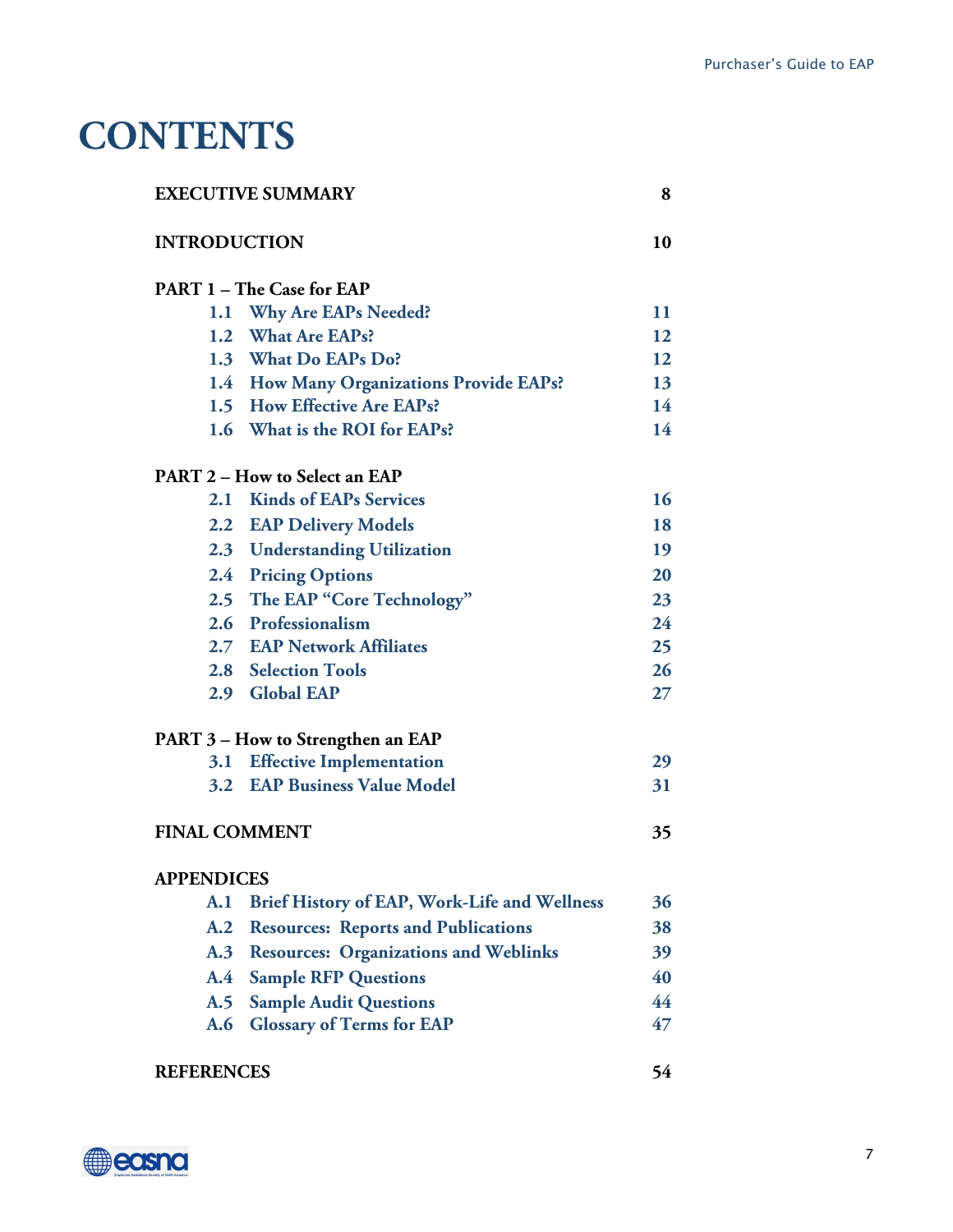## **CONTENTS**

| <b>EXECUTIVE SUMMARY</b> |                                              | 8  |
|--------------------------|----------------------------------------------|----|
| <b>INTRODUCTION</b>      |                                              | 10 |
|                          | <b>PART 1-The Case for EAP</b>               |    |
| 1.1                      | <b>Why Are EAPs Needed?</b>                  | 11 |
|                          | 1.2 What Are EAPs?                           | 12 |
|                          | 1.3 What Do EAPs Do?                         | 12 |
|                          | 1.4 How Many Organizations Provide EAPs?     | 13 |
|                          | 1.5 How Effective Are EAPs?                  | 14 |
|                          | 1.6 What is the ROI for EAPs?                | 14 |
|                          | <b>PART 2 – How to Select an EAP</b>         |    |
| 2.1                      | <b>Kinds of EAPs Services</b>                | 16 |
|                          | 2.2 EAP Delivery Models                      | 18 |
|                          | 2.3 Understanding Utilization                | 19 |
|                          | 2.4 Pricing Options                          | 20 |
|                          | 2.5 The EAP "Core Technology"                | 23 |
|                          | 2.6 Professionalism                          | 24 |
|                          | 2.7 EAP Network Affiliates                   | 25 |
|                          | 2.8 Selection Tools                          | 26 |
|                          | 2.9 Global EAP                               | 27 |
|                          | PART 3 - How to Strengthen an EAP            |    |
| 3.1                      | <b>Effective Implementation</b>              | 29 |
|                          | 3.2 EAP Business Value Model                 | 31 |
| <b>FINAL COMMENT</b>     |                                              | 35 |
| <b>APPENDICES</b>        |                                              |    |
| A.1                      | Brief History of EAP, Work-Life and Wellness | 36 |
| A.2                      | <b>Resources: Reports and Publications</b>   | 38 |
| A.3                      | <b>Resources: Organizations and Weblinks</b> | 39 |
| $\mathbf{A.4}$           | <b>Sample RFP Questions</b>                  | 40 |
| A.5                      | <b>Sample Audit Questions</b>                | 44 |
| A.6                      | <b>Glossary of Terms for EAP</b>             | 47 |
| <b>REFERENCES</b>        |                                              | 54 |

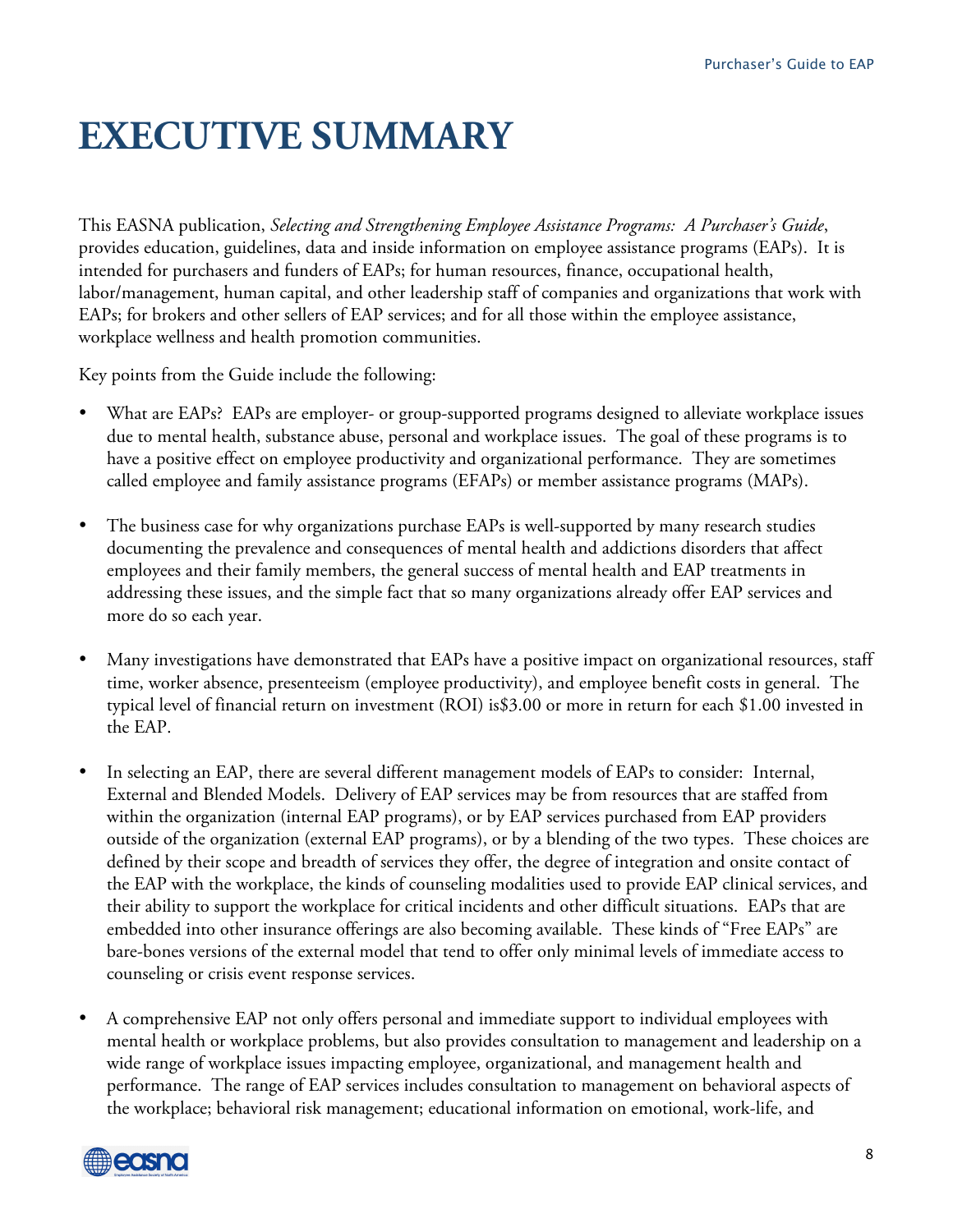## **EXECUTIVE SUMMARY**

This EASNA publication, *Selecting and Strengthening Employee Assistance Programs: A Purchaser's Guide*, provides education, guidelines, data and inside information on employee assistance programs (EAPs). It is intended for purchasers and funders of EAPs; for human resources, finance, occupational health, labor/management, human capital, and other leadership staff of companies and organizations that work with EAPs; for brokers and other sellers of EAP services; and for all those within the employee assistance, workplace wellness and health promotion communities.

Key points from the Guide include the following:

- What are EAPs? EAPs are employer- or group-supported programs designed to alleviate workplace issues due to mental health, substance abuse, personal and workplace issues. The goal of these programs is to have a positive effect on employee productivity and organizational performance. They are sometimes called employee and family assistance programs (EFAPs) or member assistance programs (MAPs).
- The business case for why organizations purchase EAPs is well-supported by many research studies documenting the prevalence and consequences of mental health and addictions disorders that affect employees and their family members, the general success of mental health and EAP treatments in addressing these issues, and the simple fact that so many organizations already offer EAP services and more do so each year.
- Many investigations have demonstrated that EAPs have a positive impact on organizational resources, staff time, worker absence, presenteeism (employee productivity), and employee benefit costs in general. The typical level of financial return on investment (ROI) is\$3.00 or more in return for each \$1.00 invested in the EAP.
- In selecting an EAP, there are several different management models of EAPs to consider: Internal, External and Blended Models. Delivery of EAP services may be from resources that are staffed from within the organization (internal EAP programs), or by EAP services purchased from EAP providers outside of the organization (external EAP programs), or by a blending of the two types. These choices are defined by their scope and breadth of services they offer, the degree of integration and onsite contact of the EAP with the workplace, the kinds of counseling modalities used to provide EAP clinical services, and their ability to support the workplace for critical incidents and other difficult situations. EAPs that are embedded into other insurance offerings are also becoming available. These kinds of "Free EAPs" are bare-bones versions of the external model that tend to offer only minimal levels of immediate access to counseling or crisis event response services.
- A comprehensive EAP not only offers personal and immediate support to individual employees with mental health or workplace problems, but also provides consultation to management and leadership on a wide range of workplace issues impacting employee, organizational, and management health and performance. The range of EAP services includes consultation to management on behavioral aspects of the workplace; behavioral risk management; educational information on emotional, work-life, and

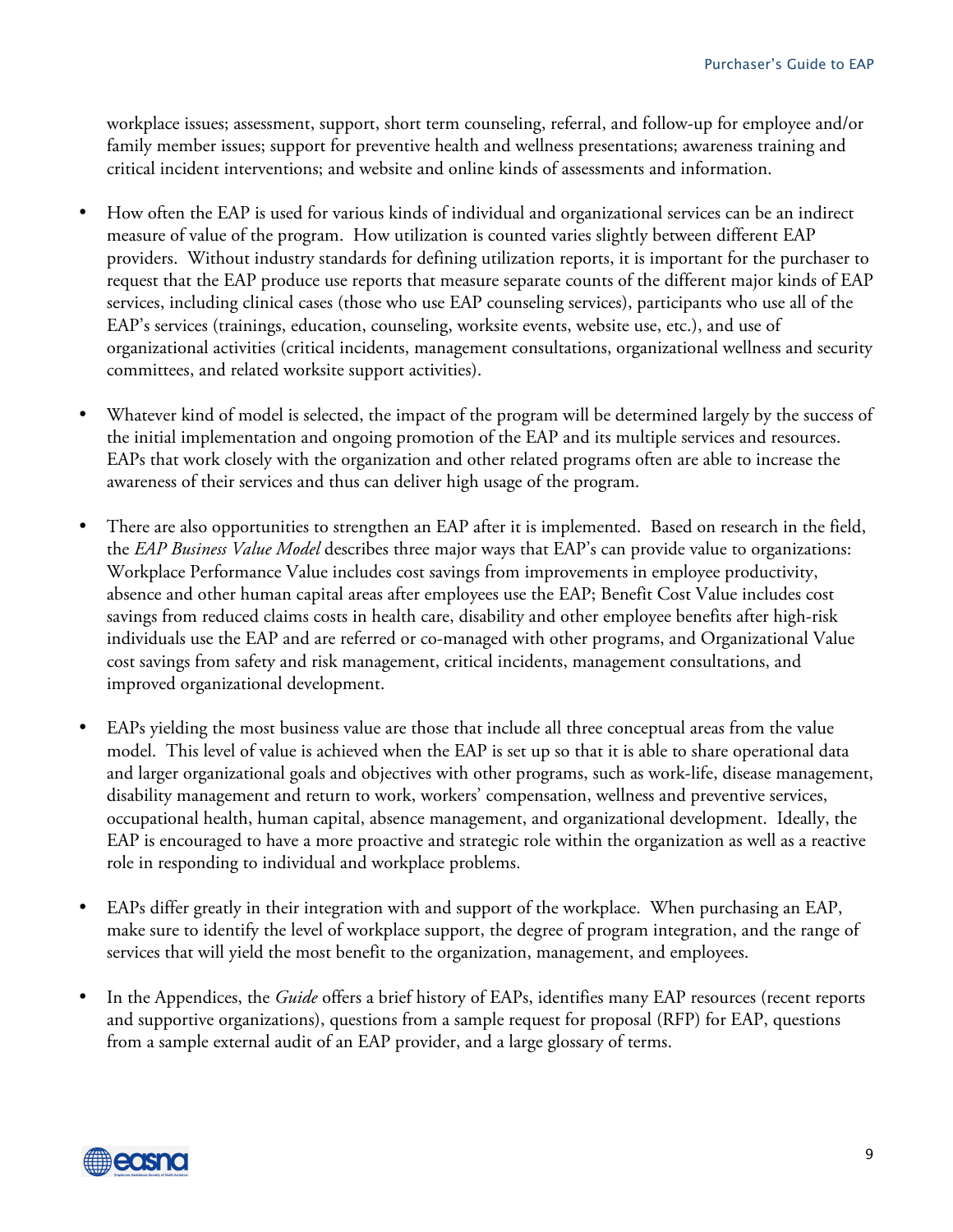workplace issues; assessment, support, short term counseling, referral, and follow-up for employee and/or family member issues; support for preventive health and wellness presentations; awareness training and critical incident interventions; and website and online kinds of assessments and information.

- How often the EAP is used for various kinds of individual and organizational services can be an indirect measure of value of the program. How utilization is counted varies slightly between different EAP providers. Without industry standards for defining utilization reports, it is important for the purchaser to request that the EAP produce use reports that measure separate counts of the different major kinds of EAP services, including clinical cases (those who use EAP counseling services), participants who use all of the EAP's services (trainings, education, counseling, worksite events, website use, etc.), and use of organizational activities (critical incidents, management consultations, organizational wellness and security committees, and related worksite support activities).
- Whatever kind of model is selected, the impact of the program will be determined largely by the success of the initial implementation and ongoing promotion of the EAP and its multiple services and resources. EAPs that work closely with the organization and other related programs often are able to increase the awareness of their services and thus can deliver high usage of the program.
- There are also opportunities to strengthen an EAP after it is implemented. Based on research in the field, the *EAP Business Value Model* describes three major ways that EAP's can provide value to organizations: Workplace Performance Value includes cost savings from improvements in employee productivity, absence and other human capital areas after employees use the EAP; Benefit Cost Value includes cost savings from reduced claims costs in health care, disability and other employee benefits after high-risk individuals use the EAP and are referred or co-managed with other programs, and Organizational Value cost savings from safety and risk management, critical incidents, management consultations, and improved organizational development.
- EAPs yielding the most business value are those that include all three conceptual areas from the value model. This level of value is achieved when the EAP is set up so that it is able to share operational data and larger organizational goals and objectives with other programs, such as work-life, disease management, disability management and return to work, workers' compensation, wellness and preventive services, occupational health, human capital, absence management, and organizational development. Ideally, the EAP is encouraged to have a more proactive and strategic role within the organization as well as a reactive role in responding to individual and workplace problems.
- EAPs differ greatly in their integration with and support of the workplace. When purchasing an EAP, make sure to identify the level of workplace support, the degree of program integration, and the range of services that will yield the most benefit to the organization, management, and employees.
- In the Appendices, the *Guide* offers a brief history of EAPs, identifies many EAP resources (recent reports and supportive organizations), questions from a sample request for proposal (RFP) for EAP, questions from a sample external audit of an EAP provider, and a large glossary of terms.

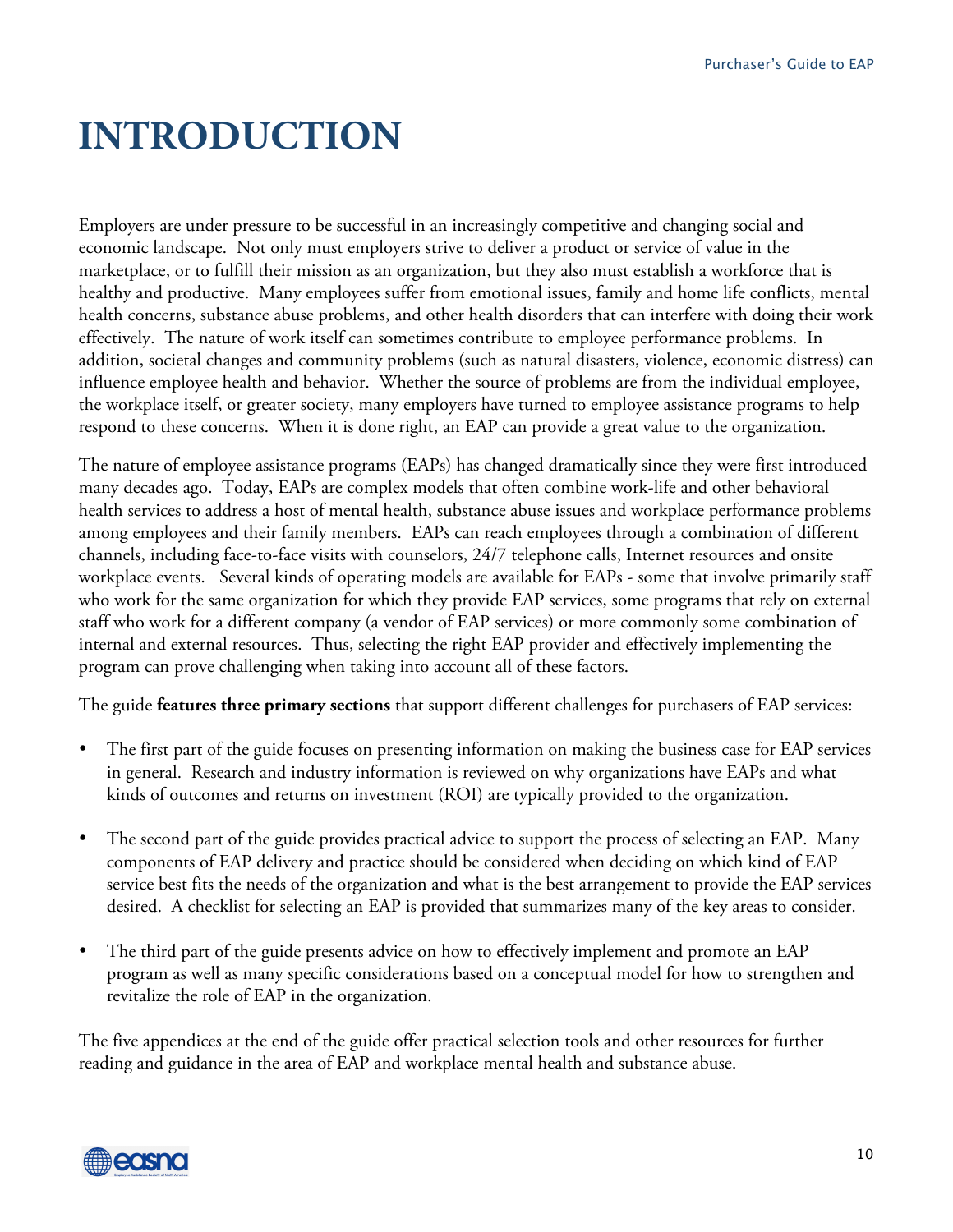## **INTRODUCTION**

Employers are under pressure to be successful in an increasingly competitive and changing social and economic landscape. Not only must employers strive to deliver a product or service of value in the marketplace, or to fulfill their mission as an organization, but they also must establish a workforce that is healthy and productive. Many employees suffer from emotional issues, family and home life conflicts, mental health concerns, substance abuse problems, and other health disorders that can interfere with doing their work effectively. The nature of work itself can sometimes contribute to employee performance problems. In addition, societal changes and community problems (such as natural disasters, violence, economic distress) can influence employee health and behavior. Whether the source of problems are from the individual employee, the workplace itself, or greater society, many employers have turned to employee assistance programs to help respond to these concerns. When it is done right, an EAP can provide a great value to the organization.

The nature of employee assistance programs (EAPs) has changed dramatically since they were first introduced many decades ago. Today, EAPs are complex models that often combine work-life and other behavioral health services to address a host of mental health, substance abuse issues and workplace performance problems among employees and their family members. EAPs can reach employees through a combination of different channels, including face-to-face visits with counselors, 24/7 telephone calls, Internet resources and onsite workplace events. Several kinds of operating models are available for EAPs - some that involve primarily staff who work for the same organization for which they provide EAP services, some programs that rely on external staff who work for a different company (a vendor of EAP services) or more commonly some combination of internal and external resources. Thus, selecting the right EAP provider and effectively implementing the program can prove challenging when taking into account all of these factors.

The guide **features three primary sections** that support different challenges for purchasers of EAP services:

- The first part of the guide focuses on presenting information on making the business case for EAP services in general. Research and industry information is reviewed on why organizations have EAPs and what kinds of outcomes and returns on investment (ROI) are typically provided to the organization.
- The second part of the guide provides practical advice to support the process of selecting an EAP. Many components of EAP delivery and practice should be considered when deciding on which kind of EAP service best fits the needs of the organization and what is the best arrangement to provide the EAP services desired. A checklist for selecting an EAP is provided that summarizes many of the key areas to consider.
- The third part of the guide presents advice on how to effectively implement and promote an EAP program as well as many specific considerations based on a conceptual model for how to strengthen and revitalize the role of EAP in the organization.

The five appendices at the end of the guide offer practical selection tools and other resources for further reading and guidance in the area of EAP and workplace mental health and substance abuse.

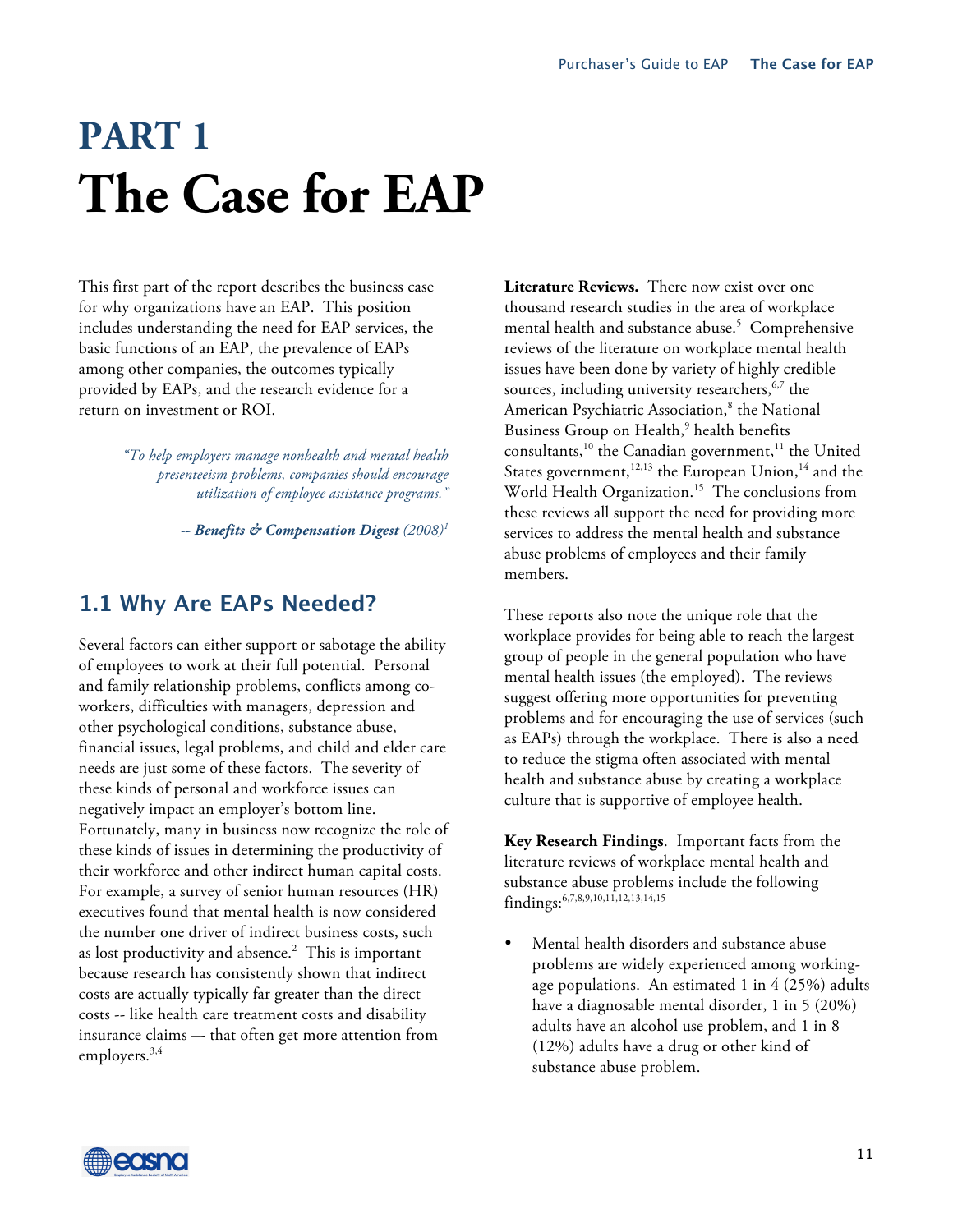# **PART 1 The Case for EAP**

This first part of the report describes the business case for why organizations have an EAP. This position includes understanding the need for EAP services, the basic functions of an EAP, the prevalence of EAPs among other companies, the outcomes typically provided by EAPs, and the research evidence for a return on investment or ROI.

> *"To help employers manage nonhealth and mental health presenteeism problems, companies should encourage utilization of employee assistance programs."*

> > *-- Benefits & Compensation Digest (2008)1*

## **1.1 Why Are EAPs Needed?**

Several factors can either support or sabotage the ability of employees to work at their full potential. Personal and family relationship problems, conflicts among coworkers, difficulties with managers, depression and other psychological conditions, substance abuse, financial issues, legal problems, and child and elder care needs are just some of these factors. The severity of these kinds of personal and workforce issues can negatively impact an employer's bottom line. Fortunately, many in business now recognize the role of these kinds of issues in determining the productivity of their workforce and other indirect human capital costs. For example, a survey of senior human resources (HR) executives found that mental health is now considered the number one driver of indirect business costs, such as lost productivity and absence. 2 This is important because research has consistently shown that indirect costs are actually typically far greater than the direct costs -- like health care treatment costs and disability insurance claims –- that often get more attention from employers. 3,4

**Literature Reviews.** There now exist over one thousand research studies in the area of workplace mental health and substance abuse. 5 Comprehensive reviews of the literature on workplace mental health issues have been done by variety of highly credible sources, including university researchers, 6,7 the American Psychiatric Association, 8 the National Business Group on Health, <sup>9</sup> health benefits consultants,<sup>10</sup> the Canadian government,<sup>11</sup> the United States government,<sup>12,13</sup> the European Union,<sup>14</sup> and the World Health Organization.15 The conclusions from these reviews all support the need for providing more services to address the mental health and substance abuse problems of employees and their family members.

These reports also note the unique role that the workplace provides for being able to reach the largest group of people in the general population who have mental health issues (the employed). The reviews suggest offering more opportunities for preventing problems and for encouraging the use of services (such as EAPs) through the workplace. There is also a need to reduce the stigma often associated with mental health and substance abuse by creating a workplace culture that is supportive of employee health.

**Key Research Findings**. Important facts from the literature reviews of workplace mental health and substance abuse problems include the following findings: 6,7,8,9,10,11,12,13,14,15

• Mental health disorders and substance abuse problems are widely experienced among workingage populations. An estimated 1 in 4 (25%) adults have a diagnosable mental disorder, 1 in 5 (20%) adults have an alcohol use problem, and 1 in 8 (12%) adults have a drug or other kind of substance abuse problem.

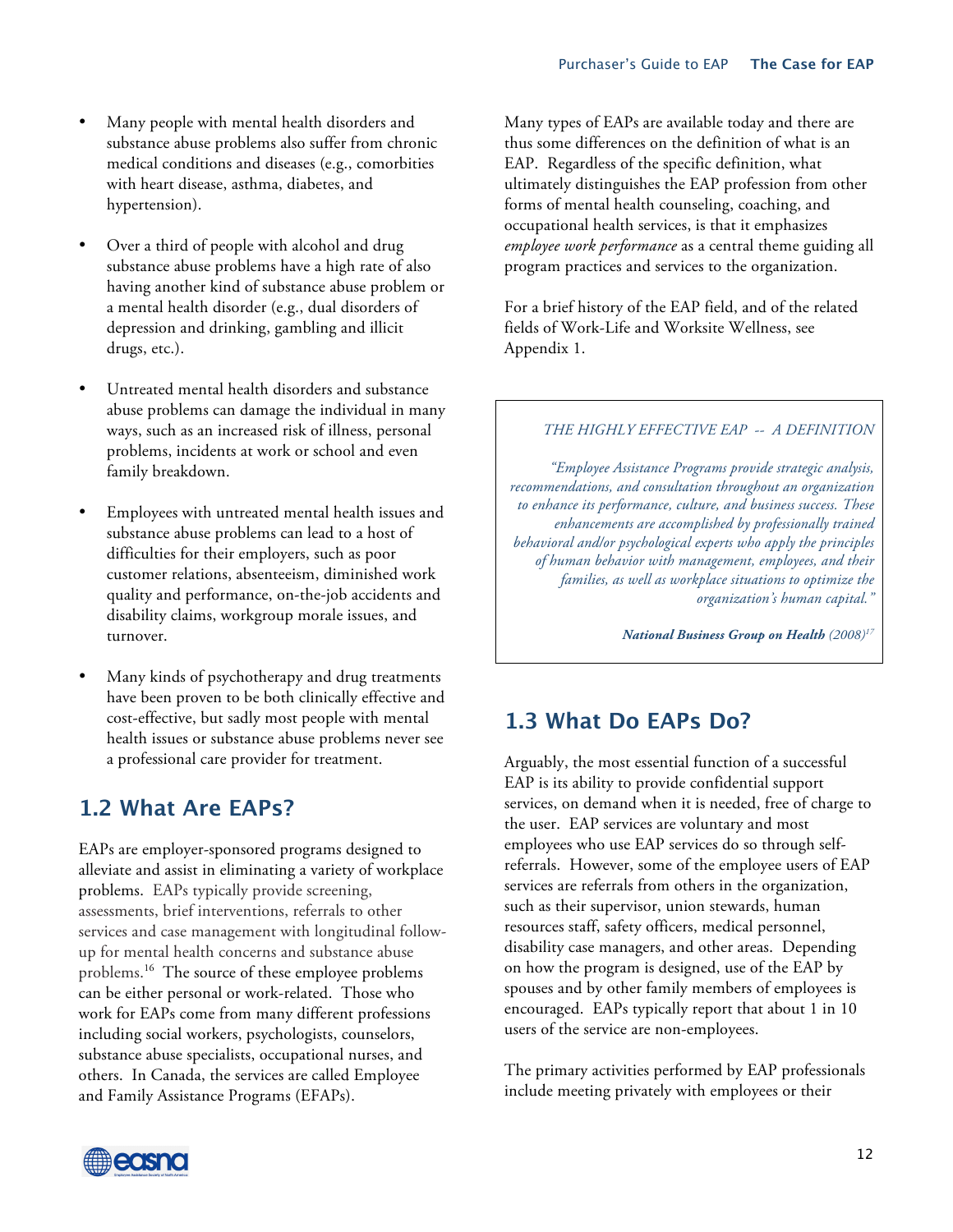- Many people with mental health disorders and substance abuse problems also suffer from chronic medical conditions and diseases (e.g., comorbities with heart disease, asthma, diabetes, and hypertension).
- Over a third of people with alcohol and drug substance abuse problems have a high rate of also having another kind of substance abuse problem or a mental health disorder (e.g., dual disorders of depression and drinking, gambling and illicit drugs, etc.).
- Untreated mental health disorders and substance abuse problems can damage the individual in many ways, such as an increased risk of illness, personal problems, incidents at work or school and even family breakdown.
- Employees with untreated mental health issues and substance abuse problems can lead to a host of difficulties for their employers, such as poor customer relations, absenteeism, diminished work quality and performance, on-the-job accidents and disability claims, workgroup morale issues, and turnover.
- Many kinds of psychotherapy and drug treatments have been proven to be both clinically effective and cost-effective, but sadly most people with mental health issues or substance abuse problems never see a professional care provider for treatment.

## **1.2 What Are EAPs?**

EAPs are employer-sponsored programs designed to alleviate and assist in eliminating a variety of workplace problems. EAPs typically provide screening, assessments, brief interventions, referrals to other services and case management with longitudinal followup for mental health concerns and substance abuse problems. <sup>16</sup> The source of these employee problems can be either personal or work-related. Those who work for EAPs come from many different professions including social workers, psychologists, counselors, substance abuse specialists, occupational nurses, and others. In Canada, the services are called Employee and Family Assistance Programs (EFAPs).

Many types of EAPs are available today and there are thus some differences on the definition of what is an EAP. Regardless of the specific definition, what ultimately distinguishes the EAP profession from other forms of mental health counseling, coaching, and occupational health services, is that it emphasizes *employee work performance* as a central theme guiding all program practices and services to the organization.

For a brief history of the EAP field, and of the related fields of Work-Life and Worksite Wellness, see Appendix 1.

#### *THE HIGHLY EFFECTIVE EAP -- A DEFINITION*

*"Employee Assistance Programs provide strategic analysis, recommendations, and consultation throughout an organization to enhance its performance, culture, and business success. These enhancements are accomplished by professionally trained behavioral and/or psychological experts who apply the principles of human behavior with management, employees, and their families, as well as workplace situations to optimize the organization's human capital."*

*National Business Group on Health (2008)17*

## **1.3 What Do EAPs Do?**

Arguably, the most essential function of a successful EAP is its ability to provide confidential support services, on demand when it is needed, free of charge to the user. EAP services are voluntary and most employees who use EAP services do so through selfreferrals. However, some of the employee users of EAP services are referrals from others in the organization, such as their supervisor, union stewards, human resources staff, safety officers, medical personnel, disability case managers, and other areas. Depending on how the program is designed, use of the EAP by spouses and by other family members of employees is encouraged. EAPs typically report that about 1 in 10 users of the service are non-employees.

The primary activities performed by EAP professionals include meeting privately with employees or their

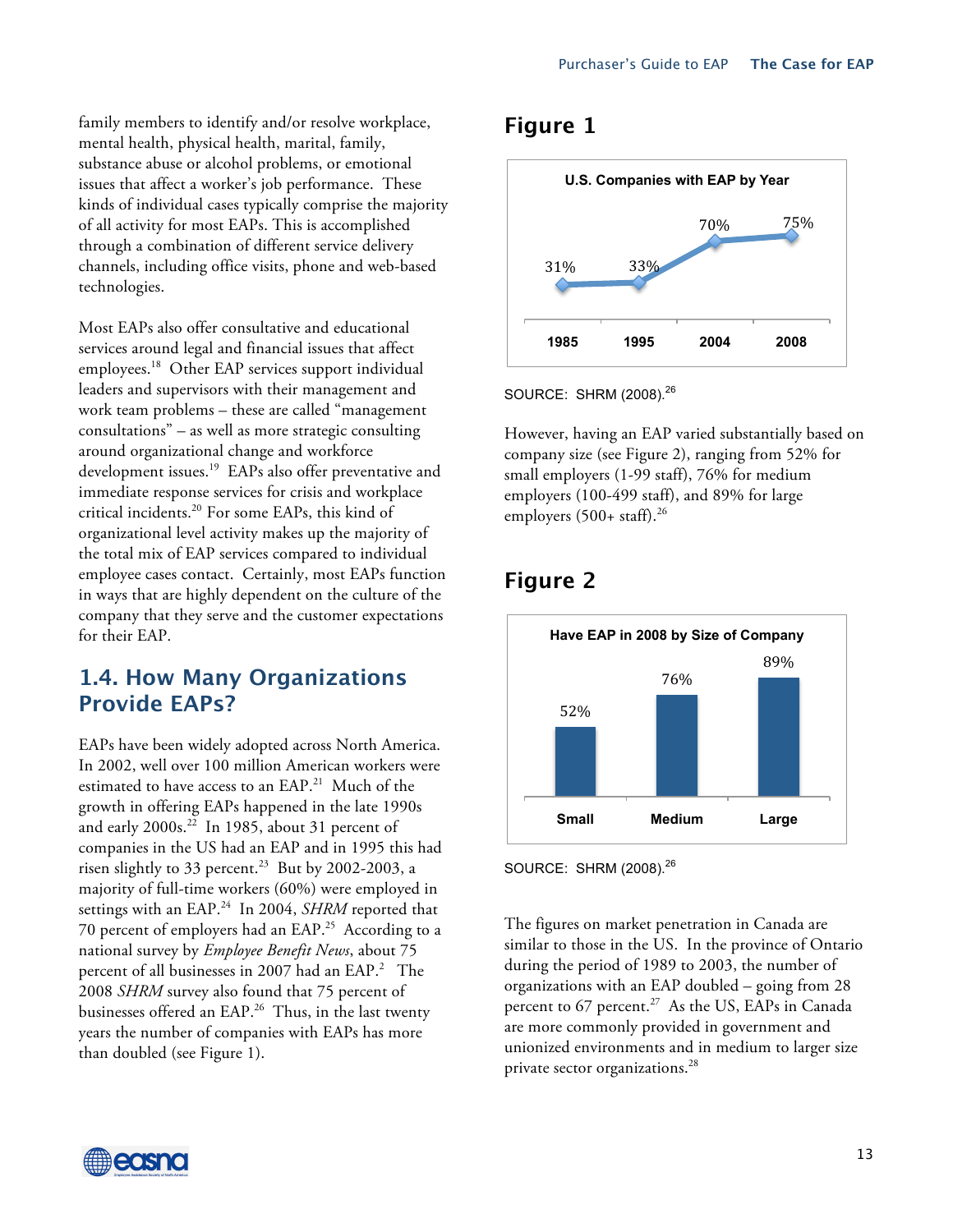family members to identify and/or resolve workplace, mental health, physical health, marital, family, substance abuse or alcohol problems, or emotional issues that affect a worker's job performance. These kinds of individual cases typically comprise the majority of all activity for most EAPs. This is accomplished through a combination of different service delivery channels, including office visits, phone and web-based technologies.

Most EAPs also offer consultative and educational services around legal and financial issues that affect employees. 18 Other EAP services support individual leaders and supervisors with their management and work team problems – these are called "management consultations" – as well as more strategic consulting around organizational change and workforce development issues.<sup>19</sup> EAPs also offer preventative and immediate response services for crisis and workplace critical incidents. 20 For some EAPs, this kind of organizational level activity makes up the majority of the total mix of EAP services compared to individual employee cases contact. Certainly, most EAPs function in ways that are highly dependent on the culture of the company that they serve and the customer expectations for their EAP.

## **1.4. How Many Organizations Provide EAPs?**

EAPs have been widely adopted across North America. In 2002, well over 100 million American workers were estimated to have access to an EAP. <sup>21</sup> Much of the growth in offering EAPs happened in the late 1990s and early 2000s. 22 In 1985, about 31 percent of companies in the US had an EAP and in 1995 this had risen slightly to 33 percent. 23 But by 2002-2003, a majority of full-time workers (60%) were employed in settings with an EAP. 24 In 2004, *SHRM* reported that 70 percent of employers had an EAP.25 According to a national survey by *Employee Benefit News*, about 75 percent of all businesses in 2007 had an EAP.<sup>2</sup> The 2008 *SHRM* survey also found that 75 percent of businesses offered an EAP.<sup>26</sup> Thus, in the last twenty years the number of companies with EAPs has more than doubled (see Figure 1).

## **Figure 1**



SOURCE: SHRM (2008).<sup>26</sup>

However, having an EAP varied substantially based on company size (see Figure 2), ranging from 52% for small employers (1-99 staff), 76% for medium employers (100-499 staff), and 89% for large employers (500+ staff). 26

## **Figure 2**



SOURCE: SHRM (2008).<sup>26</sup>

The figures on market penetration in Canada are similar to those in the US. In the province of Ontario during the period of 1989 to 2003, the number of organizations with an EAP doubled – going from 28 percent to 67 percent. 27 As the US, EAPs in Canada are more commonly provided in government and unionized environments and in medium to larger size private sector organizations. 28

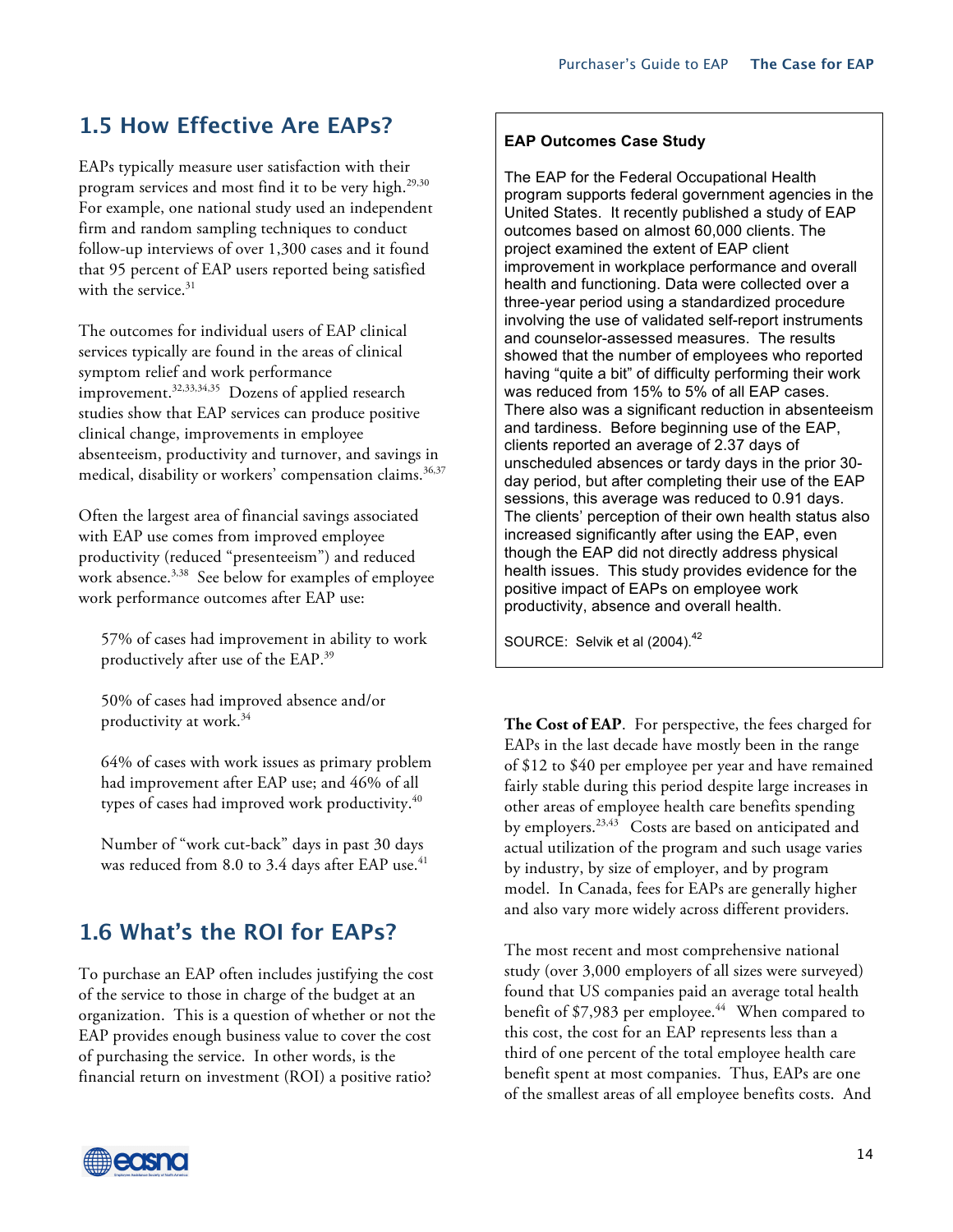## **1.5 How Effective Are EAPs?**

EAPs typically measure user satisfaction with their program services and most find it to be very high. 29,30 For example, one national study used an independent firm and random sampling techniques to conduct follow-up interviews of over 1,300 cases and it found that 95 percent of EAP users reported being satisfied with the service. 31

The outcomes for individual users of EAP clinical services typically are found in the areas of clinical symptom relief and work performance improvement. 32,33,34,35 Dozens of applied research studies show that EAP services can produce positive clinical change, improvements in employee absenteeism, productivity and turnover, and savings in medical, disability or workers' compensation claims. 36,37

Often the largest area of financial savings associated with EAP use comes from improved employee productivity (reduced "presenteeism") and reduced work absence. 3,38 See below for examples of employee work performance outcomes after EAP use:

57% of cases had improvement in ability to work productively after use of the EAP. 39

50% of cases had improved absence and/or productivity at work.34

64% of cases with work issues as primary problem had improvement after EAP use; and 46% of all types of cases had improved work productivity. 40

Number of "work cut-back" days in past 30 days was reduced from 8.0 to 3.4 days after EAP use. $^{\rm 41}$ 

## **1.6 What's the ROI for EAPs?**

To purchase an EAP often includes justifying the cost of the service to those in charge of the budget at an organization. This is a question of whether or not the EAP provides enough business value to cover the cost of purchasing the service. In other words, is the financial return on investment (ROI) a positive ratio?

#### **EAP Outcomes Case Study**

The EAP for the Federal Occupational Health program supports federal government agencies in the United States. It recently published a study of EAP outcomes based on almost 60,000 clients. The project examined the extent of EAP client improvement in workplace performance and overall health and functioning. Data were collected over a three-year period using a standardized procedure involving the use of validated self-report instruments and counselor-assessed measures. The results showed that the number of employees who reported having "quite a bit" of difficulty performing their work was reduced from 15% to 5% of all EAP cases. There also was a significant reduction in absenteeism and tardiness. Before beginning use of the EAP, clients reported an average of 2.37 days of unscheduled absences or tardy days in the prior 30 day period, but after completing their use of the EAP sessions, this average was reduced to 0.91 days. The clients' perception of their own health status also increased significantly after using the EAP, even though the EAP did not directly address physical health issues. This study provides evidence for the positive impact of EAPs on employee work productivity, absence and overall health.

SOURCE: Selvik et al (2004).<sup>42</sup>

**The Cost of EAP**. For perspective, the fees charged for EAPs in the last decade have mostly been in the range of \$12 to \$40 per employee per year and have remained fairly stable during this period despite large increases in other areas of employee health care benefits spending by employers.<sup>23,43</sup> Costs are based on anticipated and actual utilization of the program and such usage varies by industry, by size of employer, and by program model. In Canada, fees for EAPs are generally higher and also vary more widely across different providers.

The most recent and most comprehensive national study (over 3,000 employers of all sizes were surveyed) found that US companies paid an average total health benefit of \$7,983 per employee. <sup>44</sup> When compared to this cost, the cost for an EAP represents less than a third of one percent of the total employee health care benefit spent at most companies. Thus, EAPs are one of the smallest areas of all employee benefits costs. And

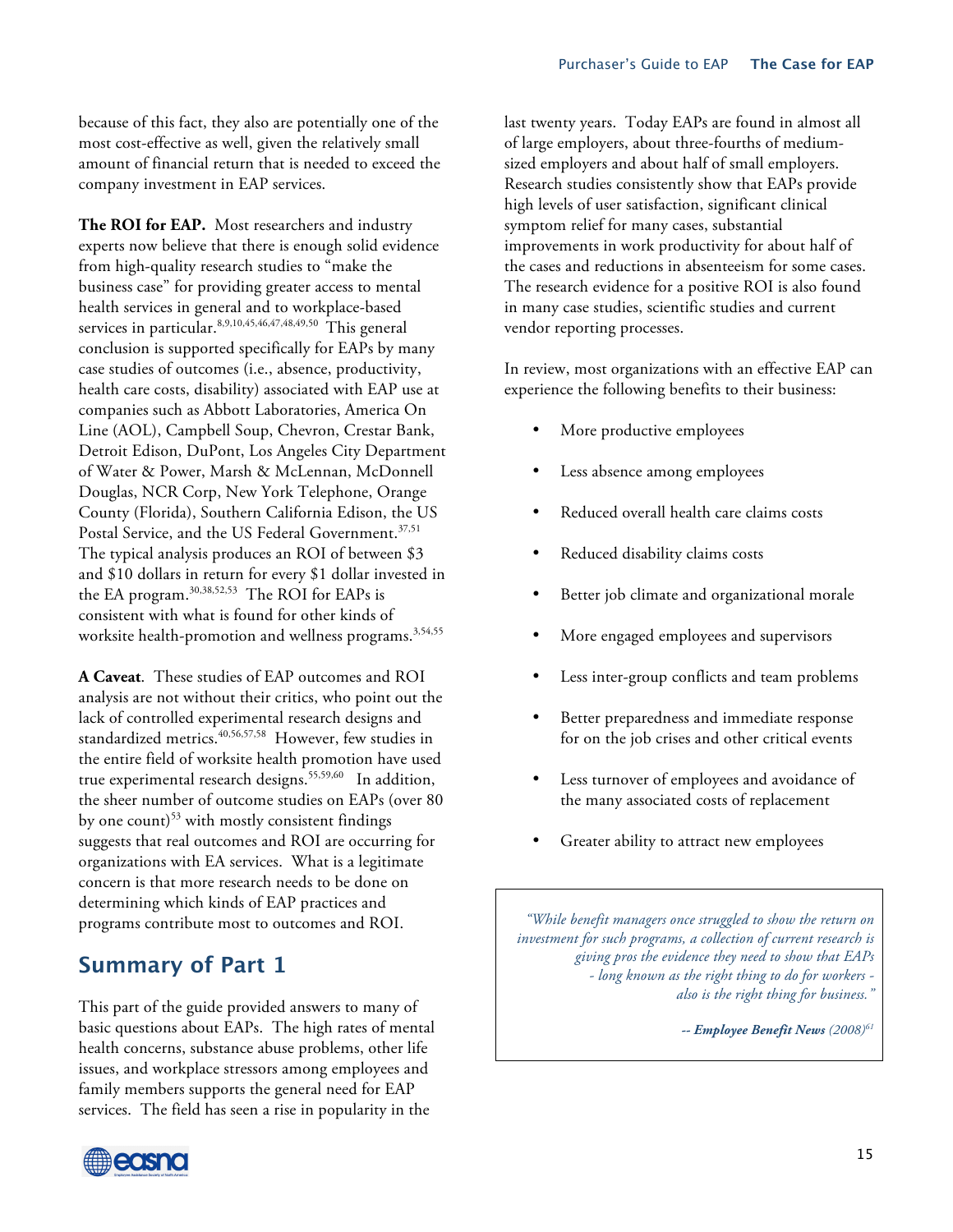because of this fact, they also are potentially one of the most cost-effective as well, given the relatively small amount of financial return that is needed to exceed the company investment in EAP services.

**The ROI for EAP.** Most researchers and industry experts now believe that there is enough solid evidence from high-quality research studies to "make the business case" for providing greater access to mental health services in general and to workplace-based services in particular.<sup>8,9,10,45,46,47,48,49,50</sup> This general conclusion is supported specifically for EAPs by many case studies of outcomes (i.e., absence, productivity, health care costs, disability) associated with EAP use at companies such as Abbott Laboratories, America On Line (AOL), Campbell Soup, Chevron, Crestar Bank, Detroit Edison, DuPont, Los Angeles City Department of Water & Power, Marsh & McLennan, McDonnell Douglas, NCR Corp, New York Telephone, Orange County (Florida), Southern California Edison, the US Postal Service, and the US Federal Government.<sup>37,51</sup> The typical analysis produces an ROI of between \$3 and \$10 dollars in return for every \$1 dollar invested in the EA program.30,38,52,53 The ROI for EAPs is consistent with what is found for other kinds of worksite health-promotion and wellness programs. 3,54,55

**A Caveat**. These studies of EAP outcomes and ROI analysis are not without their critics, who point out the lack of controlled experimental research designs and standardized metrics.<sup>40,56,57,58</sup> However, few studies in the entire field of worksite health promotion have used true experimental research designs. 55,59,60 In addition, the sheer number of outcome studies on EAPs (over 80 by one count) $53$  with mostly consistent findings suggests that real outcomes and ROI are occurring for organizations with EA services. What is a legitimate concern is that more research needs to be done on determining which kinds of EAP practices and programs contribute most to outcomes and ROI.

## **Summary of Part 1**

This part of the guide provided answers to many of basic questions about EAPs. The high rates of mental health concerns, substance abuse problems, other life issues, and workplace stressors among employees and family members supports the general need for EAP services. The field has seen a rise in popularity in the



In review, most organizations with an effective EAP can experience the following benefits to their business:

- More productive employees
- Less absence among employees
- Reduced overall health care claims costs
- Reduced disability claims costs
- Better job climate and organizational morale
- More engaged employees and supervisors
- Less inter-group conflicts and team problems
- Better preparedness and immediate response for on the job crises and other critical events
- Less turnover of employees and avoidance of the many associated costs of replacement
- Greater ability to attract new employees

*"While benefit managers once struggled to show the return on investment for such programs, a collection of current research is giving pros the evidence they need to show that EAPs - long known as the right thing to do for workers also is the right thing for business."*

*-- Employee Benefit News (2008)61*

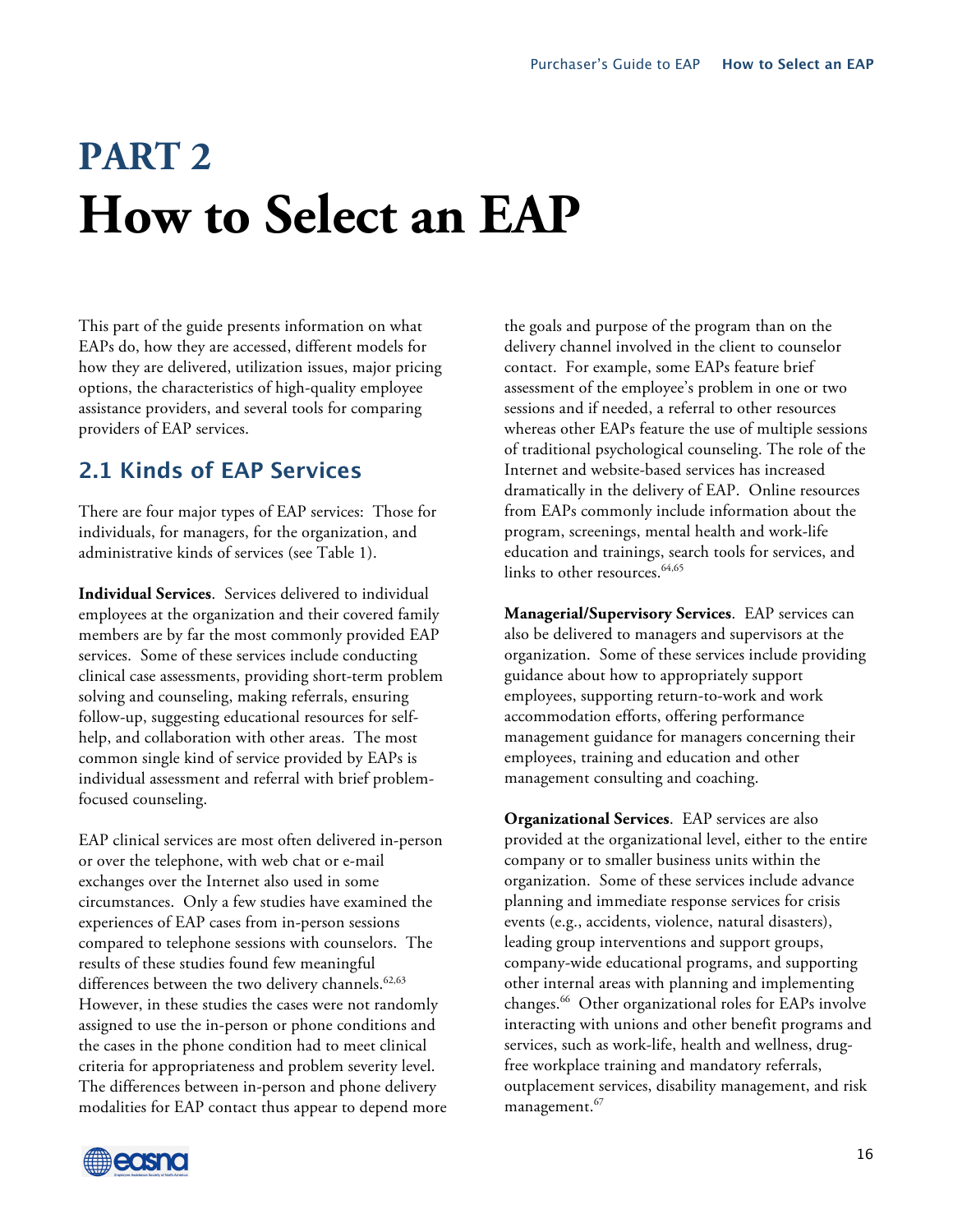# **PART 2 How to Select an EAP**

This part of the guide presents information on what EAPs do, how they are accessed, different models for how they are delivered, utilization issues, major pricing options, the characteristics of high-quality employee assistance providers, and several tools for comparing providers of EAP services.

## **2.1 Kinds of EAP Services**

There are four major types of EAP services: Those for individuals, for managers, for the organization, and administrative kinds of services (see Table 1).

**Individual Services**. Services delivered to individual employees at the organization and their covered family members are by far the most commonly provided EAP services. Some of these services include conducting clinical case assessments, providing short-term problem solving and counseling, making referrals, ensuring follow-up, suggesting educational resources for selfhelp, and collaboration with other areas. The most common single kind of service provided by EAPs is individual assessment and referral with brief problemfocused counseling.

EAP clinical services are most often delivered in-person or over the telephone, with web chat or e-mail exchanges over the Internet also used in some circumstances. Only a few studies have examined the experiences of EAP cases from in-person sessions compared to telephone sessions with counselors. The results of these studies found few meaningful differences between the two delivery channels. 62,63 However, in these studies the cases were not randomly assigned to use the in-person or phone conditions and the cases in the phone condition had to meet clinical criteria for appropriateness and problem severity level. The differences between in-person and phone delivery modalities for EAP contact thus appear to depend more the goals and purpose of the program than on the delivery channel involved in the client to counselor contact. For example, some EAPs feature brief assessment of the employee's problem in one or two sessions and if needed, a referral to other resources whereas other EAPs feature the use of multiple sessions of traditional psychological counseling. The role of the Internet and website-based services has increased dramatically in the delivery of EAP. Online resources from EAPs commonly include information about the program, screenings, mental health and work-life education and trainings, search tools for services, and links to other resources.<sup>64,65</sup>

**Managerial/Supervisory Services**. EAP services can also be delivered to managers and supervisors at the organization. Some of these services include providing guidance about how to appropriately support employees, supporting return-to-work and work accommodation efforts, offering performance management guidance for managers concerning their employees, training and education and other management consulting and coaching.

**Organizational Services**. EAP services are also provided at the organizational level, either to the entire company or to smaller business units within the organization. Some of these services include advance planning and immediate response services for crisis events (e.g., accidents, violence, natural disasters), leading group interventions and support groups, company-wide educational programs, and supporting other internal areas with planning and implementing changes. <sup>66</sup> Other organizational roles for EAPs involve interacting with unions and other benefit programs and services, such as work-life, health and wellness, drugfree workplace training and mandatory referrals, outplacement services, disability management, and risk management. 67

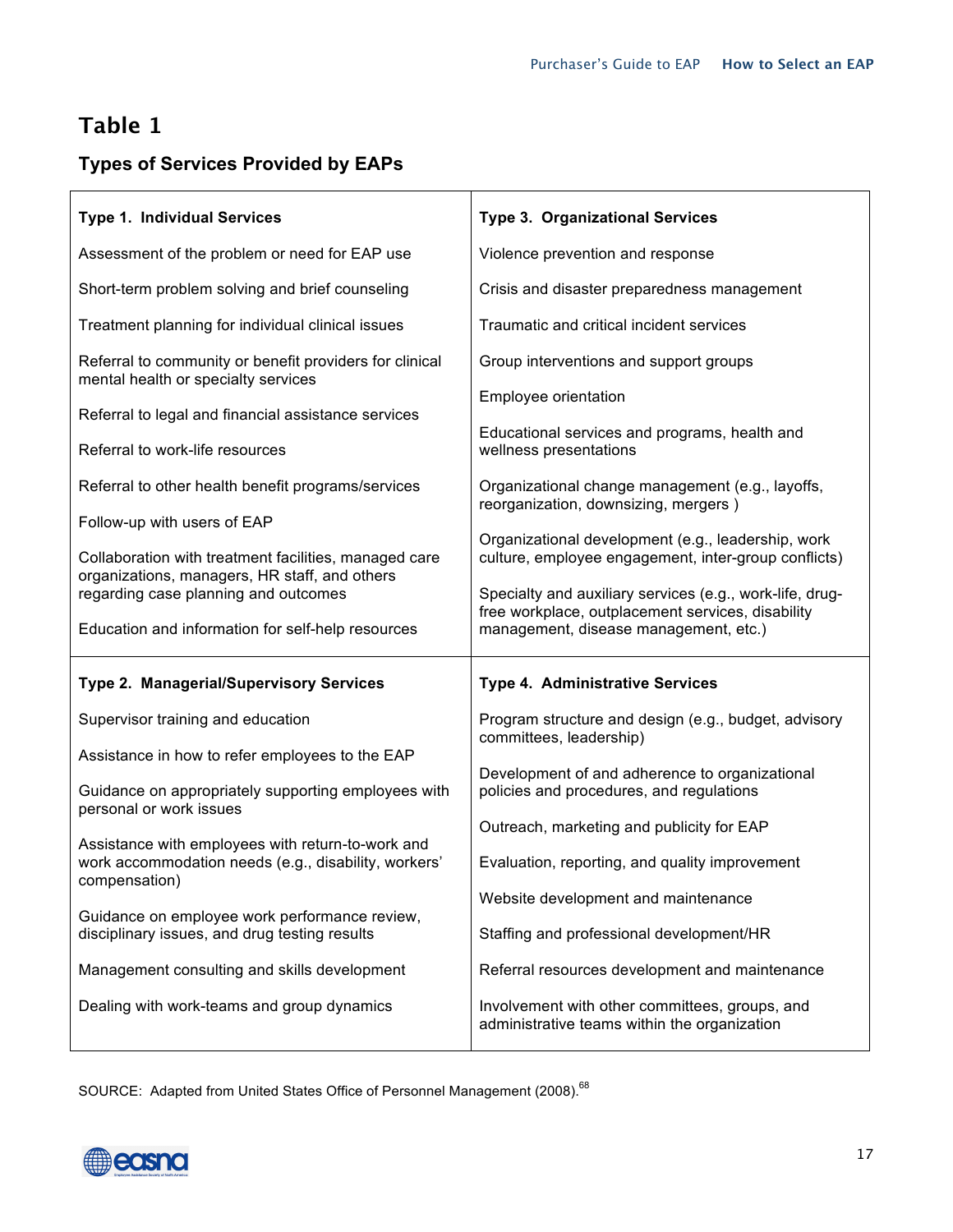## **Table 1**

## **Types of Services Provided by EAPs**

| <b>Type 1. Individual Services</b>                                                                        | <b>Type 3. Organizational Services</b>                                                                        |  |
|-----------------------------------------------------------------------------------------------------------|---------------------------------------------------------------------------------------------------------------|--|
| Assessment of the problem or need for EAP use                                                             | Violence prevention and response                                                                              |  |
| Short-term problem solving and brief counseling                                                           | Crisis and disaster preparedness management                                                                   |  |
| Treatment planning for individual clinical issues                                                         | Traumatic and critical incident services                                                                      |  |
| Referral to community or benefit providers for clinical<br>mental health or specialty services            | Group interventions and support groups                                                                        |  |
| Referral to legal and financial assistance services                                                       | Employee orientation                                                                                          |  |
| Referral to work-life resources                                                                           | Educational services and programs, health and<br>wellness presentations                                       |  |
| Referral to other health benefit programs/services                                                        | Organizational change management (e.g., layoffs,<br>reorganization, downsizing, mergers)                      |  |
| Follow-up with users of EAP                                                                               | Organizational development (e.g., leadership, work                                                            |  |
| Collaboration with treatment facilities, managed care<br>organizations, managers, HR staff, and others    | culture, employee engagement, inter-group conflicts)                                                          |  |
| regarding case planning and outcomes                                                                      | Specialty and auxiliary services (e.g., work-life, drug-<br>free workplace, outplacement services, disability |  |
|                                                                                                           |                                                                                                               |  |
| Education and information for self-help resources                                                         | management, disease management, etc.)                                                                         |  |
| <b>Type 2. Managerial/Supervisory Services</b>                                                            | <b>Type 4. Administrative Services</b>                                                                        |  |
| Supervisor training and education                                                                         | Program structure and design (e.g., budget, advisory                                                          |  |
| Assistance in how to refer employees to the EAP                                                           | committees, leadership)                                                                                       |  |
| Guidance on appropriately supporting employees with                                                       | Development of and adherence to organizational<br>policies and procedures, and regulations                    |  |
| personal or work issues                                                                                   | Outreach, marketing and publicity for EAP                                                                     |  |
| Assistance with employees with return-to-work and<br>work accommodation needs (e.g., disability, workers' | Evaluation, reporting, and quality improvement                                                                |  |
| compensation)                                                                                             | Website development and maintenance                                                                           |  |
| Guidance on employee work performance review,<br>disciplinary issues, and drug testing results            | Staffing and professional development/HR                                                                      |  |
| Management consulting and skills development                                                              | Referral resources development and maintenance                                                                |  |

SOURCE: Adapted from United States Office of Personnel Management (2008).<sup>68</sup>

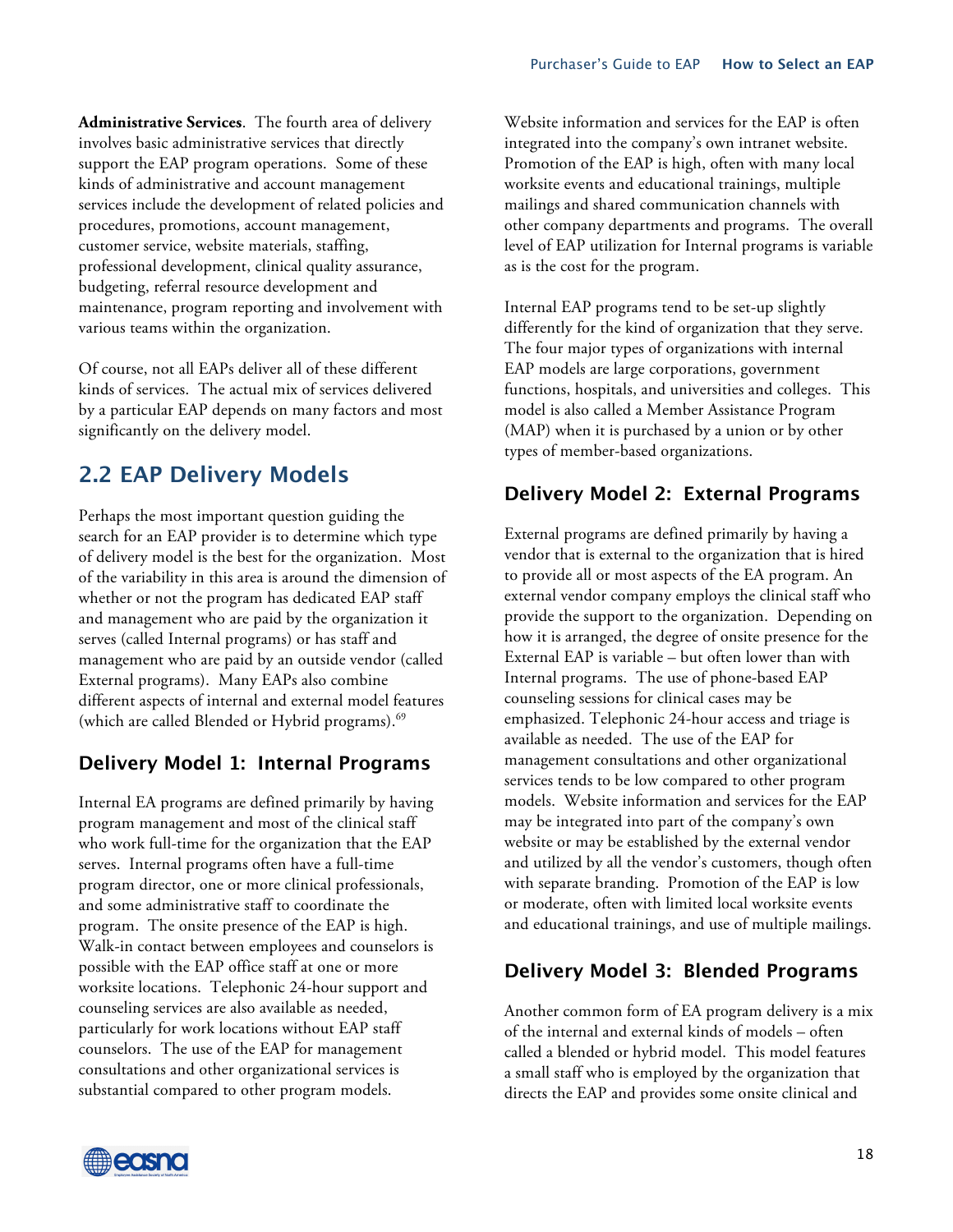**Administrative Services**. The fourth area of delivery involves basic administrative services that directly support the EAP program operations. Some of these kinds of administrative and account management services include the development of related policies and procedures, promotions, account management, customer service, website materials, staffing, professional development, clinical quality assurance, budgeting, referral resource development and maintenance, program reporting and involvement with various teams within the organization.

Of course, not all EAPs deliver all of these different kinds of services. The actual mix of services delivered by a particular EAP depends on many factors and most significantly on the delivery model.

## **2.2 EAP Delivery Models**

Perhaps the most important question guiding the search for an EAP provider is to determine which type of delivery model is the best for the organization. Most of the variability in this area is around the dimension of whether or not the program has dedicated EAP staff and management who are paid by the organization it serves (called Internal programs) or has staff and management who are paid by an outside vendor (called External programs). Many EAPs also combine different aspects of internal and external model features (which are called Blended or Hybrid programs).<sup>69</sup>

### **Delivery Model 1: Internal Programs**

Internal EA programs are defined primarily by having program management and most of the clinical staff who work full-time for the organization that the EAP serves. Internal programs often have a full-time program director, one or more clinical professionals, and some administrative staff to coordinate the program. The onsite presence of the EAP is high. Walk-in contact between employees and counselors is possible with the EAP office staff at one or more worksite locations. Telephonic 24-hour support and counseling services are also available as needed, particularly for work locations without EAP staff counselors. The use of the EAP for management consultations and other organizational services is substantial compared to other program models.

Website information and services for the EAP is often integrated into the company's own intranet website. Promotion of the EAP is high, often with many local worksite events and educational trainings, multiple mailings and shared communication channels with other company departments and programs. The overall level of EAP utilization for Internal programs is variable as is the cost for the program.

Internal EAP programs tend to be set-up slightly differently for the kind of organization that they serve. The four major types of organizations with internal EAP models are large corporations, government functions, hospitals, and universities and colleges. This model is also called a Member Assistance Program (MAP) when it is purchased by a union or by other types of member-based organizations.

### **Delivery Model 2: External Programs**

External programs are defined primarily by having a vendor that is external to the organization that is hired to provide all or most aspects of the EA program. An external vendor company employs the clinical staff who provide the support to the organization. Depending on how it is arranged, the degree of onsite presence for the External EAP is variable – but often lower than with Internal programs. The use of phone-based EAP counseling sessions for clinical cases may be emphasized. Telephonic 24-hour access and triage is available as needed. The use of the EAP for management consultations and other organizational services tends to be low compared to other program models. Website information and services for the EAP may be integrated into part of the company's own website or may be established by the external vendor and utilized by all the vendor's customers, though often with separate branding. Promotion of the EAP is low or moderate, often with limited local worksite events and educational trainings, and use of multiple mailings.

## **Delivery Model 3: Blended Programs**

Another common form of EA program delivery is a mix of the internal and external kinds of models – often called a blended or hybrid model. This model features a small staff who is employed by the organization that directs the EAP and provides some onsite clinical and

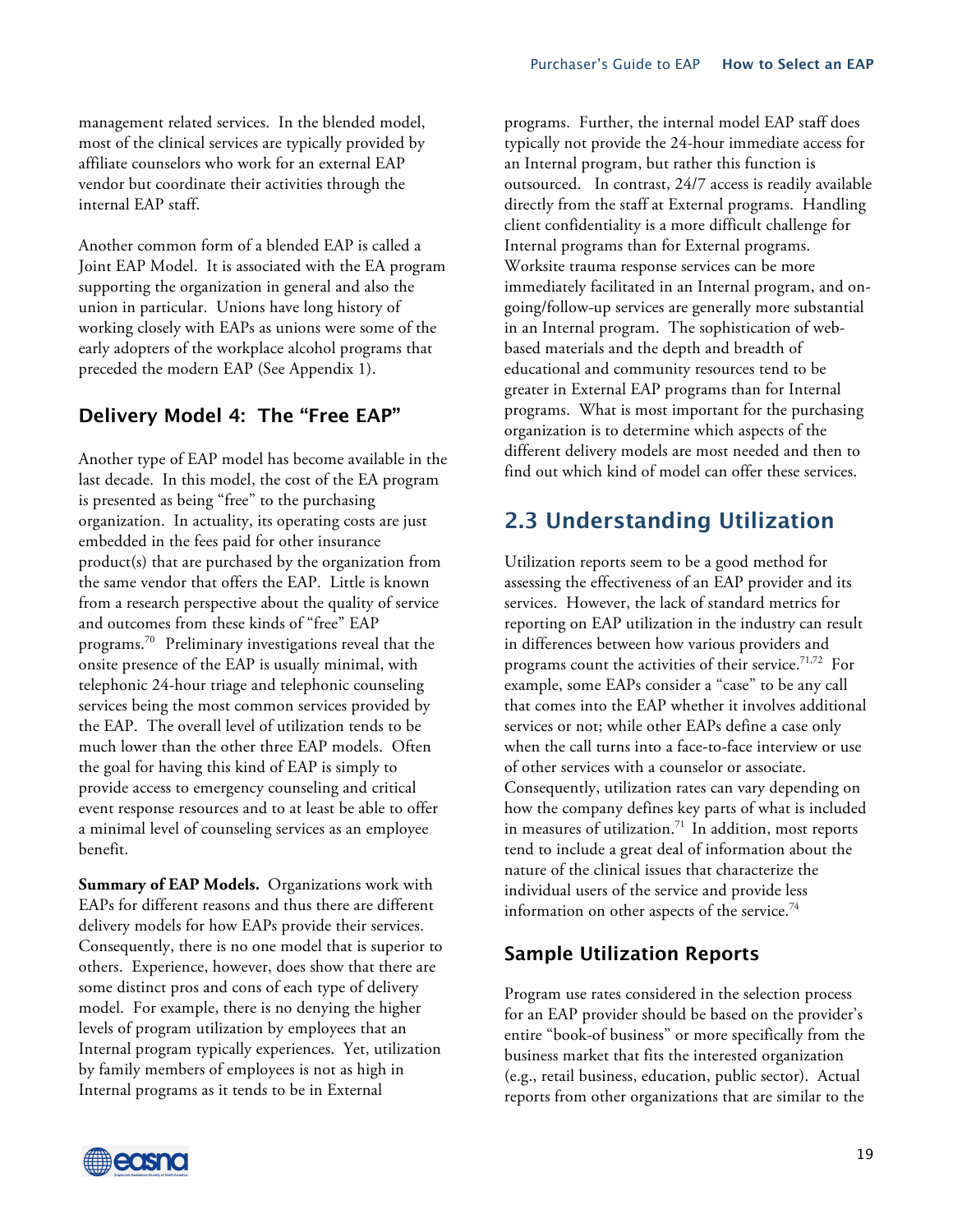management related services. In the blended model, most of the clinical services are typically provided by affiliate counselors who work for an external EAP vendor but coordinate their activities through the internal EAP staff.

Another common form of a blended EAP is called a Joint EAP Model. It is associated with the EA program supporting the organization in general and also the union in particular. Unions have long history of working closely with EAPs as unions were some of the early adopters of the workplace alcohol programs that preceded the modern EAP (See Appendix 1).

### **Delivery Model 4: The "Free EAP"**

Another type of EAP model has become available in the last decade. In this model, the cost of the EA program is presented as being "free" to the purchasing organization. In actuality, its operating costs are just embedded in the fees paid for other insurance product(s) that are purchased by the organization from the same vendor that offers the EAP. Little is known from a research perspective about the quality of service and outcomes from these kinds of "free" EAP programs.70 Preliminary investigations reveal that the onsite presence of the EAP is usually minimal, with telephonic 24-hour triage and telephonic counseling services being the most common services provided by the EAP. The overall level of utilization tends to be much lower than the other three EAP models. Often the goal for having this kind of EAP is simply to provide access to emergency counseling and critical event response resources and to at least be able to offer a minimal level of counseling services as an employee benefit.

**Summary of EAP Models.** Organizations work with EAPs for different reasons and thus there are different delivery models for how EAPs provide their services. Consequently, there is no one model that is superior to others. Experience, however, does show that there are some distinct pros and cons of each type of delivery model. For example, there is no denying the higher levels of program utilization by employees that an Internal program typically experiences. Yet, utilization by family members of employees is not as high in Internal programs as it tends to be in External

programs. Further, the internal model EAP staff does typically not provide the 24-hour immediate access for an Internal program, but rather this function is outsourced. In contrast, 24/7 access is readily available directly from the staff at External programs. Handling client confidentiality is a more difficult challenge for Internal programs than for External programs. Worksite trauma response services can be more immediately facilitated in an Internal program, and ongoing/follow-up services are generally more substantial in an Internal program. The sophistication of webbased materials and the depth and breadth of educational and community resources tend to be greater in External EAP programs than for Internal programs. What is most important for the purchasing organization is to determine which aspects of the different delivery models are most needed and then to find out which kind of model can offer these services.

## **2.3 Understanding Utilization**

Utilization reports seem to be a good method for assessing the effectiveness of an EAP provider and its services. However, the lack of standard metrics for reporting on EAP utilization in the industry can result in differences between how various providers and programs count the activities of their service.<sup>71,72</sup> For example, some EAPs consider a "case" to be any call that comes into the EAP whether it involves additional services or not; while other EAPs define a case only when the call turns into a face-to-face interview or use of other services with a counselor or associate. Consequently, utilization rates can vary depending on how the company defines key parts of what is included in measures of utilization.<sup>71</sup> In addition, most reports tend to include a great deal of information about the nature of the clinical issues that characterize the individual users of the service and provide less information on other aspects of the service.<sup>74</sup>

### **Sample Utilization Reports**

Program use rates considered in the selection process for an EAP provider should be based on the provider's entire "book-of business" or more specifically from the business market that fits the interested organization (e.g., retail business, education, public sector). Actual reports from other organizations that are similar to the

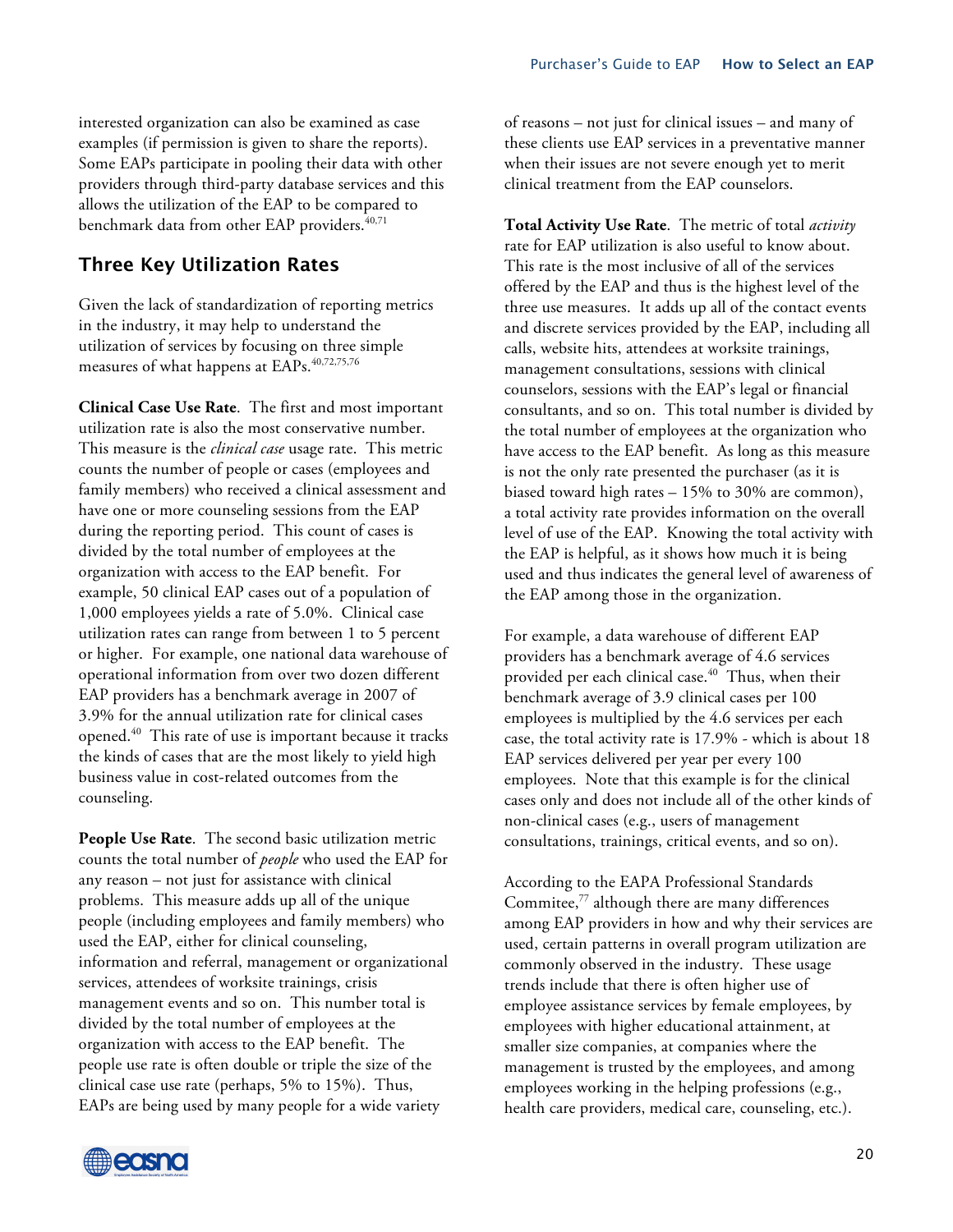interested organization can also be examined as case examples (if permission is given to share the reports). Some EAPs participate in pooling their data with other providers through third-party database services and this allows the utilization of the EAP to be compared to benchmark data from other EAP providers.<sup>40,71</sup>

#### **Three Key Utilization Rates**

Given the lack of standardization of reporting metrics in the industry, it may help to understand the utilization of services by focusing on three simple measures of what happens at EAPs. 40,72,75,76

**Clinical Case Use Rate**. The first and most important utilization rate is also the most conservative number. This measure is the *clinical case* usage rate. This metric counts the number of people or cases (employees and family members) who received a clinical assessment and have one or more counseling sessions from the EAP during the reporting period. This count of cases is divided by the total number of employees at the organization with access to the EAP benefit. For example, 50 clinical EAP cases out of a population of 1,000 employees yields a rate of 5.0%. Clinical case utilization rates can range from between 1 to 5 percent or higher. For example, one national data warehouse of operational information from over two dozen different EAP providers has a benchmark average in 2007 of 3.9% for the annual utilization rate for clinical cases opened. 40 This rate of use is important because it tracks the kinds of cases that are the most likely to yield high business value in cost-related outcomes from the counseling.

**People Use Rate**. The second basic utilization metric counts the total number of *people* who used the EAP for any reason – not just for assistance with clinical problems. This measure adds up all of the unique people (including employees and family members) who used the EAP, either for clinical counseling, information and referral, management or organizational services, attendees of worksite trainings, crisis management events and so on. This number total is divided by the total number of employees at the organization with access to the EAP benefit. The people use rate is often double or triple the size of the clinical case use rate (perhaps, 5% to 15%). Thus, EAPs are being used by many people for a wide variety

of reasons – not just for clinical issues – and many of these clients use EAP services in a preventative manner when their issues are not severe enough yet to merit clinical treatment from the EAP counselors.

**Total Activity Use Rate**. The metric of total *activity* rate for EAP utilization is also useful to know about. This rate is the most inclusive of all of the services offered by the EAP and thus is the highest level of the three use measures. It adds up all of the contact events and discrete services provided by the EAP, including all calls, website hits, attendees at worksite trainings, management consultations, sessions with clinical counselors, sessions with the EAP's legal or financial consultants, and so on. This total number is divided by the total number of employees at the organization who have access to the EAP benefit. As long as this measure is not the only rate presented the purchaser (as it is biased toward high rates – 15% to 30% are common), a total activity rate provides information on the overall level of use of the EAP. Knowing the total activity with the EAP is helpful, as it shows how much it is being used and thus indicates the general level of awareness of the EAP among those in the organization.

For example, a data warehouse of different EAP providers has a benchmark average of 4.6 services provided per each clinical case. 40 Thus, when their benchmark average of 3.9 clinical cases per 100 employees is multiplied by the 4.6 services per each case, the total activity rate is 17.9% - which is about 18 EAP services delivered per year per every 100 employees. Note that this example is for the clinical cases only and does not include all of the other kinds of non-clinical cases (e.g., users of management consultations, trainings, critical events, and so on).

According to the EAPA Professional Standards Commitee, <sup>77</sup> although there are many differences among EAP providers in how and why their services are used, certain patterns in overall program utilization are commonly observed in the industry. These usage trends include that there is often higher use of employee assistance services by female employees, by employees with higher educational attainment, at smaller size companies, at companies where the management is trusted by the employees, and among employees working in the helping professions (e.g., health care providers, medical care, counseling, etc.).

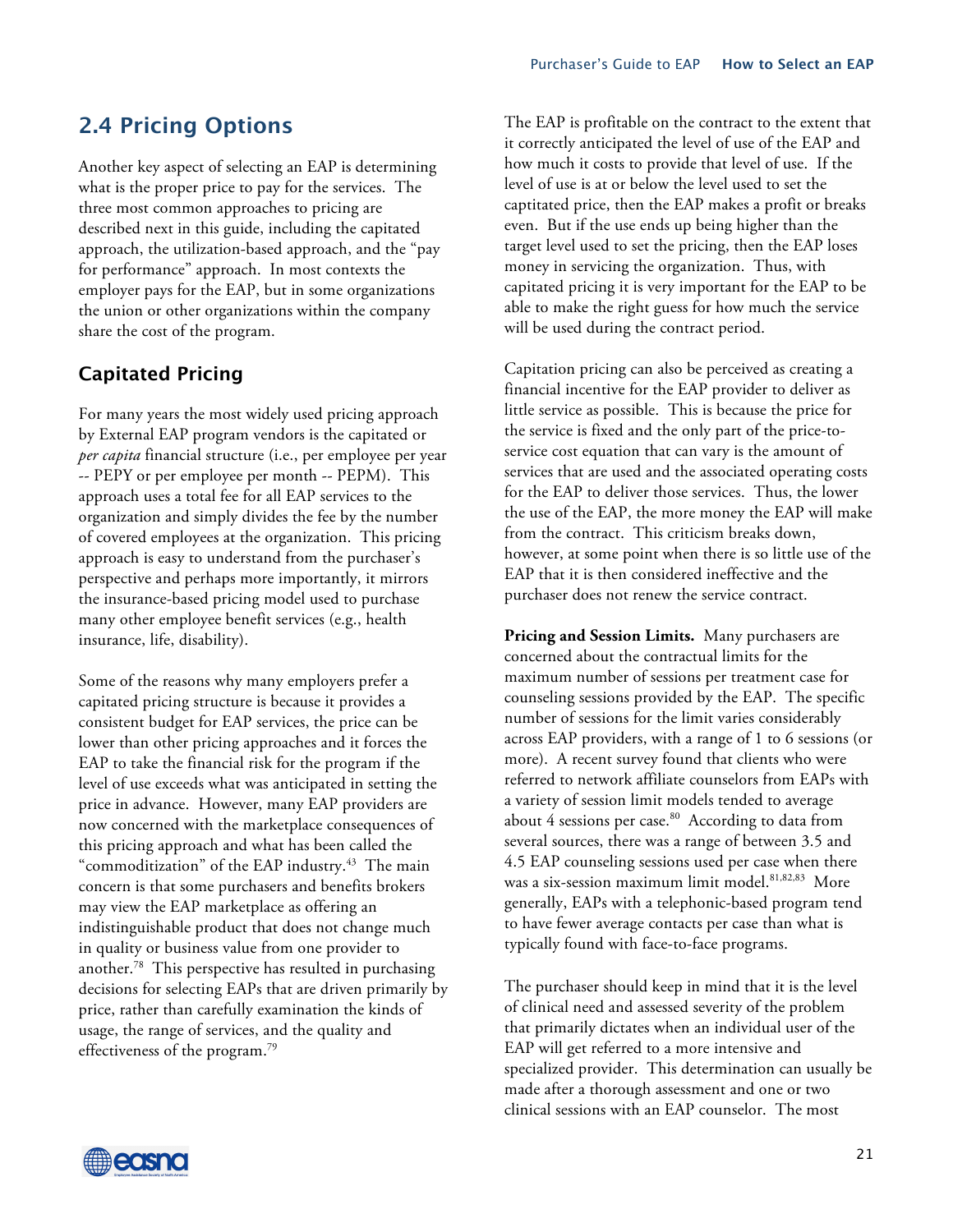## **2.4 Pricing Options**

Another key aspect of selecting an EAP is determining what is the proper price to pay for the services. The three most common approaches to pricing are described next in this guide, including the capitated approach, the utilization-based approach, and the "pay for performance" approach. In most contexts the employer pays for the EAP, but in some organizations the union or other organizations within the company share the cost of the program.

### **Capitated Pricing**

For many years the most widely used pricing approach by External EAP program vendors is the capitated or *per capita* financial structure (i.e., per employee per year -- PEPY or per employee per month -- PEPM). This approach uses a total fee for all EAP services to the organization and simply divides the fee by the number of covered employees at the organization. This pricing approach is easy to understand from the purchaser's perspective and perhaps more importantly, it mirrors the insurance-based pricing model used to purchase many other employee benefit services (e.g., health insurance, life, disability).

Some of the reasons why many employers prefer a capitated pricing structure is because it provides a consistent budget for EAP services, the price can be lower than other pricing approaches and it forces the EAP to take the financial risk for the program if the level of use exceeds what was anticipated in setting the price in advance. However, many EAP providers are now concerned with the marketplace consequences of this pricing approach and what has been called the "commoditization" of the EAP industry.<sup>43</sup> The main concern is that some purchasers and benefits brokers may view the EAP marketplace as offering an indistinguishable product that does not change much in quality or business value from one provider to another.78 This perspective has resulted in purchasing decisions for selecting EAPs that are driven primarily by price, rather than carefully examination the kinds of usage, the range of services, and the quality and effectiveness of the program.<sup>79</sup>

The EAP is profitable on the contract to the extent that it correctly anticipated the level of use of the EAP and how much it costs to provide that level of use. If the level of use is at or below the level used to set the captitated price, then the EAP makes a profit or breaks even. But if the use ends up being higher than the target level used to set the pricing, then the EAP loses money in servicing the organization. Thus, with capitated pricing it is very important for the EAP to be able to make the right guess for how much the service will be used during the contract period.

Capitation pricing can also be perceived as creating a financial incentive for the EAP provider to deliver as little service as possible. This is because the price for the service is fixed and the only part of the price-toservice cost equation that can vary is the amount of services that are used and the associated operating costs for the EAP to deliver those services. Thus, the lower the use of the EAP, the more money the EAP will make from the contract. This criticism breaks down, however, at some point when there is so little use of the EAP that it is then considered ineffective and the purchaser does not renew the service contract.

**Pricing and Session Limits.** Many purchasers are concerned about the contractual limits for the maximum number of sessions per treatment case for counseling sessions provided by the EAP. The specific number of sessions for the limit varies considerably across EAP providers, with a range of 1 to 6 sessions (or more). A recent survey found that clients who were referred to network affiliate counselors from EAPs with a variety of session limit models tended to average about  $4$  sessions per case. $80$  According to data from several sources, there was a range of between 3.5 and 4.5 EAP counseling sessions used per case when there was a six-session maximum limit model. 81,82,83 More generally, EAPs with a telephonic-based program tend to have fewer average contacts per case than what is typically found with face-to-face programs.

The purchaser should keep in mind that it is the level of clinical need and assessed severity of the problem that primarily dictates when an individual user of the EAP will get referred to a more intensive and specialized provider. This determination can usually be made after a thorough assessment and one or two clinical sessions with an EAP counselor. The most

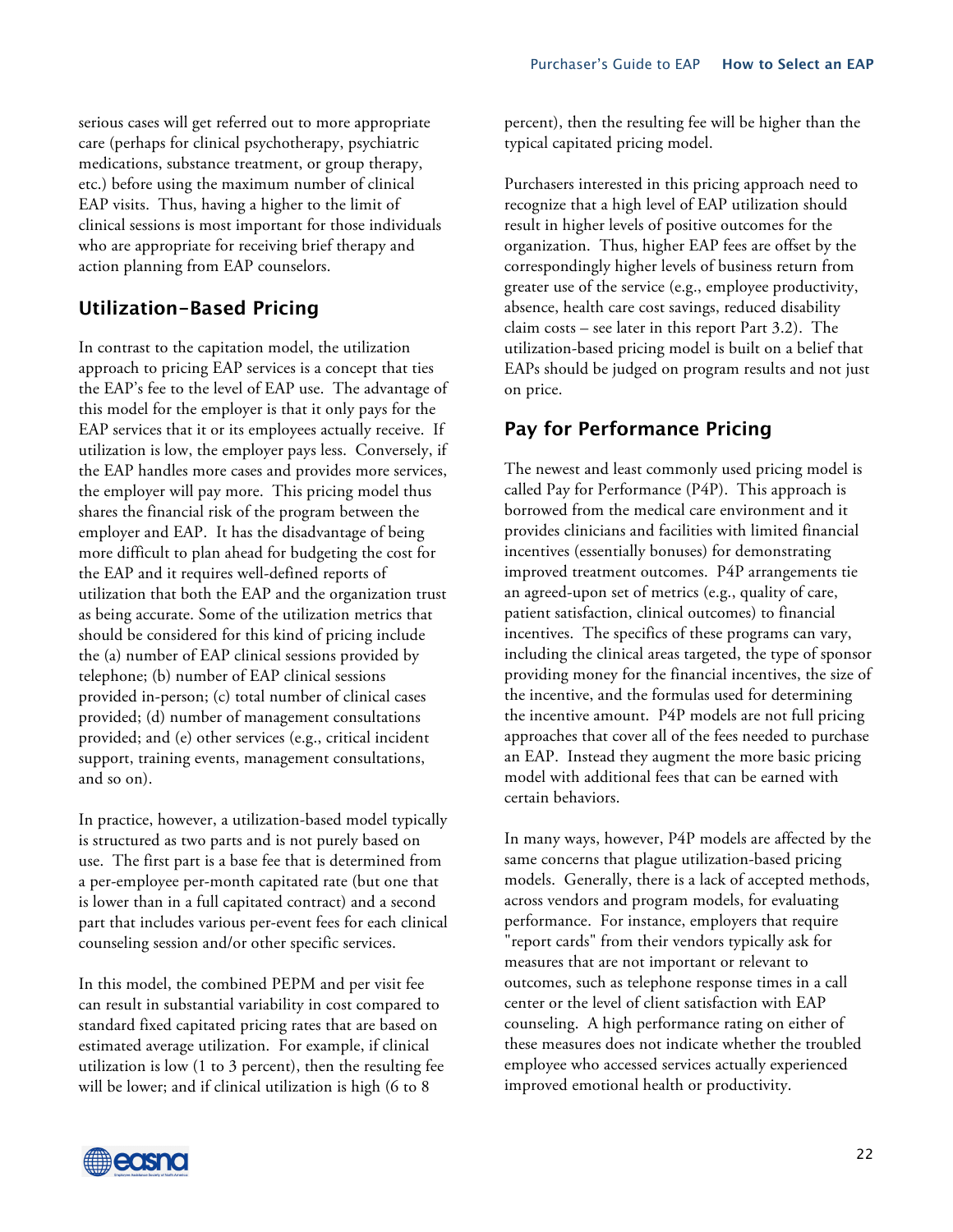serious cases will get referred out to more appropriate care (perhaps for clinical psychotherapy, psychiatric medications, substance treatment, or group therapy, etc.) before using the maximum number of clinical EAP visits. Thus, having a higher to the limit of clinical sessions is most important for those individuals who are appropriate for receiving brief therapy and action planning from EAP counselors.

### **Utilization-Based Pricing**

In contrast to the capitation model, the utilization approach to pricing EAP services is a concept that ties the EAP's fee to the level of EAP use. The advantage of this model for the employer is that it only pays for the EAP services that it or its employees actually receive. If utilization is low, the employer pays less. Conversely, if the EAP handles more cases and provides more services, the employer will pay more. This pricing model thus shares the financial risk of the program between the employer and EAP. It has the disadvantage of being more difficult to plan ahead for budgeting the cost for the EAP and it requires well-defined reports of utilization that both the EAP and the organization trust as being accurate. Some of the utilization metrics that should be considered for this kind of pricing include the (a) number of EAP clinical sessions provided by telephone; (b) number of EAP clinical sessions provided in-person; (c) total number of clinical cases provided; (d) number of management consultations provided; and (e) other services (e.g., critical incident support, training events, management consultations, and so on).

In practice, however, a utilization-based model typically is structured as two parts and is not purely based on use. The first part is a base fee that is determined from a per-employee per-month capitated rate (but one that is lower than in a full capitated contract) and a second part that includes various per-event fees for each clinical counseling session and/or other specific services.

In this model, the combined PEPM and per visit fee can result in substantial variability in cost compared to standard fixed capitated pricing rates that are based on estimated average utilization. For example, if clinical utilization is low (1 to 3 percent), then the resulting fee will be lower; and if clinical utilization is high (6 to 8

percent), then the resulting fee will be higher than the typical capitated pricing model.

Purchasers interested in this pricing approach need to recognize that a high level of EAP utilization should result in higher levels of positive outcomes for the organization. Thus, higher EAP fees are offset by the correspondingly higher levels of business return from greater use of the service (e.g., employee productivity, absence, health care cost savings, reduced disability claim costs – see later in this report Part 3.2). The utilization-based pricing model is built on a belief that EAPs should be judged on program results and not just on price.

## **Pay for Performance Pricing**

The newest and least commonly used pricing model is called Pay for Performance (P4P). This approach is borrowed from the medical care environment and it provides clinicians and facilities with limited financial incentives (essentially bonuses) for demonstrating improved treatment outcomes. P4P arrangements tie an agreed-upon set of metrics (e.g., quality of care, patient satisfaction, clinical outcomes) to financial incentives. The specifics of these programs can vary, including the clinical areas targeted, the type of sponsor providing money for the financial incentives, the size of the incentive, and the formulas used for determining the incentive amount. P4P models are not full pricing approaches that cover all of the fees needed to purchase an EAP. Instead they augment the more basic pricing model with additional fees that can be earned with certain behaviors.

In many ways, however, P4P models are affected by the same concerns that plague utilization-based pricing models. Generally, there is a lack of accepted methods, across vendors and program models, for evaluating performance. For instance, employers that require "report cards" from their vendors typically ask for measures that are not important or relevant to outcomes, such as telephone response times in a call center or the level of client satisfaction with EAP counseling. A high performance rating on either of these measures does not indicate whether the troubled employee who accessed services actually experienced improved emotional health or productivity.

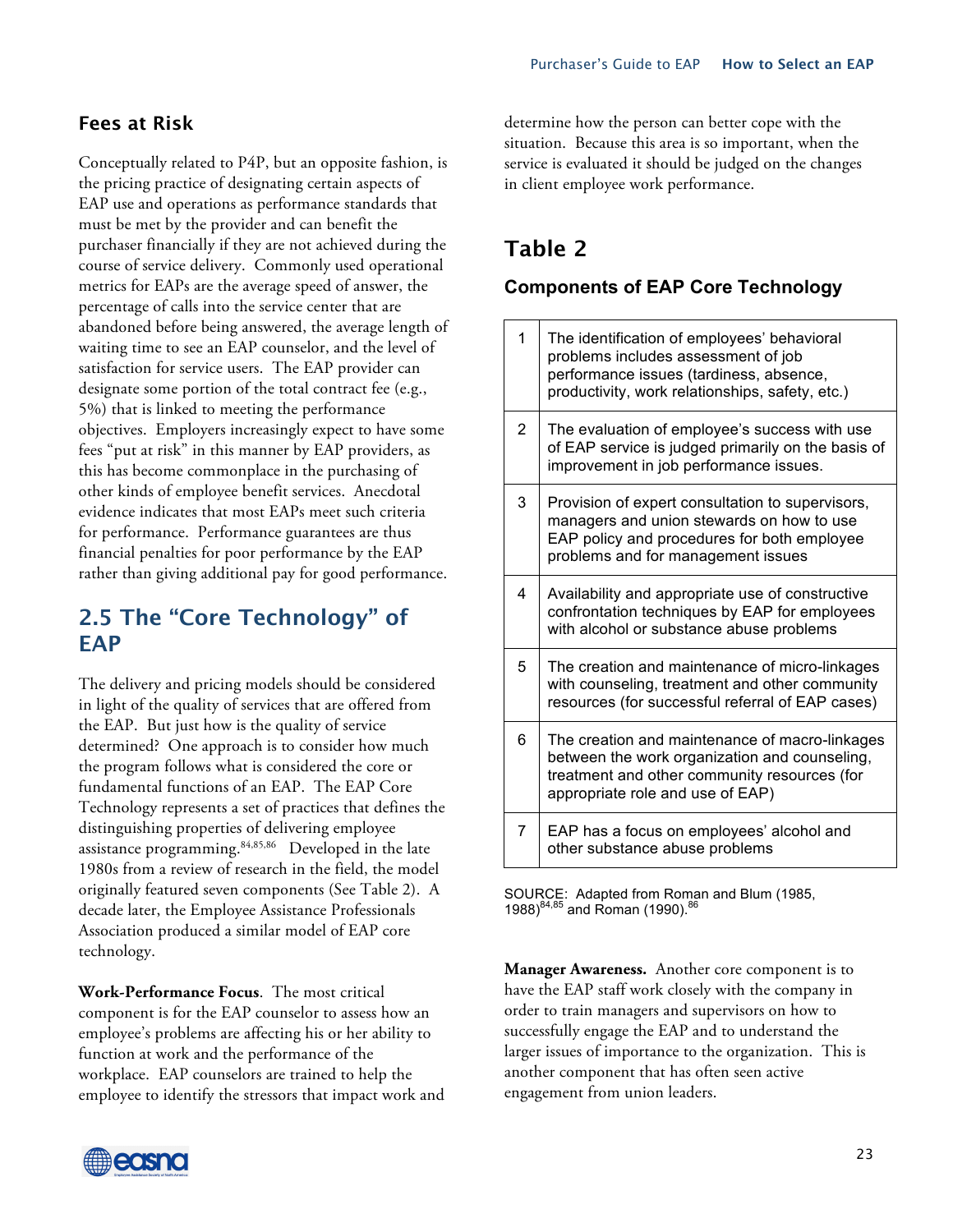### **Fees at Risk**

Conceptually related to P4P, but an opposite fashion, is the pricing practice of designating certain aspects of EAP use and operations as performance standards that must be met by the provider and can benefit the purchaser financially if they are not achieved during the course of service delivery. Commonly used operational metrics for EAPs are the average speed of answer, the percentage of calls into the service center that are abandoned before being answered, the average length of waiting time to see an EAP counselor, and the level of satisfaction for service users. The EAP provider can designate some portion of the total contract fee (e.g., 5%) that is linked to meeting the performance objectives. Employers increasingly expect to have some fees "put at risk" in this manner by EAP providers, as this has become commonplace in the purchasing of other kinds of employee benefit services. Anecdotal evidence indicates that most EAPs meet such criteria for performance. Performance guarantees are thus financial penalties for poor performance by the EAP rather than giving additional pay for good performance.

## **2.5 The "Core Technology" of EAP**

The delivery and pricing models should be considered in light of the quality of services that are offered from the EAP. But just how is the quality of service determined? One approach is to consider how much the program follows what is considered the core or fundamental functions of an EAP. The EAP Core Technology represents a set of practices that defines the distinguishing properties of delivering employee assistance programming. 84,85,86 Developed in the late 1980s from a review of research in the field, the model originally featured seven components (See Table 2). A decade later, the Employee Assistance Professionals Association produced a similar model of EAP core technology.

**Work-Performance Focus**. The most critical component is for the EAP counselor to assess how an employee's problems are affecting his or her ability to function at work and the performance of the workplace. EAP counselors are trained to help the employee to identify the stressors that impact work and determine how the person can better cope with the situation. Because this area is so important, when the service is evaluated it should be judged on the changes in client employee work performance.

## **Table 2**

#### **Components of EAP Core Technology**

| 1              | The identification of employees' behavioral<br>problems includes assessment of job<br>performance issues (tardiness, absence,<br>productivity, work relationships, safety, etc.)    |
|----------------|-------------------------------------------------------------------------------------------------------------------------------------------------------------------------------------|
| $\overline{2}$ | The evaluation of employee's success with use<br>of EAP service is judged primarily on the basis of<br>improvement in job performance issues.                                       |
| 3              | Provision of expert consultation to supervisors,<br>managers and union stewards on how to use<br>EAP policy and procedures for both employee<br>problems and for management issues  |
| 4              | Availability and appropriate use of constructive<br>confrontation techniques by EAP for employees<br>with alcohol or substance abuse problems                                       |
| 5              | The creation and maintenance of micro-linkages<br>with counseling, treatment and other community<br>resources (for successful referral of EAP cases)                                |
| 6              | The creation and maintenance of macro-linkages<br>between the work organization and counseling,<br>treatment and other community resources (for<br>appropriate role and use of EAP) |
| 7              | EAP has a focus on employees' alcohol and<br>other substance abuse problems                                                                                                         |

SOURCE: Adapted from Roman and Blum (1985, 1988)<sup>84,85</sup> and Roman (1990).<sup>86</sup>

**Manager Awareness.** Another core component is to have the EAP staff work closely with the company in order to train managers and supervisors on how to successfully engage the EAP and to understand the larger issues of importance to the organization. This is another component that has often seen active engagement from union leaders.

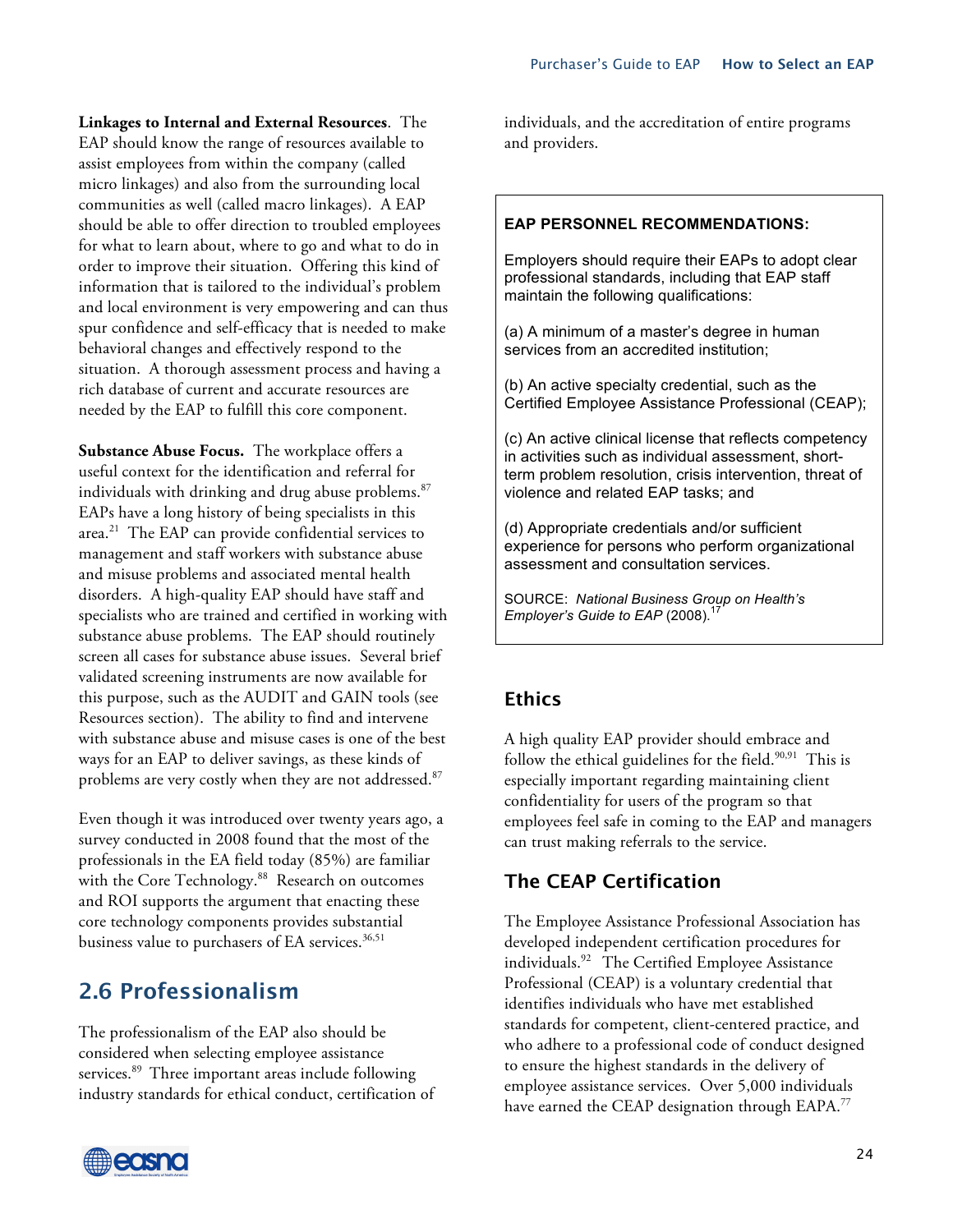**Linkages to Internal and External Resources**. The EAP should know the range of resources available to assist employees from within the company (called micro linkages) and also from the surrounding local communities as well (called macro linkages). A EAP should be able to offer direction to troubled employees for what to learn about, where to go and what to do in order to improve their situation. Offering this kind of information that is tailored to the individual's problem and local environment is very empowering and can thus spur confidence and self-efficacy that is needed to make behavioral changes and effectively respond to the situation. A thorough assessment process and having a rich database of current and accurate resources are needed by the EAP to fulfill this core component.

**Substance Abuse Focus.** The workplace offers a useful context for the identification and referral for individuals with drinking and drug abuse problems.<sup>87</sup> EAPs have a long history of being specialists in this area. <sup>21</sup> The EAP can provide confidential services to management and staff workers with substance abuse and misuse problems and associated mental health disorders. A high-quality EAP should have staff and specialists who are trained and certified in working with substance abuse problems. The EAP should routinely screen all cases for substance abuse issues. Several brief validated screening instruments are now available for this purpose, such as the AUDIT and GAIN tools (see Resources section). The ability to find and intervene with substance abuse and misuse cases is one of the best ways for an EAP to deliver savings, as these kinds of problems are very costly when they are not addressed. 87

Even though it was introduced over twenty years ago, a survey conducted in 2008 found that the most of the professionals in the EA field today (85%) are familiar with the Core Technology. 88 Research on outcomes and ROI supports the argument that enacting these core technology components provides substantial business value to purchasers of EA services.<sup>36,51</sup>

## **2.6 Professionalism**

The professionalism of the EAP also should be considered when selecting employee assistance services.<sup>89</sup> Three important areas include following industry standards for ethical conduct, certification of



individuals, and the accreditation of entire programs and providers.

#### **EAP PERSONNEL RECOMMENDATIONS:**

Employers should require their EAPs to adopt clear professional standards, including that EAP staff maintain the following qualifications:

(a) A minimum of a master's degree in human services from an accredited institution;

(b) An active specialty credential, such as the Certified Employee Assistance Professional (CEAP);

(c) An active clinical license that reflects competency in activities such as individual assessment, shortterm problem resolution, crisis intervention, threat of violence and related EAP tasks; and

(d) Appropriate credentials and/or sufficient experience for persons who perform organizational assessment and consultation services.

SOURCE: *National Business Group on Health's Employer's Guide to EAP* (2008). 17

#### **Ethics**

A high quality EAP provider should embrace and follow the ethical guidelines for the field.<sup>90,91</sup> This is especially important regarding maintaining client confidentiality for users of the program so that employees feel safe in coming to the EAP and managers can trust making referrals to the service.

#### **The CEAP Certification**

The Employee Assistance Professional Association has developed independent certification procedures for individuals. 92 The Certified Employee Assistance Professional (CEAP) is a voluntary credential that identifies individuals who have met established standards for competent, client-centered practice, and who adhere to a professional code of conduct designed to ensure the highest standards in the delivery of employee assistance services. Over 5,000 individuals have earned the CEAP designation through EAPA.<sup>77</sup>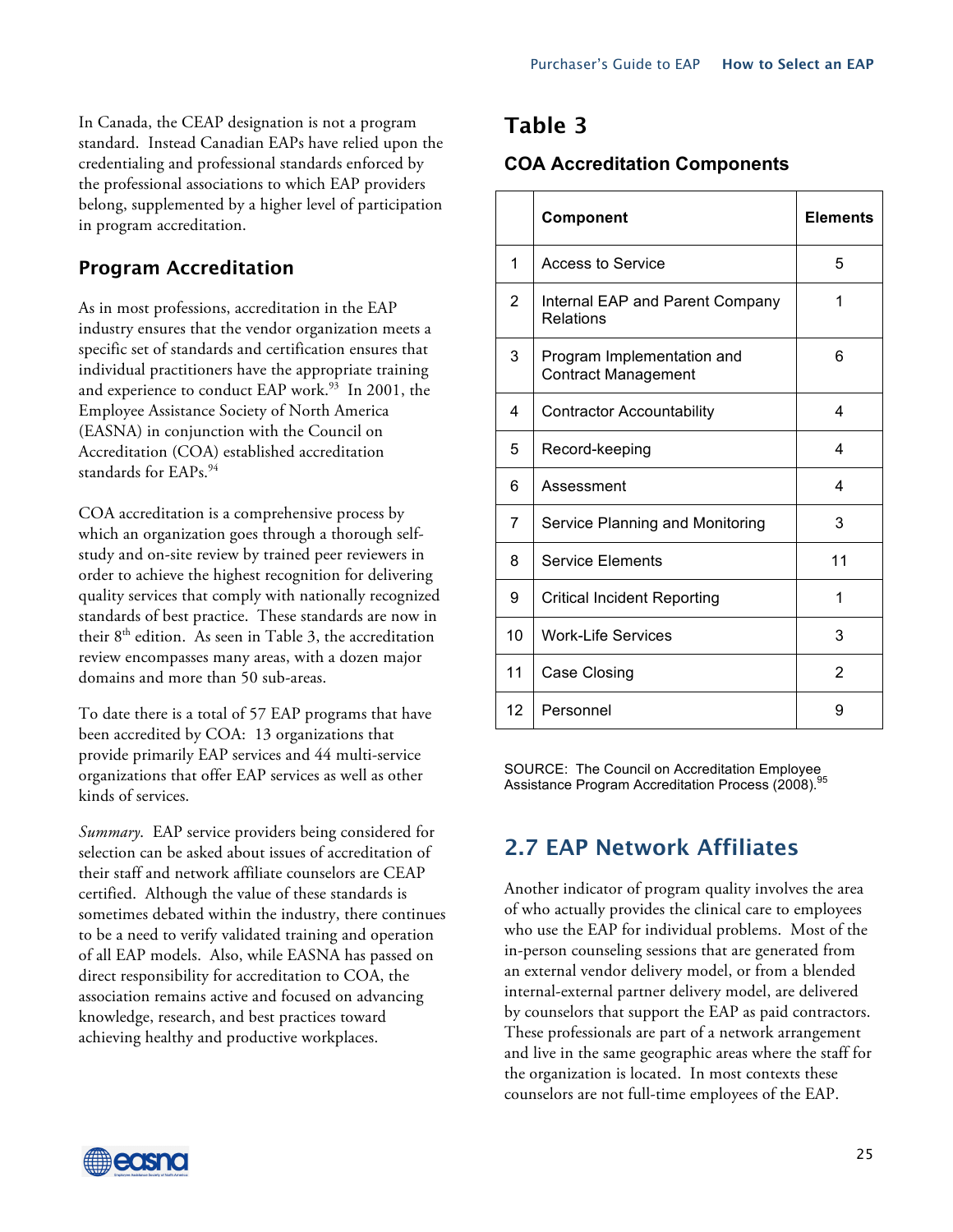In Canada, the CEAP designation is not a program standard. Instead Canadian EAPs have relied upon the credentialing and professional standards enforced by the professional associations to which EAP providers belong, supplemented by a higher level of participation in program accreditation.

### **Program Accreditation**

As in most professions, accreditation in the EAP industry ensures that the vendor organization meets a specific set of standards and certification ensures that individual practitioners have the appropriate training and experience to conduct EAP work.<sup>93</sup> In 2001, the Employee Assistance Society of North America (EASNA) in conjunction with the Council on Accreditation (COA) established accreditation standards for EAPs.<sup>94</sup>

COA accreditation is a comprehensive process by which an organization goes through a thorough selfstudy and on-site review by trained peer reviewers in order to achieve the highest recognition for delivering quality services that comply with nationally recognized standards of best practice. These standards are now in their  $8<sup>th</sup>$  edition. As seen in Table 3, the accreditation review encompasses many areas, with a dozen major domains and more than 50 sub-areas.

To date there is a total of 57 EAP programs that have been accredited by COA: 13 organizations that provide primarily EAP services and 44 multi-service organizations that offer EAP services as well as other kinds of services.

*Summary*. EAP service providers being considered for selection can be asked about issues of accreditation of their staff and network affiliate counselors are CEAP certified. Although the value of these standards is sometimes debated within the industry, there continues to be a need to verify validated training and operation of all EAP models. Also, while EASNA has passed on direct responsibility for accreditation to COA, the association remains active and focused on advancing knowledge, research, and best practices toward achieving healthy and productive workplaces.

## **Table 3**

#### **COA Accreditation Components**

|    | Component                                                | <b>Elements</b> |
|----|----------------------------------------------------------|-----------------|
| 1  | <b>Access to Service</b>                                 | 5               |
| 2  | Internal EAP and Parent Company<br>Relations             | 1               |
| 3  | Program Implementation and<br><b>Contract Management</b> | 6               |
| 4  | <b>Contractor Accountability</b>                         | 4               |
| 5  | Record-keeping                                           | 4               |
| 6  | Assessment                                               | 4               |
| 7  | Service Planning and Monitoring                          | 3               |
| 8  | <b>Service Elements</b>                                  | 11              |
| 9  | Critical Incident Reporting                              | 1               |
| 10 | <b>Work-Life Services</b>                                | 3               |
| 11 | Case Closing                                             | 2               |
| 12 | Personnel                                                | 9               |

SOURCE: The Council on Accreditation Employee Assistance Program Accreditation Process (2008).

## **2.7 EAP Network Affiliates**

Another indicator of program quality involves the area of who actually provides the clinical care to employees who use the EAP for individual problems. Most of the in-person counseling sessions that are generated from an external vendor delivery model, or from a blended internal-external partner delivery model, are delivered by counselors that support the EAP as paid contractors. These professionals are part of a network arrangement and live in the same geographic areas where the staff for the organization is located. In most contexts these counselors are not full-time employees of the EAP.

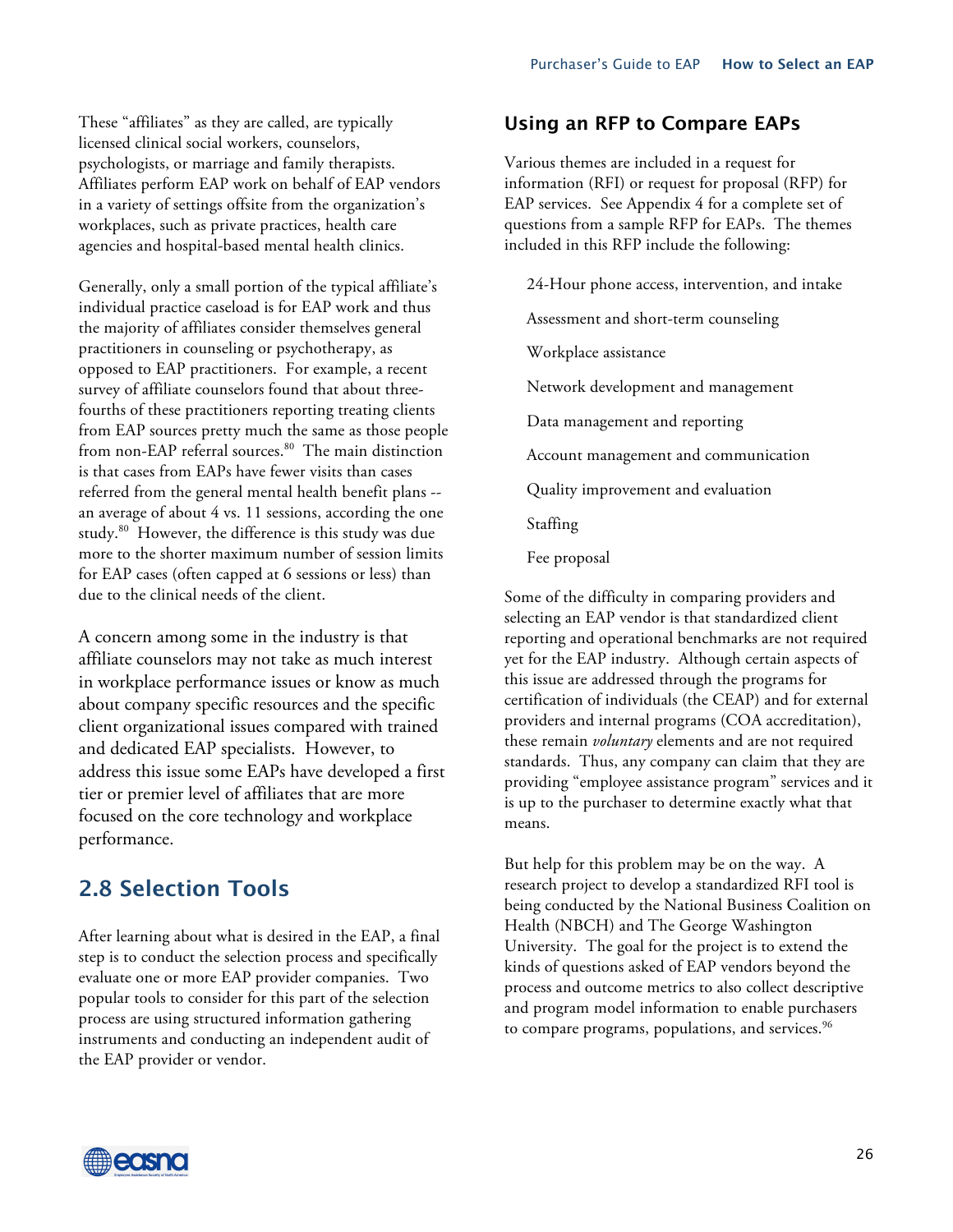These "affiliates" as they are called, are typically licensed clinical social workers, counselors, psychologists, or marriage and family therapists. Affiliates perform EAP work on behalf of EAP vendors in a variety of settings offsite from the organization's workplaces, such as private practices, health care agencies and hospital-based mental health clinics.

Generally, only a small portion of the typical affiliate's individual practice caseload is for EAP work and thus the majority of affiliates consider themselves general practitioners in counseling or psychotherapy, as opposed to EAP practitioners. For example, a recent survey of affiliate counselors found that about threefourths of these practitioners reporting treating clients from EAP sources pretty much the same as those people from non-EAP referral sources. 80 The main distinction is that cases from EAPs have fewer visits than cases referred from the general mental health benefit plans - an average of about 4 vs. 11 sessions, according the one study.80 However, the difference is this study was due more to the shorter maximum number of session limits for EAP cases (often capped at 6 sessions or less) than due to the clinical needs of the client.

A concern among some in the industry is that affiliate counselors may not take as much interest in workplace performance issues or know as much about company specific resources and the specific client organizational issues compared with trained and dedicated EAP specialists. However, to address this issue some EAPs have developed a first tier or premier level of affiliates that are more focused on the core technology and workplace performance.

## **2.8 Selection Tools**

After learning about what is desired in the EAP, a final step is to conduct the selection process and specifically evaluate one or more EAP provider companies. Two popular tools to consider for this part of the selection process are using structured information gathering instruments and conducting an independent audit of the EAP provider or vendor.

#### **Using an RFP to Compare EAPs**

Various themes are included in a request for information (RFI) or request for proposal (RFP) for EAP services. See Appendix 4 for a complete set of questions from a sample RFP for EAPs. The themes included in this RFP include the following:

24-Hour phone access, intervention, and intake Assessment and short-term counseling Workplace assistance Network development and management

Data management and reporting

Account management and communication

Quality improvement and evaluation

Staffing

Fee proposal

Some of the difficulty in comparing providers and selecting an EAP vendor is that standardized client reporting and operational benchmarks are not required yet for the EAP industry. Although certain aspects of this issue are addressed through the programs for certification of individuals (the CEAP) and for external providers and internal programs (COA accreditation), these remain *voluntary* elements and are not required standards. Thus, any company can claim that they are providing "employee assistance program" services and it is up to the purchaser to determine exactly what that means.

But help for this problem may be on the way. A research project to develop a standardized RFI tool is being conducted by the National Business Coalition on Health (NBCH) and The George Washington University. The goal for the project is to extend the kinds of questions asked of EAP vendors beyond the process and outcome metrics to also collect descriptive and program model information to enable purchasers to compare programs, populations, and services. $^{96}$ 

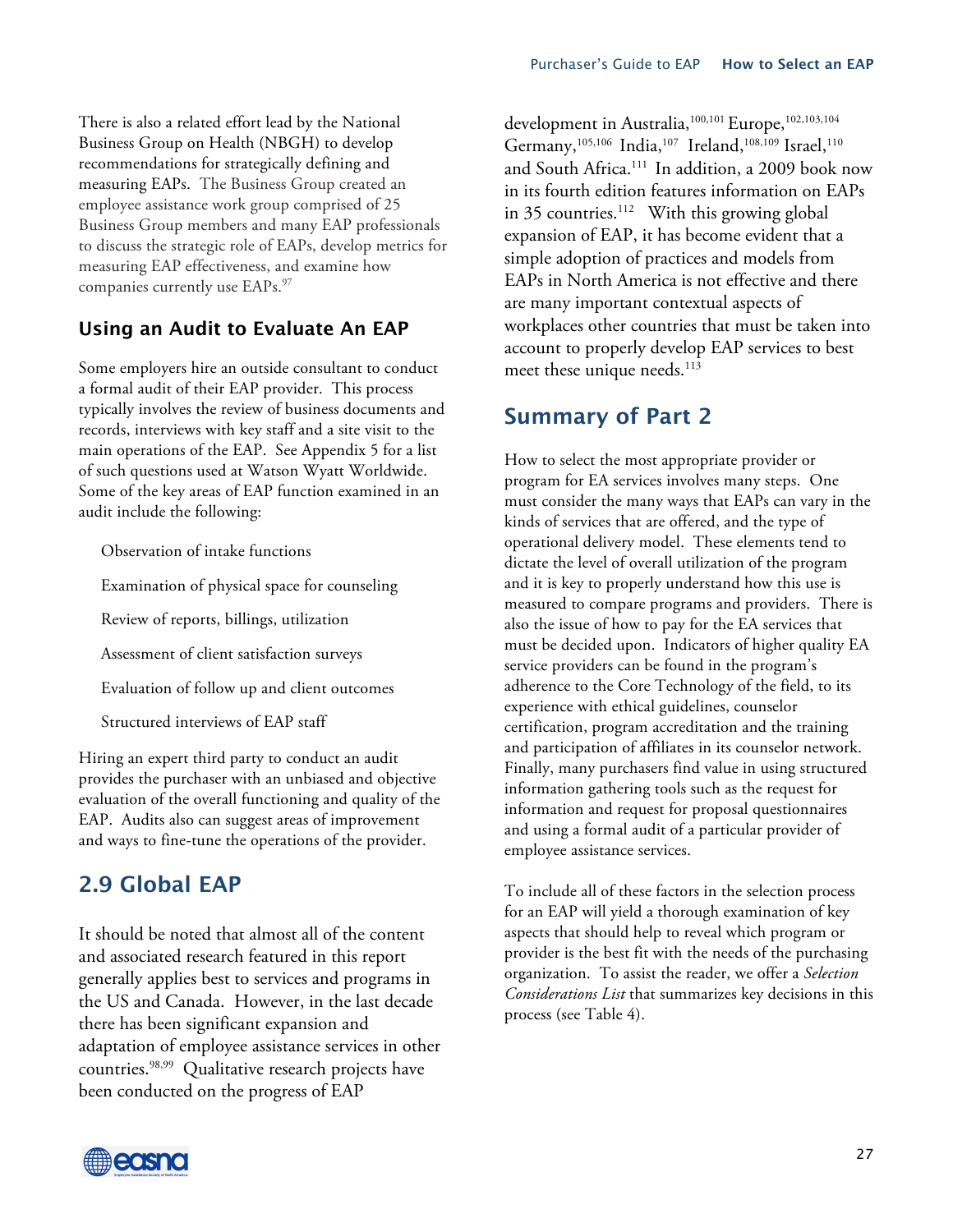There is also a related effort lead by the National Business Group on Health (NBGH) to develop recommendations for strategically defining and measuring EAPs. The Business Group created an employee assistance work group comprised of 25 Business Group members and many EAP professionals to discuss the strategic role of EAPs, develop metrics for measuring EAP effectiveness, and examine how companies currently use EAPs. 97

## **Using an Audit to Evaluate An EAP**

Some employers hire an outside consultant to conduct a formal audit of their EAP provider. This process typically involves the review of business documents and records, interviews with key staff and a site visit to the main operations of the EAP. See Appendix 5 for a list of such questions used at Watson Wyatt Worldwide. Some of the key areas of EAP function examined in an audit include the following:

Observation of intake functions Examination of physical space for counseling Review of reports, billings, utilization Assessment of client satisfaction surveys Evaluation of follow up and client outcomes Structured interviews of EAP staff

Hiring an expert third party to conduct an audit provides the purchaser with an unbiased and objective evaluation of the overall functioning and quality of the EAP. Audits also can suggest areas of improvement and ways to fine-tune the operations of the provider.

## **2.9 Global EAP**

It should be noted that almost all of the content and associated research featured in this report generally applies best to services and programs in the US and Canada. However, in the last decade there has been significant expansion and adaptation of employee assistance services in other countries. 98,99 Qualitative research projects have been conducted on the progress of EAP

development in Australia, 100,101 Europe, 102,103,104 Germany, $^{105,106}$  India, $^{107}$  Ireland, $^{108,109}$  Israel, $^{110}$ and South Africa. <sup>111</sup> In addition, a 2009 book now in its fourth edition features information on EAPs in 35 countries. <sup>112</sup> With this growing global expansion of EAP, it has become evident that a simple adoption of practices and models from EAPs in North America is not effective and there are many important contextual aspects of workplaces other countries that must be taken into account to properly develop EAP services to best meet these unique needs. 113

## **Summary of Part 2**

How to select the most appropriate provider or program for EA services involves many steps. One must consider the many ways that EAPs can vary in the kinds of services that are offered, and the type of operational delivery model. These elements tend to dictate the level of overall utilization of the program and it is key to properly understand how this use is measured to compare programs and providers. There is also the issue of how to pay for the EA services that must be decided upon. Indicators of higher quality EA service providers can be found in the program's adherence to the Core Technology of the field, to its experience with ethical guidelines, counselor certification, program accreditation and the training and participation of affiliates in its counselor network. Finally, many purchasers find value in using structured information gathering tools such as the request for information and request for proposal questionnaires and using a formal audit of a particular provider of employee assistance services.

To include all of these factors in the selection process for an EAP will yield a thorough examination of key aspects that should help to reveal which program or provider is the best fit with the needs of the purchasing organization. To assist the reader, we offer a *Selection Considerations List* that summarizes key decisions in this process (see Table 4).

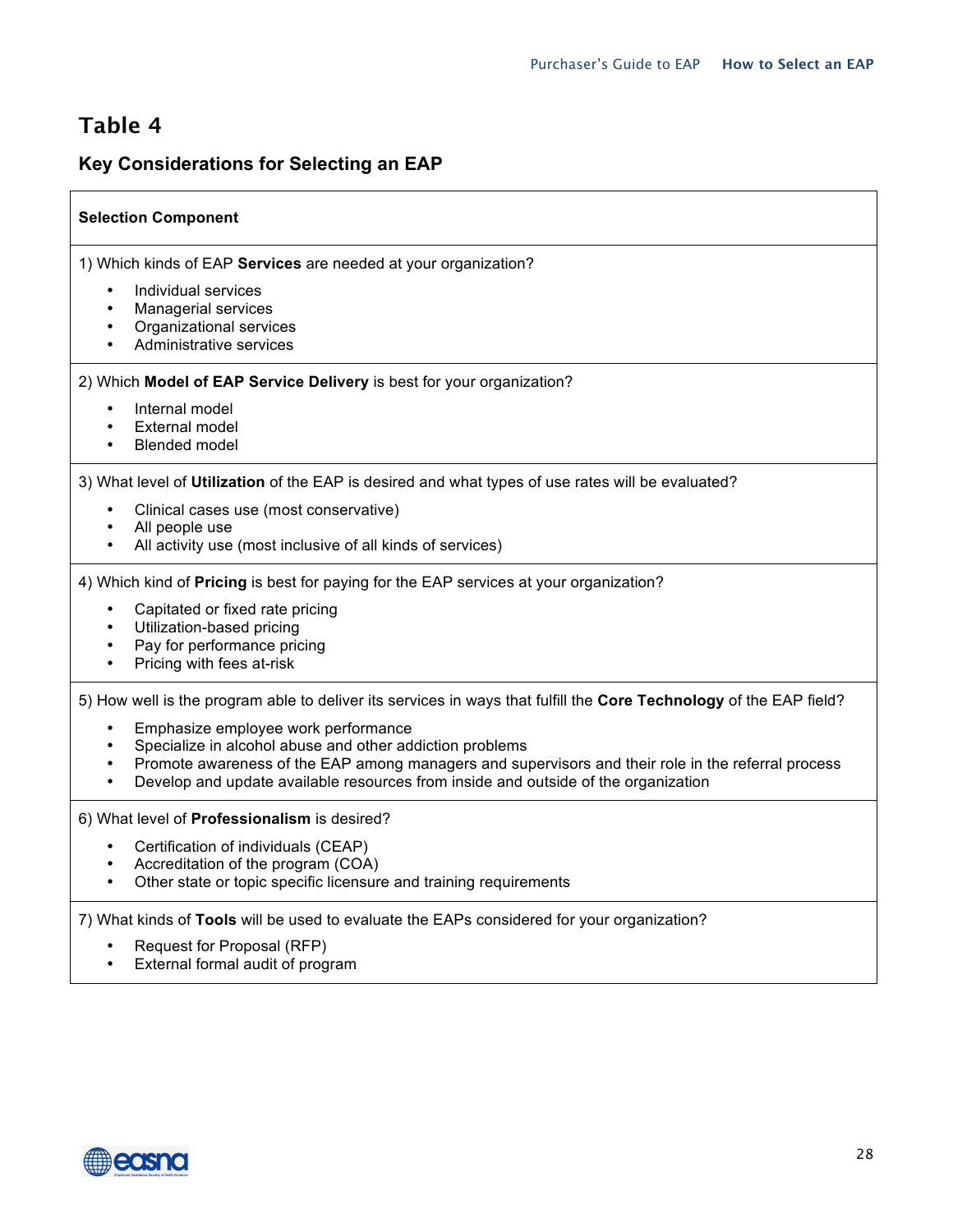## **Table 4**

#### **Key Considerations for Selecting an EAP**

#### **Selection Component**

1) Which kinds of EAP **Services** are needed at your organization?

- Individual services
- Managerial services
- Organizational services
- Administrative services

2) Which **Model of EAP Service Delivery** is best for your organization?

- Internal model
- **External model**
- Blended model

3) What level of **Utilization** of the EAP is desired and what types of use rates will be evaluated?

- Clinical cases use (most conservative)
- All people use
- All activity use (most inclusive of all kinds of services)

4) Which kind of **Pricing** is best for paying for the EAP services at your organization?

- Capitated or fixed rate pricing
- Utilization-based pricing
- Pay for performance pricing
- Pricing with fees at-risk

5) How well is the program able to deliver its services in ways that fulfill the **Core Technology** of the EAP field?

- Emphasize employee work performance
- Specialize in alcohol abuse and other addiction problems
- Promote awareness of the EAP among managers and supervisors and their role in the referral process
- Develop and update available resources from inside and outside of the organization

6) What level of **Professionalism** is desired?

- Certification of individuals (CEAP)
- Accreditation of the program (COA)
- Other state or topic specific licensure and training requirements

7) What kinds of **Tools** will be used to evaluate the EAPs considered for your organization?

- Request for Proposal (RFP)
- External formal audit of program

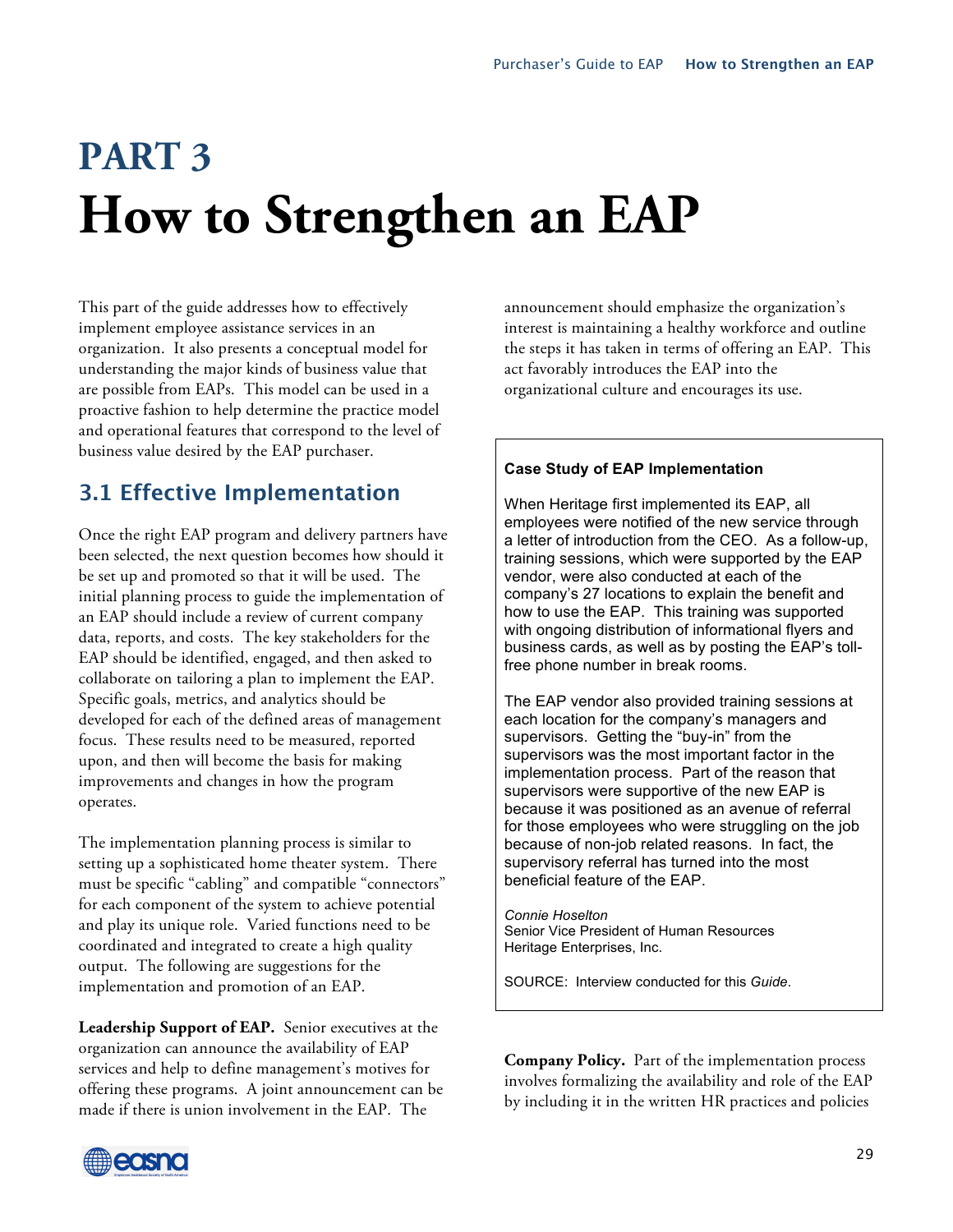# **PART 3 How to Strengthen an EAP**

This part of the guide addresses how to effectively implement employee assistance services in an organization. It also presents a conceptual model for understanding the major kinds of business value that are possible from EAPs. This model can be used in a proactive fashion to help determine the practice model and operational features that correspond to the level of business value desired by the EAP purchaser.

## **3.1 Effective Implementation**

Once the right EAP program and delivery partners have been selected, the next question becomes how should it be set up and promoted so that it will be used. The initial planning process to guide the implementation of an EAP should include a review of current company data, reports, and costs. The key stakeholders for the EAP should be identified, engaged, and then asked to collaborate on tailoring a plan to implement the EAP. Specific goals, metrics, and analytics should be developed for each of the defined areas of management focus. These results need to be measured, reported upon, and then will become the basis for making improvements and changes in how the program operates.

The implementation planning process is similar to setting up a sophisticated home theater system. There must be specific "cabling" and compatible "connectors" for each component of the system to achieve potential and play its unique role. Varied functions need to be coordinated and integrated to create a high quality output. The following are suggestions for the implementation and promotion of an EAP.

**Leadership Support of EAP.** Senior executives at the organization can announce the availability of EAP services and help to define management's motives for offering these programs. A joint announcement can be made if there is union involvement in the EAP. The

announcement should emphasize the organization's interest is maintaining a healthy workforce and outline the steps it has taken in terms of offering an EAP. This act favorably introduces the EAP into the organizational culture and encourages its use.

#### **Case Study of EAP Implementation**

When Heritage first implemented its EAP, all employees were notified of the new service through a letter of introduction from the CEO. As a follow-up, training sessions, which were supported by the EAP vendor, were also conducted at each of the company's 27 locations to explain the benefit and how to use the EAP. This training was supported with ongoing distribution of informational flyers and business cards, as well as by posting the EAP's tollfree phone number in break rooms.

The EAP vendor also provided training sessions at each location for the company's managers and supervisors. Getting the "buy-in" from the supervisors was the most important factor in the implementation process. Part of the reason that supervisors were supportive of the new EAP is because it was positioned as an avenue of referral for those employees who were struggling on the job because of non-job related reasons. In fact, the supervisory referral has turned into the most beneficial feature of the EAP.

*Connie Hoselton* Senior Vice President of Human Resources Heritage Enterprises, Inc.

SOURCE: Interview conducted for this *Guide*.

**Company Policy.** Part of the implementation process involves formalizing the availability and role of the EAP by including it in the written HR practices and policies

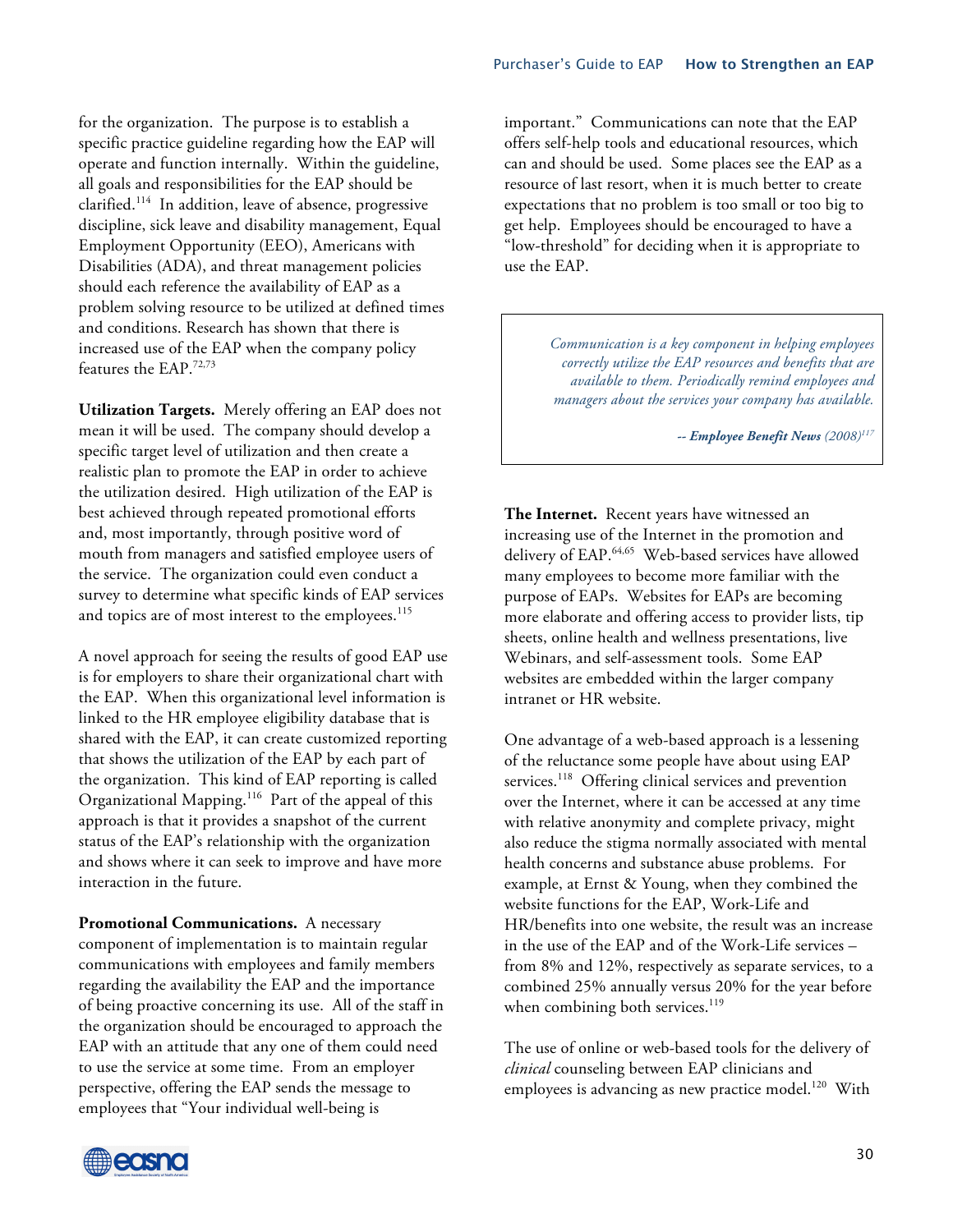for the organization. The purpose is to establish a specific practice guideline regarding how the EAP will operate and function internally. Within the guideline, all goals and responsibilities for the EAP should be clarified. <sup>114</sup> In addition, leave of absence, progressive discipline, sick leave and disability management, Equal Employment Opportunity (EEO), Americans with Disabilities (ADA), and threat management policies should each reference the availability of EAP as a problem solving resource to be utilized at defined times and conditions. Research has shown that there is increased use of the EAP when the company policy features the EAP.72,73

**Utilization Targets.** Merely offering an EAP does not mean it will be used. The company should develop a specific target level of utilization and then create a realistic plan to promote the EAP in order to achieve the utilization desired. High utilization of the EAP is best achieved through repeated promotional efforts and, most importantly, through positive word of mouth from managers and satisfied employee users of the service. The organization could even conduct a survey to determine what specific kinds of EAP services and topics are of most interest to the employees.<sup>115</sup>

A novel approach for seeing the results of good EAP use is for employers to share their organizational chart with the EAP. When this organizational level information is linked to the HR employee eligibility database that is shared with the EAP, it can create customized reporting that shows the utilization of the EAP by each part of the organization. This kind of EAP reporting is called Organizational Mapping. <sup>116</sup> Part of the appeal of this approach is that it provides a snapshot of the current status of the EAP's relationship with the organization and shows where it can seek to improve and have more interaction in the future.

**Promotional Communications.** A necessary component of implementation is to maintain regular communications with employees and family members regarding the availability the EAP and the importance of being proactive concerning its use. All of the staff in the organization should be encouraged to approach the EAP with an attitude that any one of them could need to use the service at some time. From an employer perspective, offering the EAP sends the message to employees that "Your individual well-being is

important." Communications can note that the EAP offers self-help tools and educational resources, which can and should be used. Some places see the EAP as a resource of last resort, when it is much better to create expectations that no problem is too small or too big to get help. Employees should be encouraged to have a "low-threshold" for deciding when it is appropriate to use the EAP.

> *Communication is a key component in helping employees correctly utilize the EAP resources and benefits that are available to them. Periodically remind employees and managers about the services your company has available.*

> > *-- Employee Benefit News (2008)117*

**The Internet.** Recent years have witnessed an increasing use of the Internet in the promotion and delivery of EAP. 64,65 Web-based services have allowed many employees to become more familiar with the purpose of EAPs. Websites for EAPs are becoming more elaborate and offering access to provider lists, tip sheets, online health and wellness presentations, live Webinars, and self-assessment tools. Some EAP websites are embedded within the larger company intranet or HR website.

One advantage of a web-based approach is a lessening of the reluctance some people have about using EAP services.<sup>118</sup> Offering clinical services and prevention over the Internet, where it can be accessed at any time with relative anonymity and complete privacy, might also reduce the stigma normally associated with mental health concerns and substance abuse problems. For example, at Ernst & Young, when they combined the website functions for the EAP, Work-Life and HR/benefits into one website, the result was an increase in the use of the EAP and of the Work-Life services – from 8% and 12%, respectively as separate services, to a combined 25% annually versus 20% for the year before when combining both services. 119

The use of online or web-based tools for the delivery of *clinical* counseling between EAP clinicians and employees is advancing as new practice model.<sup>120</sup> With

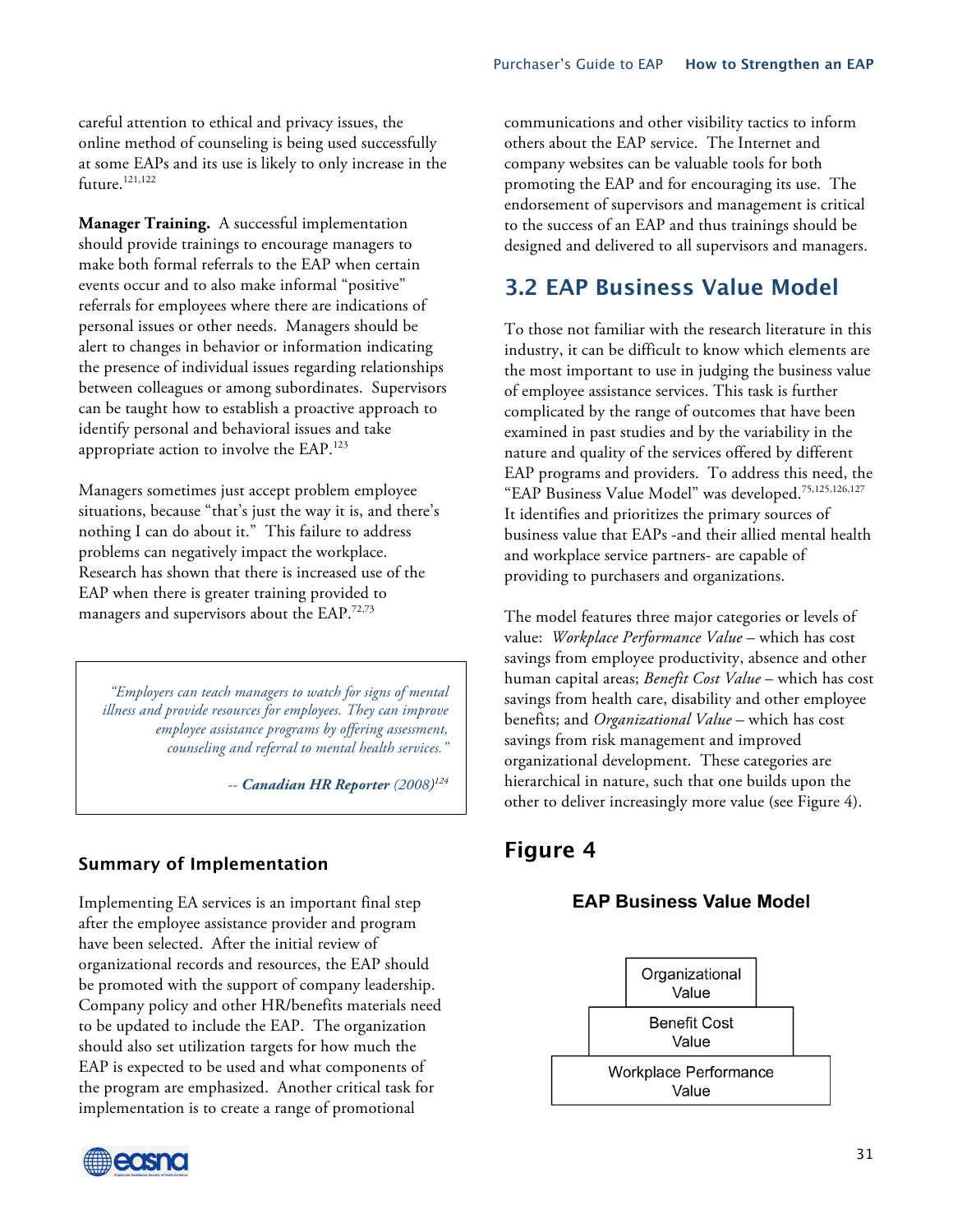careful attention to ethical and privacy issues, the online method of counseling is being used successfully at some EAPs and its use is likely to only increase in the future. 121,122

**Manager Training.** A successful implementation should provide trainings to encourage managers to make both formal referrals to the EAP when certain events occur and to also make informal "positive" referrals for employees where there are indications of personal issues or other needs. Managers should be alert to changes in behavior or information indicating the presence of individual issues regarding relationships between colleagues or among subordinates. Supervisors can be taught how to establish a proactive approach to identify personal and behavioral issues and take appropriate action to involve the EAP.<sup>123</sup>

Managers sometimes just accept problem employee situations, because "that's just the way it is, and there's nothing I can do about it." This failure to address problems can negatively impact the workplace. Research has shown that there is increased use of the EAP when there is greater training provided to managers and supervisors about the EAP.<sup>72,73</sup>

*"Employers can teach managers to watch for signs of mental illness and provide resources for employees. They can improve employee assistance programs by offering assessment, counseling and referral to mental health services."* 

*-- Canadian HR Reporter (2008) 124*

#### **Summary of Implementation**

Implementing EA services is an important final step after the employee assistance provider and program have been selected. After the initial review of organizational records and resources, the EAP should be promoted with the support of company leadership. Company policy and other HR/benefits materials need to be updated to include the EAP. The organization should also set utilization targets for how much the EAP is expected to be used and what components of the program are emphasized. Another critical task for implementation is to create a range of promotional



communications and other visibility tactics to inform others about the EAP service. The Internet and company websites can be valuable tools for both promoting the EAP and for encouraging its use. The endorsement of supervisors and management is critical to the success of an EAP and thus trainings should be designed and delivered to all supervisors and managers.

## **3.2 EAP Business Value Model**

To those not familiar with the research literature in this industry, it can be difficult to know which elements are the most important to use in judging the business value of employee assistance services. This task is further complicated by the range of outcomes that have been examined in past studies and by the variability in the nature and quality of the services offered by different EAP programs and providers. To address this need, the "EAP Business Value Model" was developed. 75,125,126,127 It identifies and prioritizes the primary sources of business value that EAPs -and their allied mental health and workplace service partners- are capable of providing to purchasers and organizations.

The model features three major categories or levels of value: *Workplace Performance Value* – which has cost savings from employee productivity, absence and other human capital areas; *Benefit Cost Value* – which has cost savings from health care, disability and other employee benefits; and *Organizational Value* – which has cost savings from risk management and improved organizational development. These categories are hierarchical in nature, such that one builds upon the other to deliver increasingly more value (see Figure 4).

## **Figure 4**

#### **EAP Business Value Model**

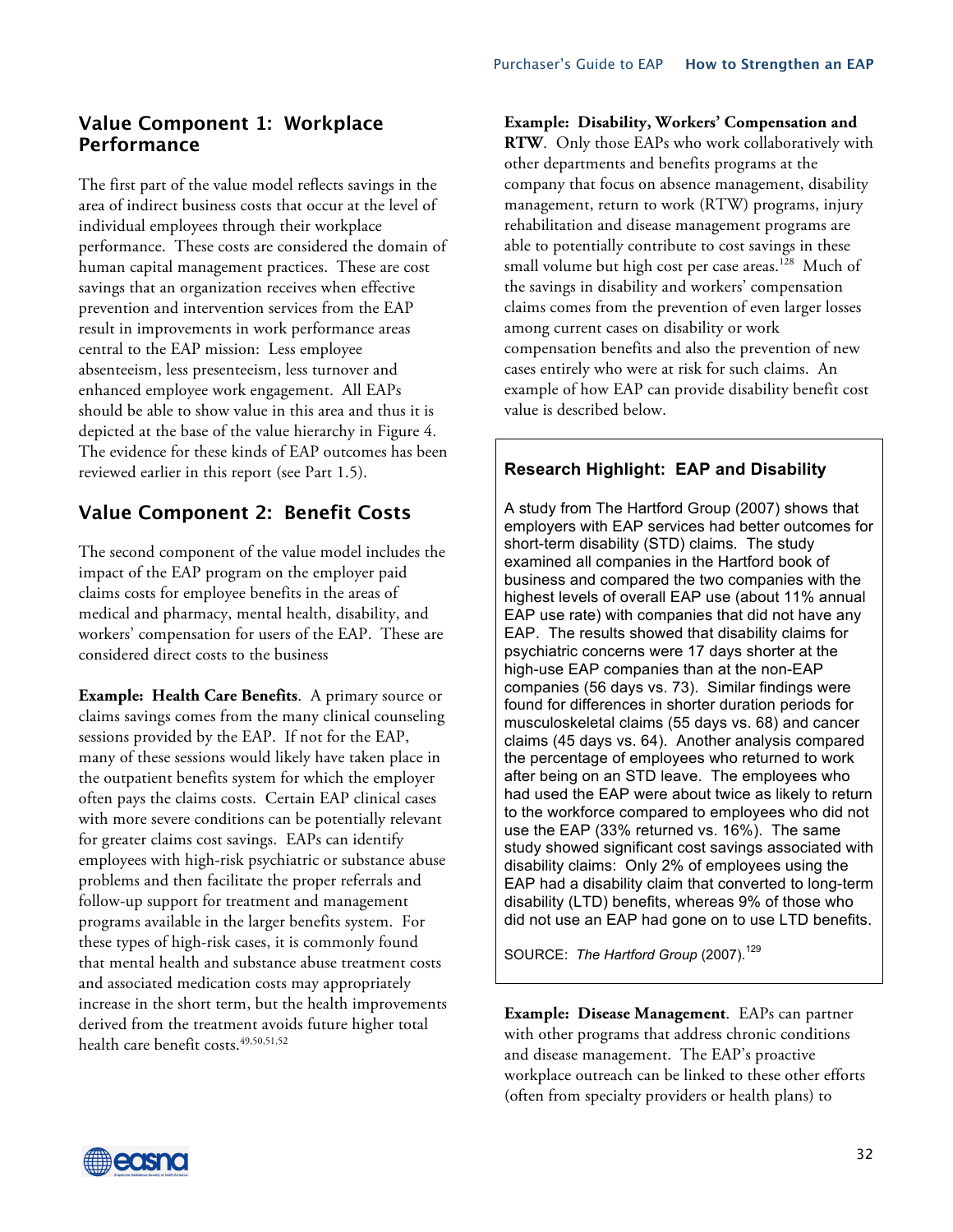### **Value Component 1: Workplace Performance**

The first part of the value model reflects savings in the area of indirect business costs that occur at the level of individual employees through their workplace performance. These costs are considered the domain of human capital management practices. These are cost savings that an organization receives when effective prevention and intervention services from the EAP result in improvements in work performance areas central to the EAP mission: Less employee absenteeism, less presenteeism, less turnover and enhanced employee work engagement. All EAPs should be able to show value in this area and thus it is depicted at the base of the value hierarchy in Figure 4. The evidence for these kinds of EAP outcomes has been reviewed earlier in this report (see Part 1.5).

## **Value Component 2: Benefit Costs**

The second component of the value model includes the impact of the EAP program on the employer paid claims costs for employee benefits in the areas of medical and pharmacy, mental health, disability, and workers' compensation for users of the EAP. These are considered direct costs to the business

**Example: Health Care Benefits**. A primary source or claims savings comes from the many clinical counseling sessions provided by the EAP. If not for the EAP, many of these sessions would likely have taken place in the outpatient benefits system for which the employer often pays the claims costs. Certain EAP clinical cases with more severe conditions can be potentially relevant for greater claims cost savings. EAPs can identify employees with high-risk psychiatric or substance abuse problems and then facilitate the proper referrals and follow-up support for treatment and management programs available in the larger benefits system. For these types of high-risk cases, it is commonly found that mental health and substance abuse treatment costs and associated medication costs may appropriately increase in the short term, but the health improvements derived from the treatment avoids future higher total health care benefit costs. 49,50,51,52

#### **Example: Disability, Workers' Compensation and**

**RTW**. Only those EAPs who work collaboratively with other departments and benefits programs at the company that focus on absence management, disability management, return to work (RTW) programs, injury rehabilitation and disease management programs are able to potentially contribute to cost savings in these small volume but high cost per case areas.<sup>128</sup> Much of the savings in disability and workers' compensation claims comes from the prevention of even larger losses among current cases on disability or work compensation benefits and also the prevention of new cases entirely who were at risk for such claims. An example of how EAP can provide disability benefit cost value is described below.

### **Research Highlight: EAP and Disability**

A study from The Hartford Group (2007) shows that employers with EAP services had better outcomes for short-term disability (STD) claims. The study examined all companies in the Hartford book of business and compared the two companies with the highest levels of overall EAP use (about 11% annual EAP use rate) with companies that did not have any EAP. The results showed that disability claims for psychiatric concerns were 17 days shorter at the high-use EAP companies than at the non-EAP companies (56 days vs. 73). Similar findings were found for differences in shorter duration periods for musculoskeletal claims (55 days vs. 68) and cancer claims (45 days vs. 64). Another analysis compared the percentage of employees who returned to work after being on an STD leave. The employees who had used the EAP were about twice as likely to return to the workforce compared to employees who did not use the EAP (33% returned vs. 16%). The same study showed significant cost savings associated with disability claims: Only 2% of employees using the EAP had a disability claim that converted to long-term disability (LTD) benefits, whereas 9% of those who did not use an EAP had gone on to use LTD benefits.

SOURCE: The Hartford Group (2007).<sup>129</sup>

**Example: Disease Management**. EAPs can partner with other programs that address chronic conditions and disease management. The EAP's proactive workplace outreach can be linked to these other efforts (often from specialty providers or health plans) to

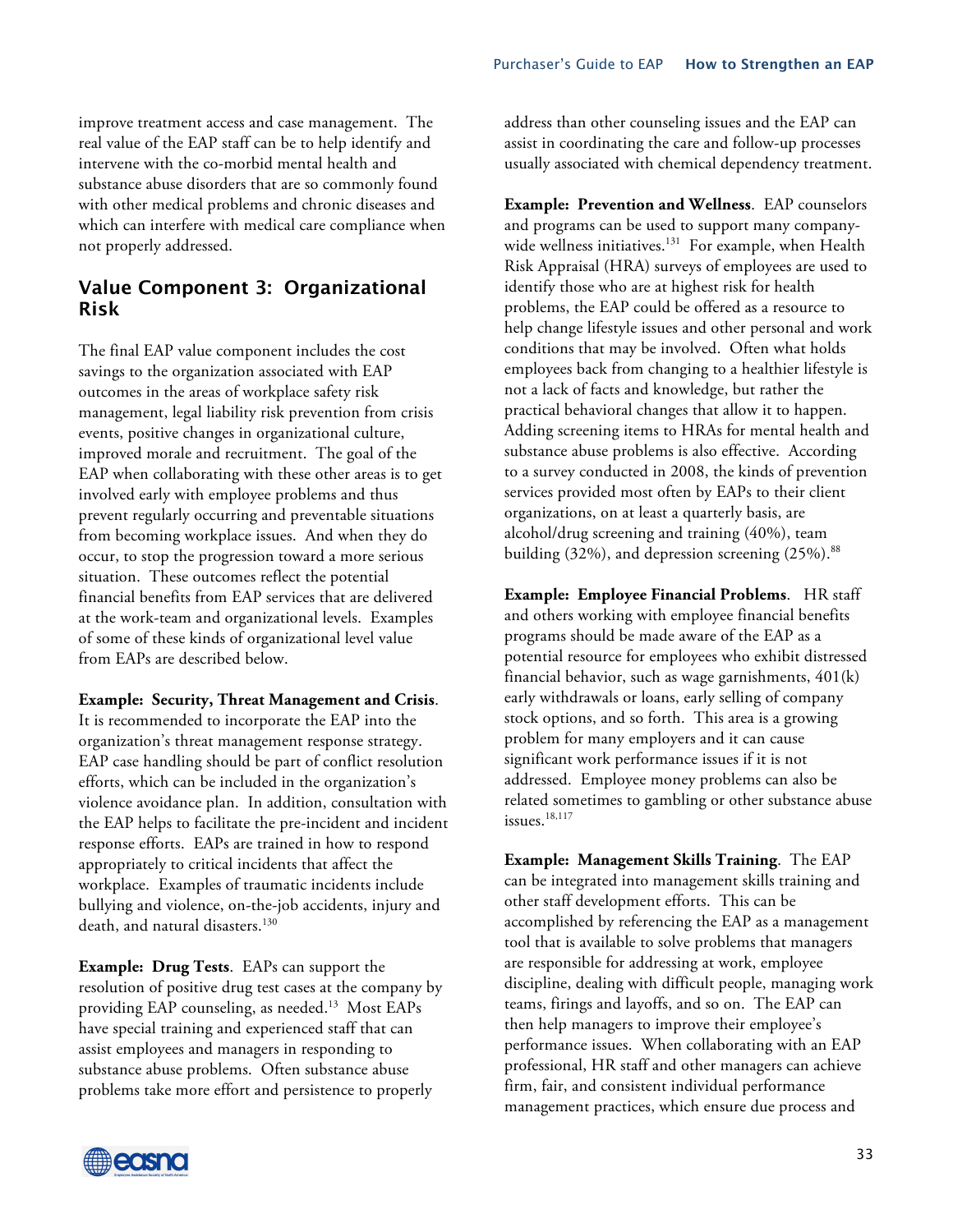improve treatment access and case management. The real value of the EAP staff can be to help identify and intervene with the co-morbid mental health and substance abuse disorders that are so commonly found with other medical problems and chronic diseases and which can interfere with medical care compliance when not properly addressed.

### **Value Component 3: Organizational Risk**

The final EAP value component includes the cost savings to the organization associated with EAP outcomes in the areas of workplace safety risk management, legal liability risk prevention from crisis events, positive changes in organizational culture, improved morale and recruitment. The goal of the EAP when collaborating with these other areas is to get involved early with employee problems and thus prevent regularly occurring and preventable situations from becoming workplace issues. And when they do occur, to stop the progression toward a more serious situation. These outcomes reflect the potential financial benefits from EAP services that are delivered at the work-team and organizational levels. Examples of some of these kinds of organizational level value from EAPs are described below.

#### **Example: Security, Threat Management and Crisis**.

It is recommended to incorporate the EAP into the organization's threat management response strategy. EAP case handling should be part of conflict resolution efforts, which can be included in the organization's violence avoidance plan. In addition, consultation with the EAP helps to facilitate the pre-incident and incident response efforts. EAPs are trained in how to respond appropriately to critical incidents that affect the workplace. Examples of traumatic incidents include bullying and violence, on-the-job accidents, injury and death, and natural disasters.<sup>130</sup>

**Example: Drug Tests**. EAPs can support the resolution of positive drug test cases at the company by providing EAP counseling, as needed.<sup>13</sup> Most EAPs have special training and experienced staff that can assist employees and managers in responding to substance abuse problems. Often substance abuse problems take more effort and persistence to properly

address than other counseling issues and the EAP can assist in coordinating the care and follow-up processes usually associated with chemical dependency treatment.

**Example: Prevention and Wellness**. EAP counselors and programs can be used to support many companywide wellness initiatives.<sup>131</sup> For example, when Health Risk Appraisal (HRA) surveys of employees are used to identify those who are at highest risk for health problems, the EAP could be offered as a resource to help change lifestyle issues and other personal and work conditions that may be involved. Often what holds employees back from changing to a healthier lifestyle is not a lack of facts and knowledge, but rather the practical behavioral changes that allow it to happen. Adding screening items to HRAs for mental health and substance abuse problems is also effective. According to a survey conducted in 2008, the kinds of prevention services provided most often by EAPs to their client organizations, on at least a quarterly basis, are alcohol/drug screening and training (40%), team building (32%), and depression screening (25%).<sup>88</sup>

**Example: Employee Financial Problems**. HR staff and others working with employee financial benefits programs should be made aware of the EAP as a potential resource for employees who exhibit distressed financial behavior, such as wage garnishments, 401(k) early withdrawals or loans, early selling of company stock options, and so forth. This area is a growing problem for many employers and it can cause significant work performance issues if it is not addressed. Employee money problems can also be related sometimes to gambling or other substance abuse issues. $18,117$ 

**Example: Management Skills Training**.The EAP can be integrated into management skills training and other staff development efforts. This can be accomplished by referencing the EAP as a management tool that is available to solve problems that managers are responsible for addressing at work, employee discipline, dealing with difficult people, managing work teams, firings and layoffs, and so on. The EAP can then help managers to improve their employee's performance issues. When collaborating with an EAP professional, HR staff and other managers can achieve firm, fair, and consistent individual performance management practices, which ensure due process and

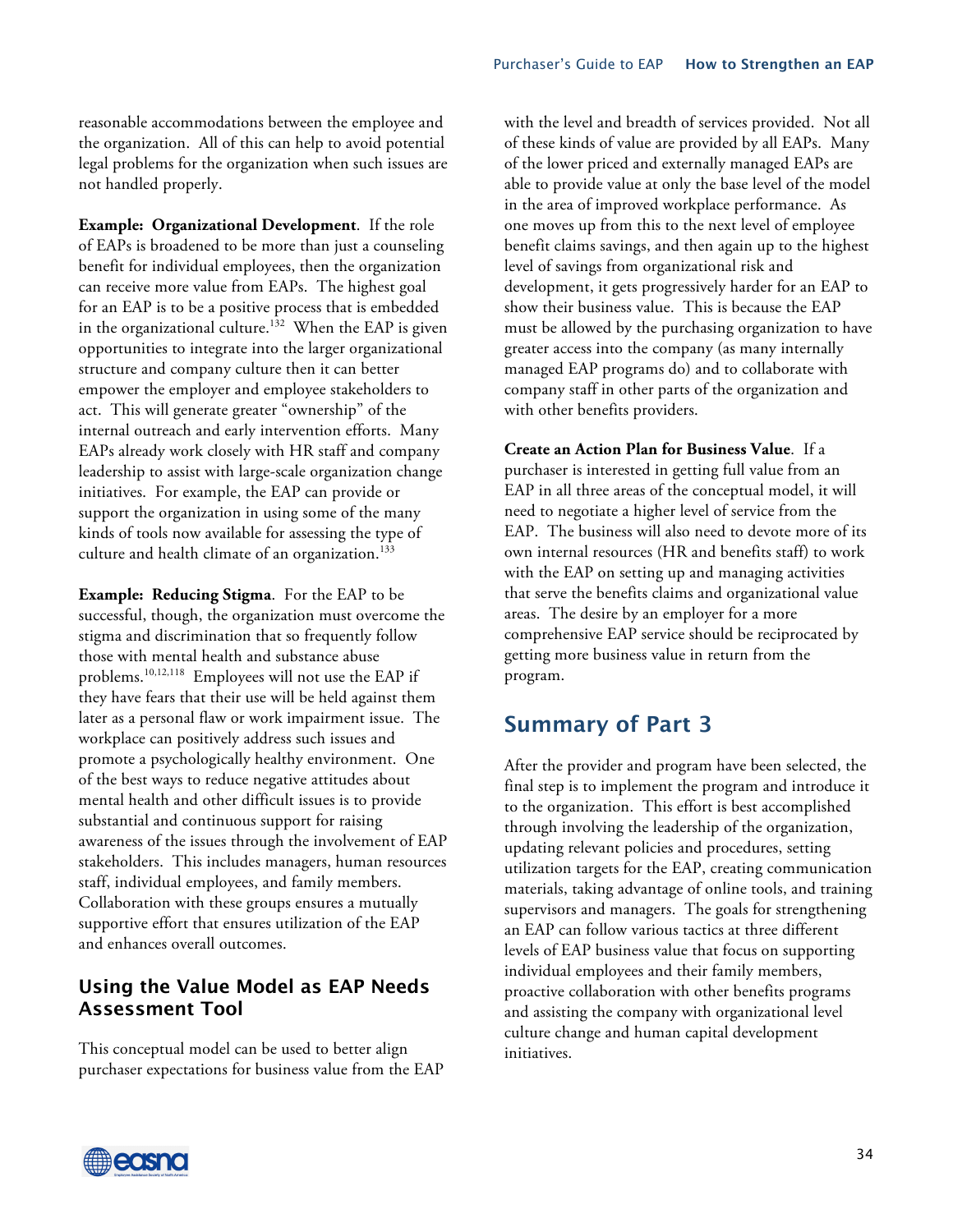reasonable accommodations between the employee and the organization. All of this can help to avoid potential legal problems for the organization when such issues are not handled properly.

**Example: Organizational Development**. If the role of EAPs is broadened to be more than just a counseling benefit for individual employees, then the organization can receive more value from EAPs. The highest goal for an EAP is to be a positive process that is embedded in the organizational culture.<sup>132</sup> When the EAP is given opportunities to integrate into the larger organizational structure and company culture then it can better empower the employer and employee stakeholders to act. This will generate greater "ownership" of the internal outreach and early intervention efforts. Many EAPs already work closely with HR staff and company leadership to assist with large-scale organization change initiatives. For example, the EAP can provide or support the organization in using some of the many kinds of tools now available for assessing the type of culture and health climate of an organization. $133$ 

**Example: Reducing Stigma**. For the EAP to be successful, though, the organization must overcome the stigma and discrimination that so frequently follow those with mental health and substance abuse problems.10,12,118 Employees will not use the EAP if they have fears that their use will be held against them later as a personal flaw or work impairment issue. The workplace can positively address such issues and promote a psychologically healthy environment. One of the best ways to reduce negative attitudes about mental health and other difficult issues is to provide substantial and continuous support for raising awareness of the issues through the involvement of EAP stakeholders. This includes managers, human resources staff, individual employees, and family members. Collaboration with these groups ensures a mutually supportive effort that ensures utilization of the EAP and enhances overall outcomes.

#### **Using the Value Model as EAP Needs Assessment Tool**

This conceptual model can be used to better align purchaser expectations for business value from the EAP with the level and breadth of services provided. Not all of these kinds of value are provided by all EAPs. Many of the lower priced and externally managed EAPs are able to provide value at only the base level of the model in the area of improved workplace performance. As one moves up from this to the next level of employee benefit claims savings, and then again up to the highest level of savings from organizational risk and development, it gets progressively harder for an EAP to show their business value. This is because the EAP must be allowed by the purchasing organization to have greater access into the company (as many internally managed EAP programs do) and to collaborate with company staff in other parts of the organization and with other benefits providers.

**Create an Action Plan for Business Value**. If a purchaser is interested in getting full value from an EAP in all three areas of the conceptual model, it will need to negotiate a higher level of service from the EAP. The business will also need to devote more of its own internal resources (HR and benefits staff) to work with the EAP on setting up and managing activities that serve the benefits claims and organizational value areas. The desire by an employer for a more comprehensive EAP service should be reciprocated by getting more business value in return from the program.

## **Summary of Part 3**

After the provider and program have been selected, the final step is to implement the program and introduce it to the organization. This effort is best accomplished through involving the leadership of the organization, updating relevant policies and procedures, setting utilization targets for the EAP, creating communication materials, taking advantage of online tools, and training supervisors and managers. The goals for strengthening an EAP can follow various tactics at three different levels of EAP business value that focus on supporting individual employees and their family members, proactive collaboration with other benefits programs and assisting the company with organizational level culture change and human capital development initiatives.

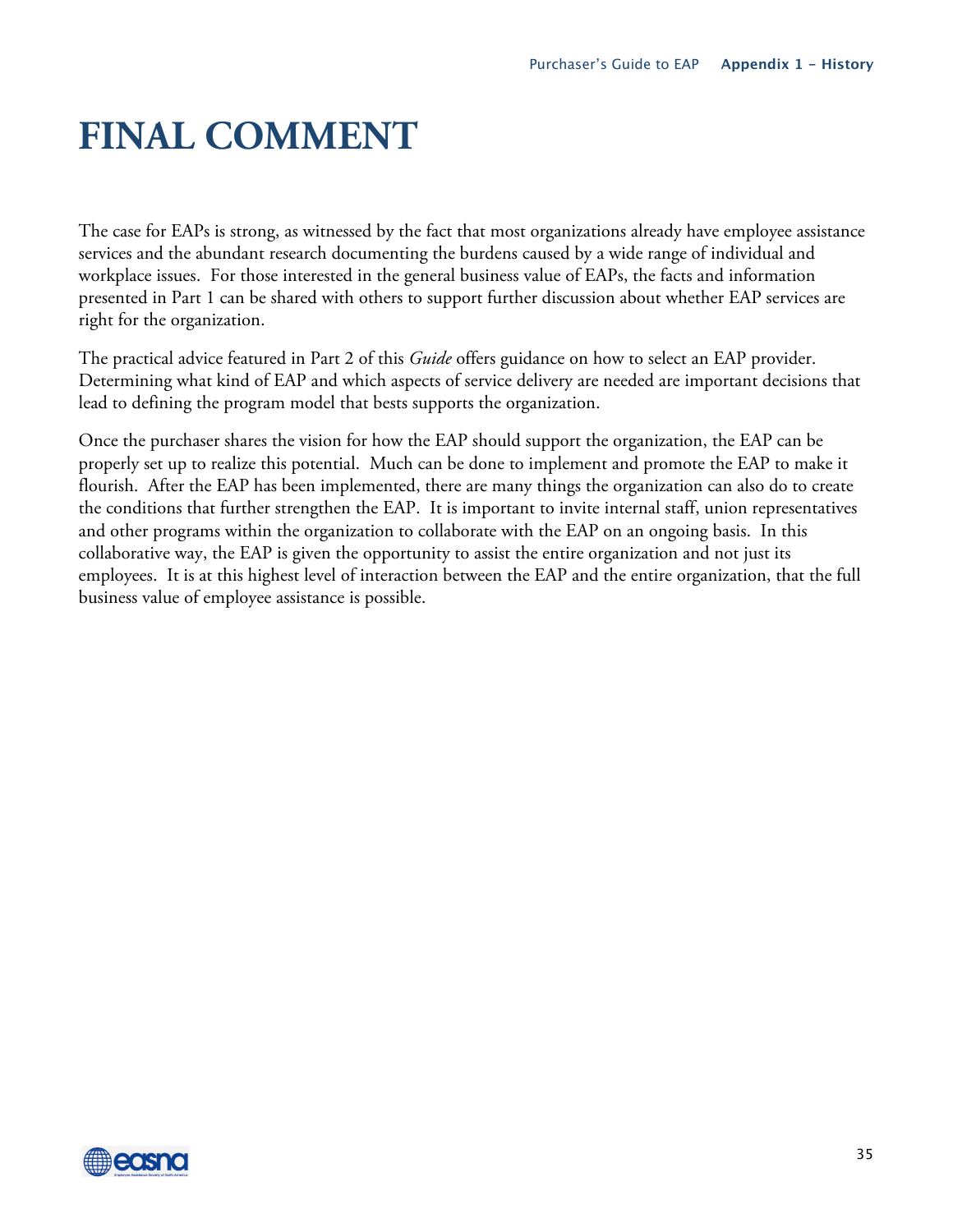## **FINAL COMMENT**

The case for EAPs is strong, as witnessed by the fact that most organizations already have employee assistance services and the abundant research documenting the burdens caused by a wide range of individual and workplace issues. For those interested in the general business value of EAPs, the facts and information presented in Part 1 can be shared with others to support further discussion about whether EAP services are right for the organization.

The practical advice featured in Part 2 of this *Guide* offers guidance on how to select an EAP provider. Determining what kind of EAP and which aspects of service delivery are needed are important decisions that lead to defining the program model that bests supports the organization.

Once the purchaser shares the vision for how the EAP should support the organization, the EAP can be properly set up to realize this potential. Much can be done to implement and promote the EAP to make it flourish. After the EAP has been implemented, there are many things the organization can also do to create the conditions that further strengthen the EAP. It is important to invite internal staff, union representatives and other programs within the organization to collaborate with the EAP on an ongoing basis. In this collaborative way, the EAP is given the opportunity to assist the entire organization and not just its employees. It is at this highest level of interaction between the EAP and the entire organization, that the full business value of employee assistance is possible.

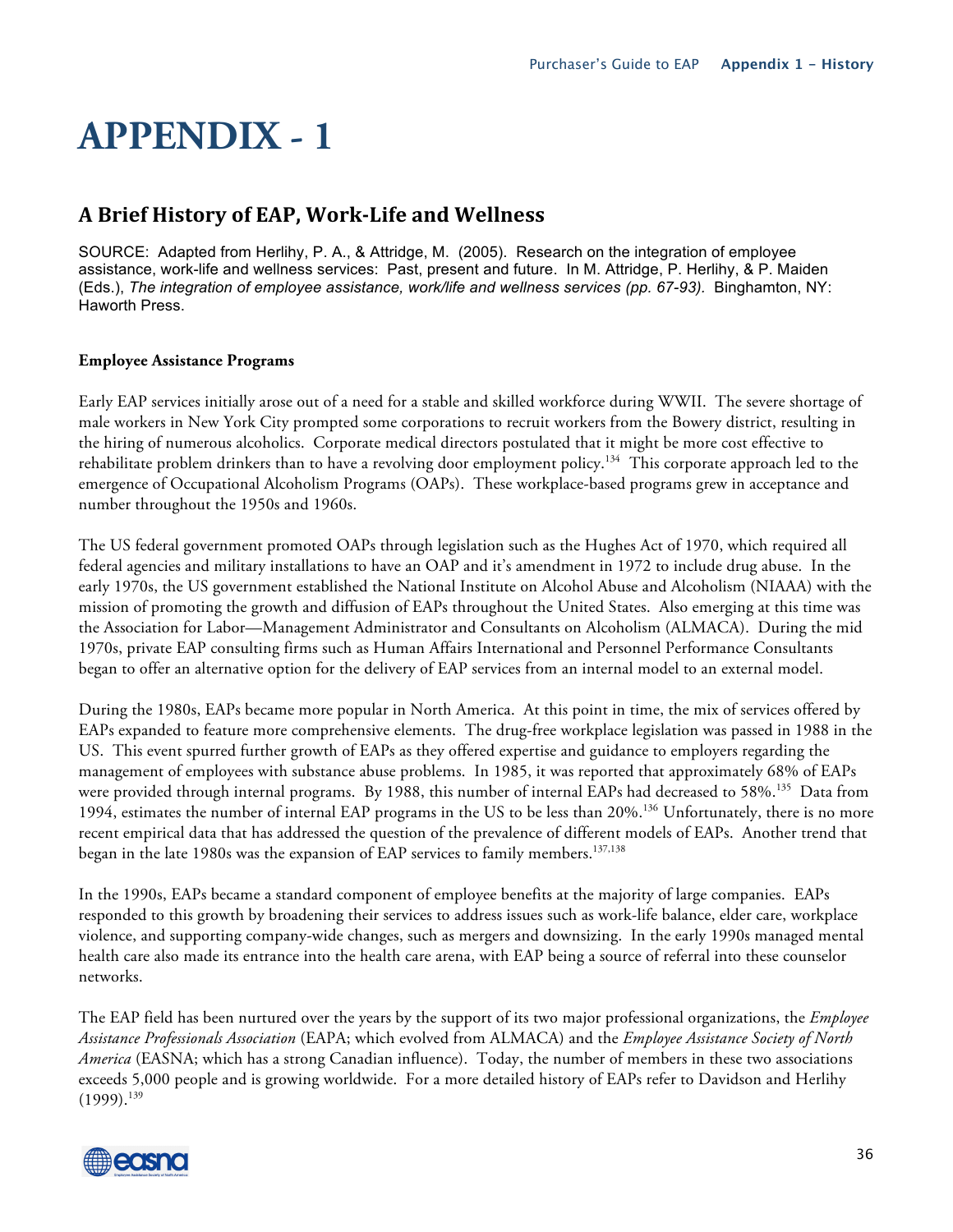## **A Brief History of EAP, WorkLife and Wellness**

SOURCE: Adapted from Herlihy, P. A., & Attridge, M. (2005). Research on the integration of employee assistance, work-life and wellness services: Past, present and future. In M. Attridge, P. Herlihy, & P. Maiden (Eds.), *The integration of employee assistance, work/life and wellness services (pp. 67-93).* Binghamton, NY: Haworth Press.

#### **Employee Assistance Programs**

Early EAP services initially arose out of a need for a stable and skilled workforce during WWII. The severe shortage of male workers in New York City prompted some corporations to recruit workers from the Bowery district, resulting in the hiring of numerous alcoholics. Corporate medical directors postulated that it might be more cost effective to rehabilitate problem drinkers than to have a revolving door employment policy.<sup>134</sup> This corporate approach led to the emergence of Occupational Alcoholism Programs (OAPs). These workplace-based programs grew in acceptance and number throughout the 1950s and 1960s.

The US federal government promoted OAPs through legislation such as the Hughes Act of 1970, which required all federal agencies and military installations to have an OAP and it's amendment in 1972 to include drug abuse. In the early 1970s, the US government established the National Institute on Alcohol Abuse and Alcoholism (NIAAA) with the mission of promoting the growth and diffusion of EAPs throughout the United States. Also emerging at this time was the Association for Labor—Management Administrator and Consultants on Alcoholism (ALMACA). During the mid 1970s, private EAP consulting firms such as Human Affairs International and Personnel Performance Consultants began to offer an alternative option for the delivery of EAP services from an internal model to an external model.

During the 1980s, EAPs became more popular in North America. At this point in time, the mix of services offered by EAPs expanded to feature more comprehensive elements. The drug-free workplace legislation was passed in 1988 in the US. This event spurred further growth of EAPs as they offered expertise and guidance to employers regarding the management of employees with substance abuse problems. In 1985, it was reported that approximately 68% of EAPs were provided through internal programs. By 1988, this number of internal EAPs had decreased to 58%.<sup>135</sup> Data from 1994, estimates the number of internal EAP programs in the US to be less than 20%.<sup>136</sup> Unfortunately, there is no more recent empirical data that has addressed the question of the prevalence of different models of EAPs. Another trend that began in the late 1980s was the expansion of EAP services to family members.<sup>137,138</sup>

In the 1990s, EAPs became a standard component of employee benefits at the majority of large companies. EAPs responded to this growth by broadening their services to address issues such as work-life balance, elder care, workplace violence, and supporting company-wide changes, such as mergers and downsizing. In the early 1990s managed mental health care also made its entrance into the health care arena, with EAP being a source of referral into these counselor networks.

The EAP field has been nurtured over the years by the support of its two major professional organizations, the *Employee Assistance Professionals Association* (EAPA; which evolved from ALMACA) and the *Employee Assistance Society of North America* (EASNA; which has a strong Canadian influence). Today, the number of members in these two associations exceeds 5,000 people and is growing worldwide. For a more detailed history of EAPs refer to Davidson and Herlihy  $(1999).^{139}$ 

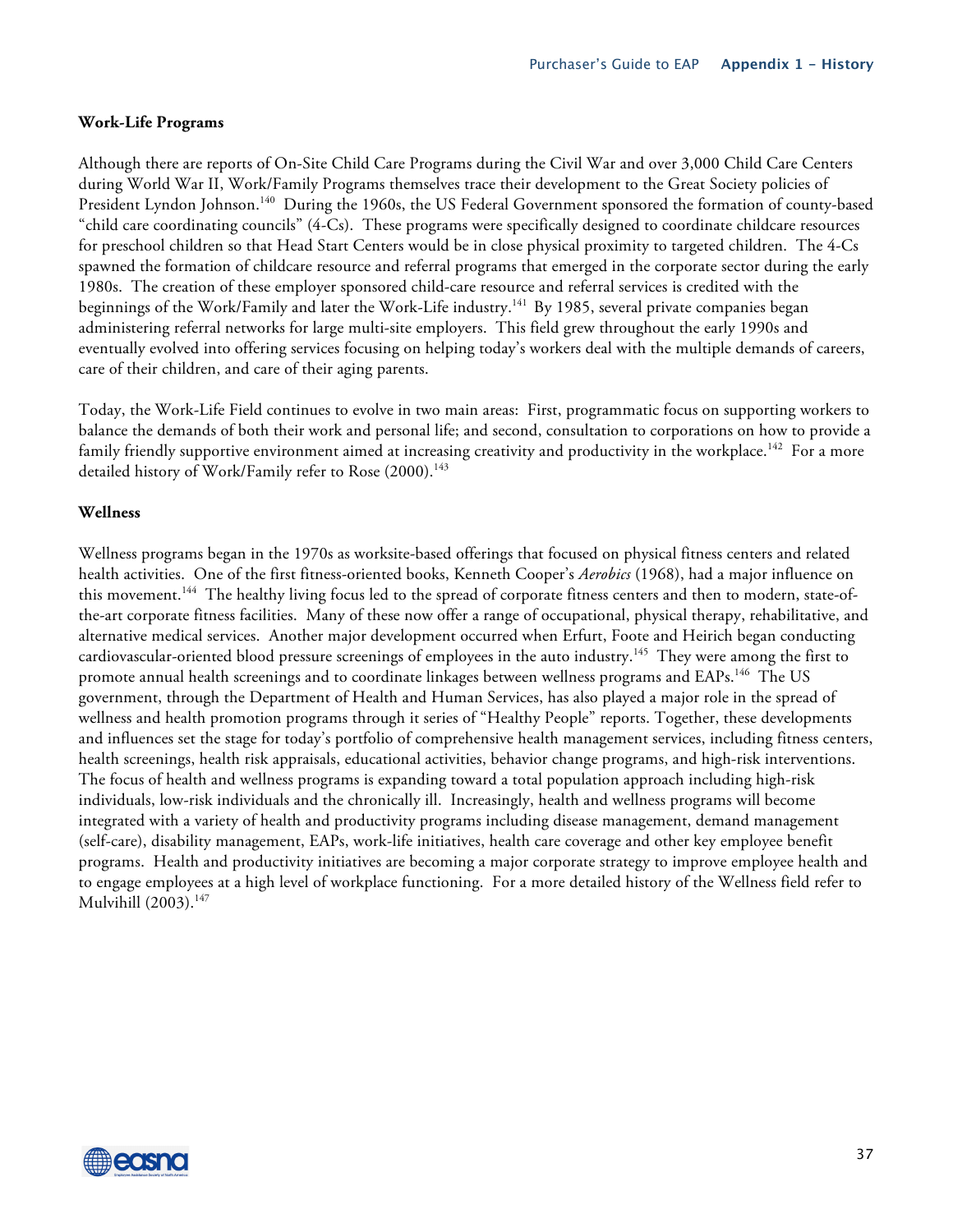#### **Work-Life Programs**

Although there are reports of On-Site Child Care Programs during the Civil War and over 3,000 Child Care Centers during World War II, Work/Family Programs themselves trace their development to the Great Society policies of President Lyndon Johnson.<sup>140</sup> During the 1960s, the US Federal Government sponsored the formation of county-based "child care coordinating councils" (4-Cs). These programs were specifically designed to coordinate childcare resources for preschool children so that Head Start Centers would be in close physical proximity to targeted children. The 4-Cs spawned the formation of childcare resource and referral programs that emerged in the corporate sector during the early 1980s. The creation of these employer sponsored child-care resource and referral services is credited with the beginnings of the Work/Family and later the Work-Life industry.<sup>141</sup> By 1985, several private companies began administering referral networks for large multi-site employers. This field grew throughout the early 1990s and eventually evolved into offering services focusing on helping today's workers deal with the multiple demands of careers, care of their children, and care of their aging parents.

Today, the Work-Life Field continues to evolve in two main areas: First, programmatic focus on supporting workers to balance the demands of both their work and personal life; and second, consultation to corporations on how to provide a family friendly supportive environment aimed at increasing creativity and productivity in the workplace.<sup>142</sup> For a more detailed history of Work/Family refer to Rose (2000).<sup>143</sup>

#### **Wellness**

Wellness programs began in the 1970s as worksite-based offerings that focused on physical fitness centers and related health activities. One of the first fitness-oriented books, Kenneth Cooper's *Aerobics* (1968), had a major influence on this movement.<sup>144</sup> The healthy living focus led to the spread of corporate fitness centers and then to modern, state-ofthe-art corporate fitness facilities. Many of these now offer a range of occupational, physical therapy, rehabilitative, and alternative medical services. Another major development occurred when Erfurt, Foote and Heirich began conducting cardiovascular-oriented blood pressure screenings of employees in the auto industry.<sup>145</sup> They were among the first to promote annual health screenings and to coordinate linkages between wellness programs and EAPs.<sup>146</sup> The US government, through the Department of Health and Human Services, has also played a major role in the spread of wellness and health promotion programs through it series of "Healthy People" reports. Together, these developments and influences set the stage for today's portfolio of comprehensive health management services, including fitness centers, health screenings, health risk appraisals, educational activities, behavior change programs, and high-risk interventions. The focus of health and wellness programs is expanding toward a total population approach including high-risk individuals, low-risk individuals and the chronically ill. Increasingly, health and wellness programs will become integrated with a variety of health and productivity programs including disease management, demand management (self-care), disability management, EAPs, work-life initiatives, health care coverage and other key employee benefit programs. Health and productivity initiatives are becoming a major corporate strategy to improve employee health and to engage employees at a high level of workplace functioning. For a more detailed history of the Wellness field refer to Mulvihill (2003).<sup>147</sup>

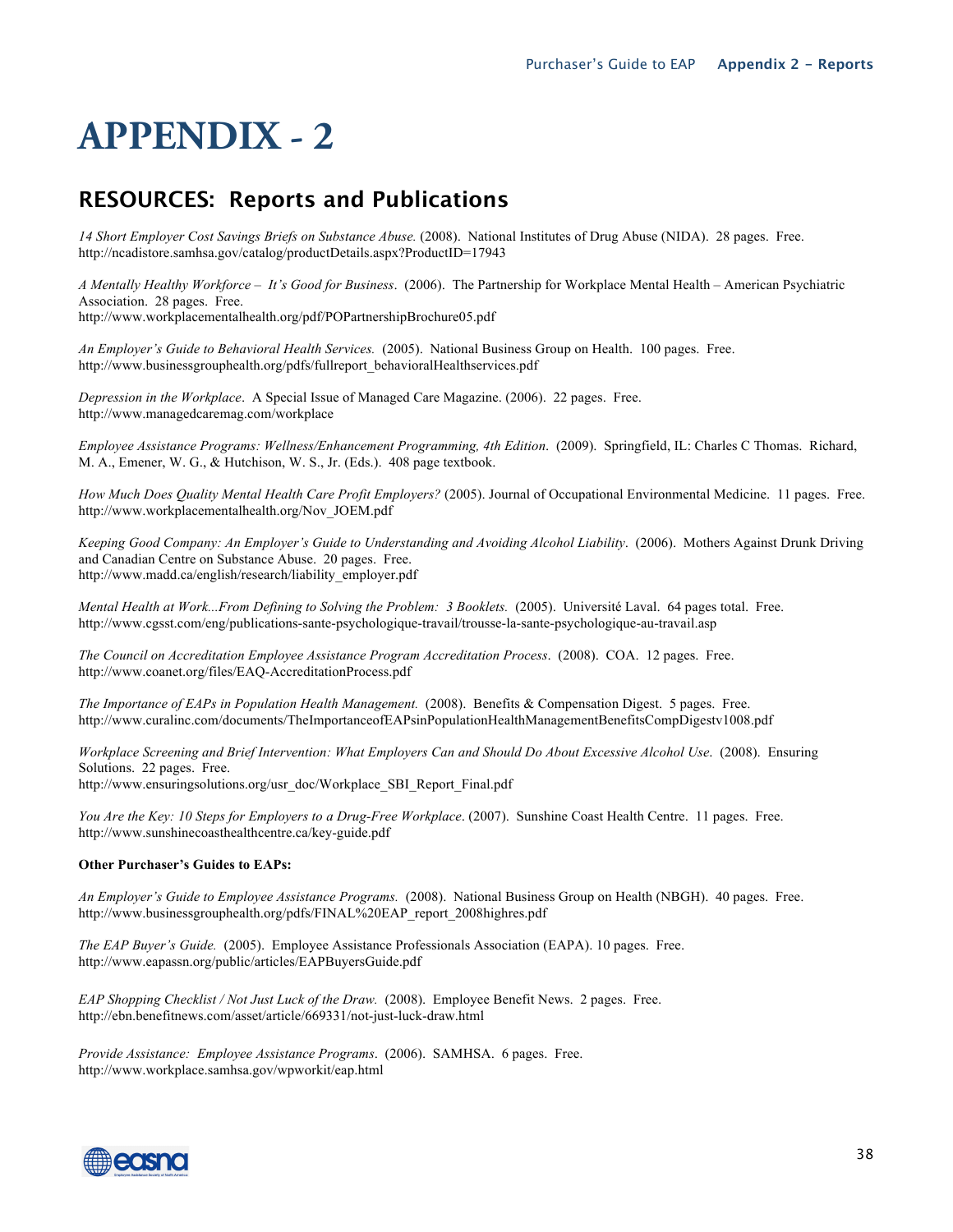## **RESOURCES: Reports and Publications**

*14 Short Employer Cost Savings Briefs on Substance Abuse.* (2008). National Institutes of Drug Abuse (NIDA). 28 pages. Free. http://ncadistore.samhsa.gov/catalog/productDetails.aspx?ProductID=17943

*A Mentally Healthy Workforce – It's Good for Business*. (2006). The Partnership for Workplace Mental Health – American Psychiatric Association. 28 pages. Free.

http://www.workplacementalhealth.org/pdf/POPartnershipBrochure05.pdf

*An Employer's Guide to Behavioral Health Services.* (2005). National Business Group on Health. 100 pages. Free. http://www.businessgrouphealth.org/pdfs/fullreport\_behavioralHealthservices.pdf

*Depression in the Workplace*. A Special Issue of Managed Care Magazine. (2006). 22 pages. Free. http://www.managedcaremag.com/workplace

*Employee Assistance Programs: Wellness/Enhancement Programming, 4th Edition*. (2009). Springfield, IL: Charles C Thomas. Richard, M. A., Emener, W. G., & Hutchison, W. S., Jr. (Eds.). 408 page textbook.

*How Much Does Quality Mental Health Care Profit Employers?* (2005). Journal of Occupational Environmental Medicine. 11 pages. Free. http://www.workplacementalhealth.org/Nov\_JOEM.pdf

*Keeping Good Company: An Employer's Guide to Understanding and Avoiding Alcohol Liability*. (2006). Mothers Against Drunk Driving and Canadian Centre on Substance Abuse. 20 pages. Free. http://www.madd.ca/english/research/liability\_employer.pdf

*Mental Health at Work...From Defining to Solving the Problem: 3 Booklets.* (2005). Université Laval. 64 pages total. Free. http://www.cgsst.com/eng/publications-sante-psychologique-travail/trousse-la-sante-psychologique-au-travail.asp

*The Council on Accreditation Employee Assistance Program Accreditation Process*. (2008). COA. 12 pages. Free. http://www.coanet.org/files/EAQ-AccreditationProcess.pdf

*The Importance of EAPs in Population Health Management.* (2008). Benefits & Compensation Digest. 5 pages. Free. http://www.curalinc.com/documents/TheImportanceofEAPsinPopulationHealthManagementBenefitsCompDigestv1008.pdf

*Workplace Screening and Brief Intervention: What Employers Can and Should Do About Excessive Alcohol Use*. (2008). Ensuring Solutions. 22 pages. Free. http://www.ensuringsolutions.org/usr\_doc/Workplace\_SBI\_Report\_Final.pdf

*You Are the Key: 10 Steps for Employers to a Drug-Free Workplace*. (2007). Sunshine Coast Health Centre. 11 pages. Free. http://www.sunshinecoasthealthcentre.ca/key-guide.pdf

#### **Other Purchaser's Guides to EAPs:**

*An Employer's Guide to Employee Assistance Programs.* (2008). National Business Group on Health (NBGH). 40 pages. Free. http://www.businessgrouphealth.org/pdfs/FINAL%20EAP\_report\_2008highres.pdf

*The EAP Buyer's Guide.* (2005). Employee Assistance Professionals Association (EAPA). 10 pages. Free. http://www.eapassn.org/public/articles/EAPBuyersGuide.pdf

*EAP Shopping Checklist / Not Just Luck of the Draw.* (2008). Employee Benefit News. 2 pages. Free. http://ebn.benefitnews.com/asset/article/669331/not-just-luck-draw.html

*Provide Assistance: Employee Assistance Programs*. (2006). SAMHSA. 6 pages. Free. http://www.workplace.samhsa.gov/wpworkit/eap.html

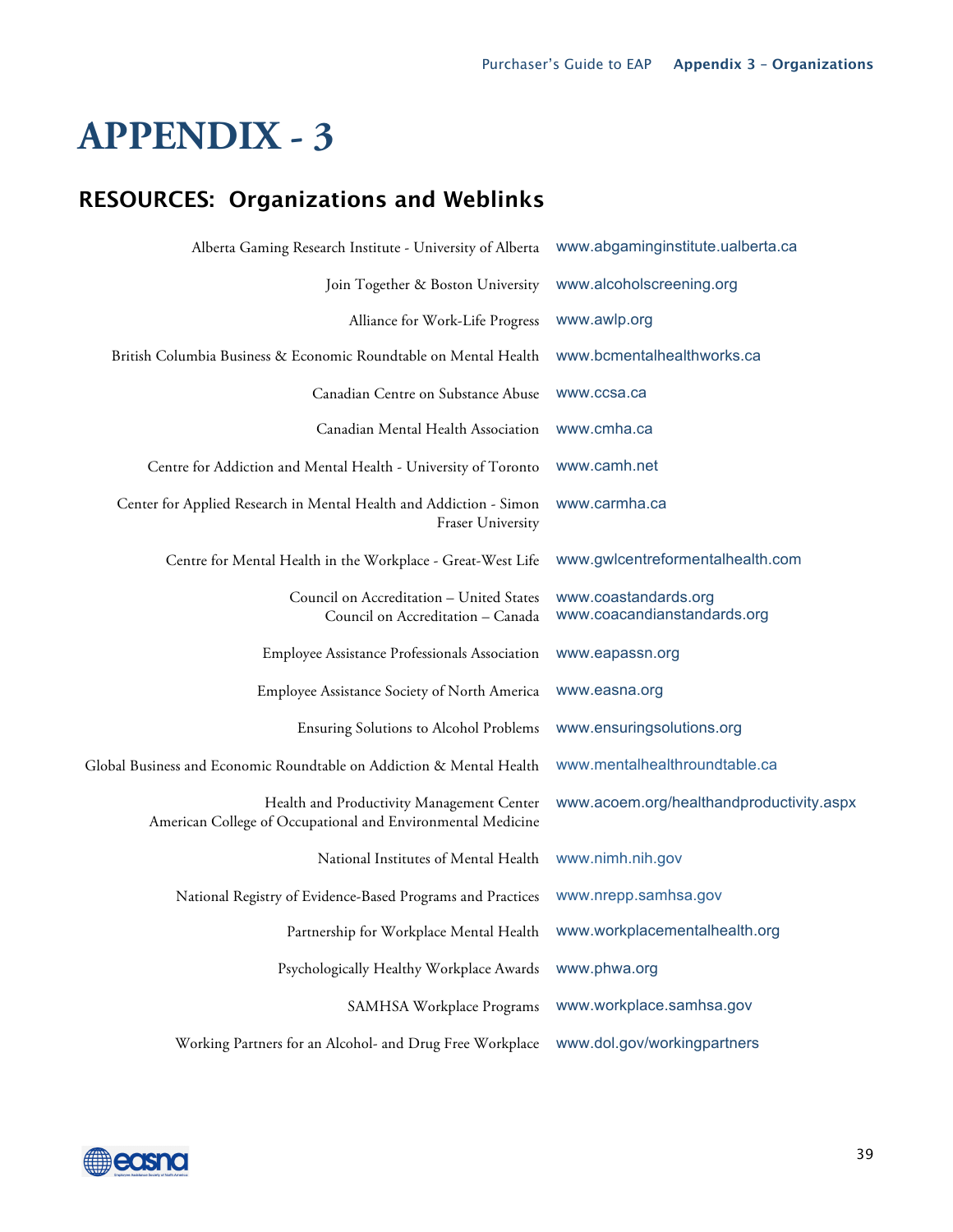## **RESOURCES: Organizations and Weblinks**

| Alberta Gaming Research Institute - University of Alberta                                                | www.abgaminginstitute.ualberta.ca                   |
|----------------------------------------------------------------------------------------------------------|-----------------------------------------------------|
| Join Together & Boston University                                                                        | www.alcoholscreening.org                            |
| Alliance for Work-Life Progress                                                                          | www.awlp.org                                        |
| British Columbia Business & Economic Roundtable on Mental Health                                         | www.bcmentalhealthworks.ca                          |
| Canadian Centre on Substance Abuse                                                                       | www.ccsa.ca                                         |
| Canadian Mental Health Association                                                                       | www.cmha.ca                                         |
| Centre for Addiction and Mental Health - University of Toronto                                           | www.camh.net                                        |
| Center for Applied Research in Mental Health and Addiction - Simon<br>Fraser University                  | www.carmha.ca                                       |
| Centre for Mental Health in the Workplace - Great-West Life                                              | www.gwlcentreformentalhealth.com                    |
| Council on Accreditation - United States<br>Council on Accreditation - Canada                            | www.coastandards.org<br>www.coacandianstandards.org |
| Employee Assistance Professionals Association                                                            | www.eapassn.org                                     |
| Employee Assistance Society of North America                                                             | www.easna.org                                       |
| Ensuring Solutions to Alcohol Problems                                                                   | www.ensuringsolutions.org                           |
| Global Business and Economic Roundtable on Addiction & Mental Health                                     | www.mentalhealthroundtable.ca                       |
| Health and Productivity Management Center<br>American College of Occupational and Environmental Medicine | www.acoem.org/healthandproductivity.aspx            |
| National Institutes of Mental Health                                                                     | www.nimh.nih.gov                                    |
| National Registry of Evidence-Based Programs and Practices                                               | www.nrepp.samhsa.gov                                |
|                                                                                                          |                                                     |
| Psychologically Healthy Workplace Awards                                                                 | www.phwa.org                                        |
| SAMHSA Workplace Programs                                                                                | www.workplace.samhsa.gov                            |
| Working Partners for an Alcohol- and Drug Free Workplace                                                 | www.dol.gov/workingpartners                         |

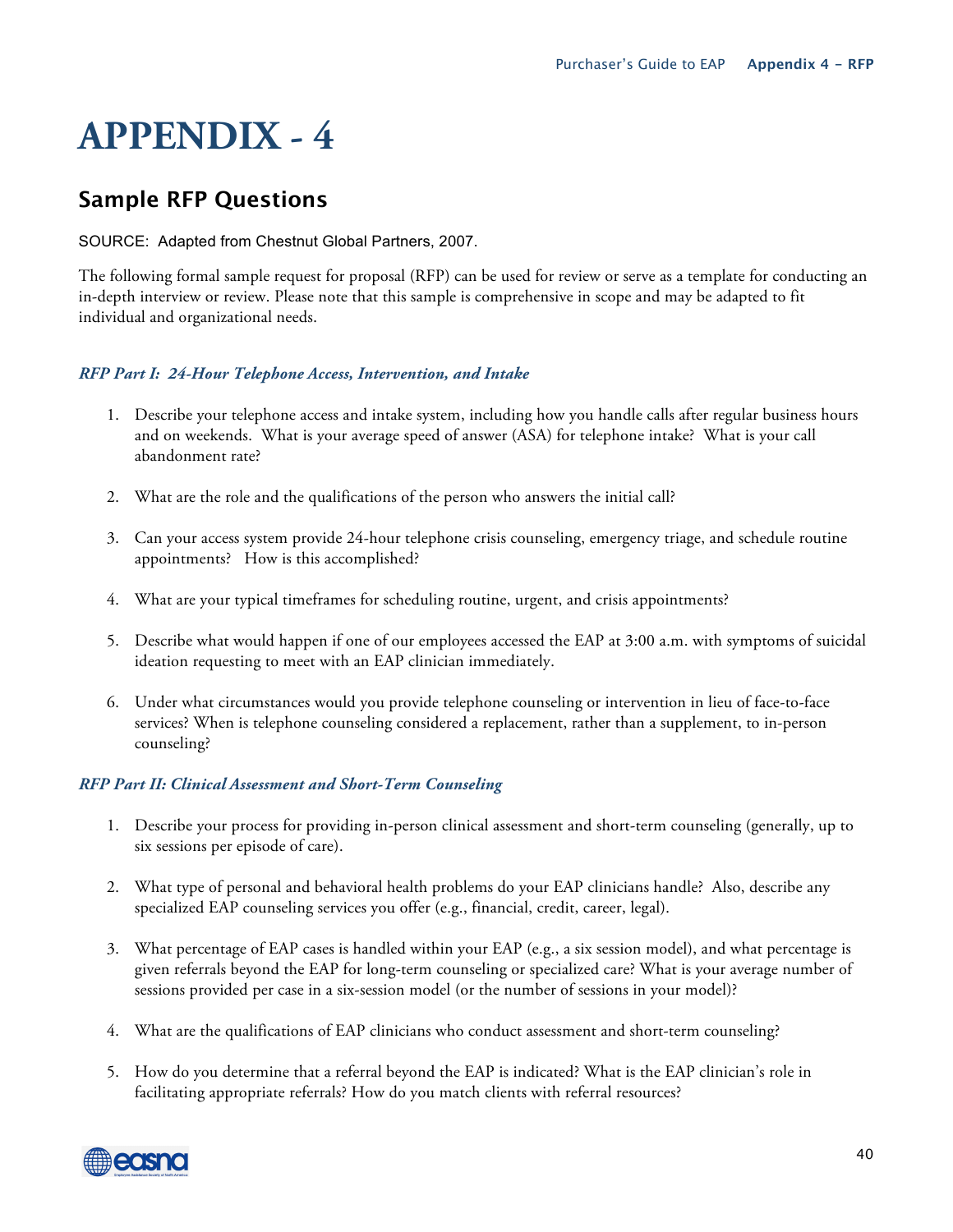## **Sample RFP Questions**

SOURCE: Adapted from Chestnut Global Partners, 2007.

The following formal sample request for proposal (RFP) can be used for review or serve as a template for conducting an in-depth interview or review. Please note that this sample is comprehensive in scope and may be adapted to fit individual and organizational needs.

#### *RFP Part I: 24-Hour Telephone Access, Intervention, and Intake*

- 1. Describe your telephone access and intake system, including how you handle calls after regular business hours and on weekends. What is your average speed of answer (ASA) for telephone intake? What is your call abandonment rate?
- 2. What are the role and the qualifications of the person who answers the initial call?
- 3. Can your access system provide 24-hour telephone crisis counseling, emergency triage, and schedule routine appointments? How is this accomplished?
- 4. What are your typical timeframes for scheduling routine, urgent, and crisis appointments?
- 5. Describe what would happen if one of our employees accessed the EAP at 3:00 a.m. with symptoms of suicidal ideation requesting to meet with an EAP clinician immediately.
- 6. Under what circumstances would you provide telephone counseling or intervention in lieu of face-to-face services? When is telephone counseling considered a replacement, rather than a supplement, to in-person counseling?

#### *RFP Part II: Clinical Assessment and Short-Term Counseling*

- 1. Describe your process for providing in-person clinical assessment and short-term counseling (generally, up to six sessions per episode of care).
- 2. What type of personal and behavioral health problems do your EAP clinicians handle? Also, describe any specialized EAP counseling services you offer (e.g., financial, credit, career, legal).
- 3. What percentage of EAP cases is handled within your EAP (e.g., a six session model), and what percentage is given referrals beyond the EAP for long-term counseling or specialized care? What is your average number of sessions provided per case in a six-session model (or the number of sessions in your model)?
- 4. What are the qualifications of EAP clinicians who conduct assessment and short-term counseling?
- 5. How do you determine that a referral beyond the EAP is indicated? What is the EAP clinician's role in facilitating appropriate referrals? How do you match clients with referral resources?

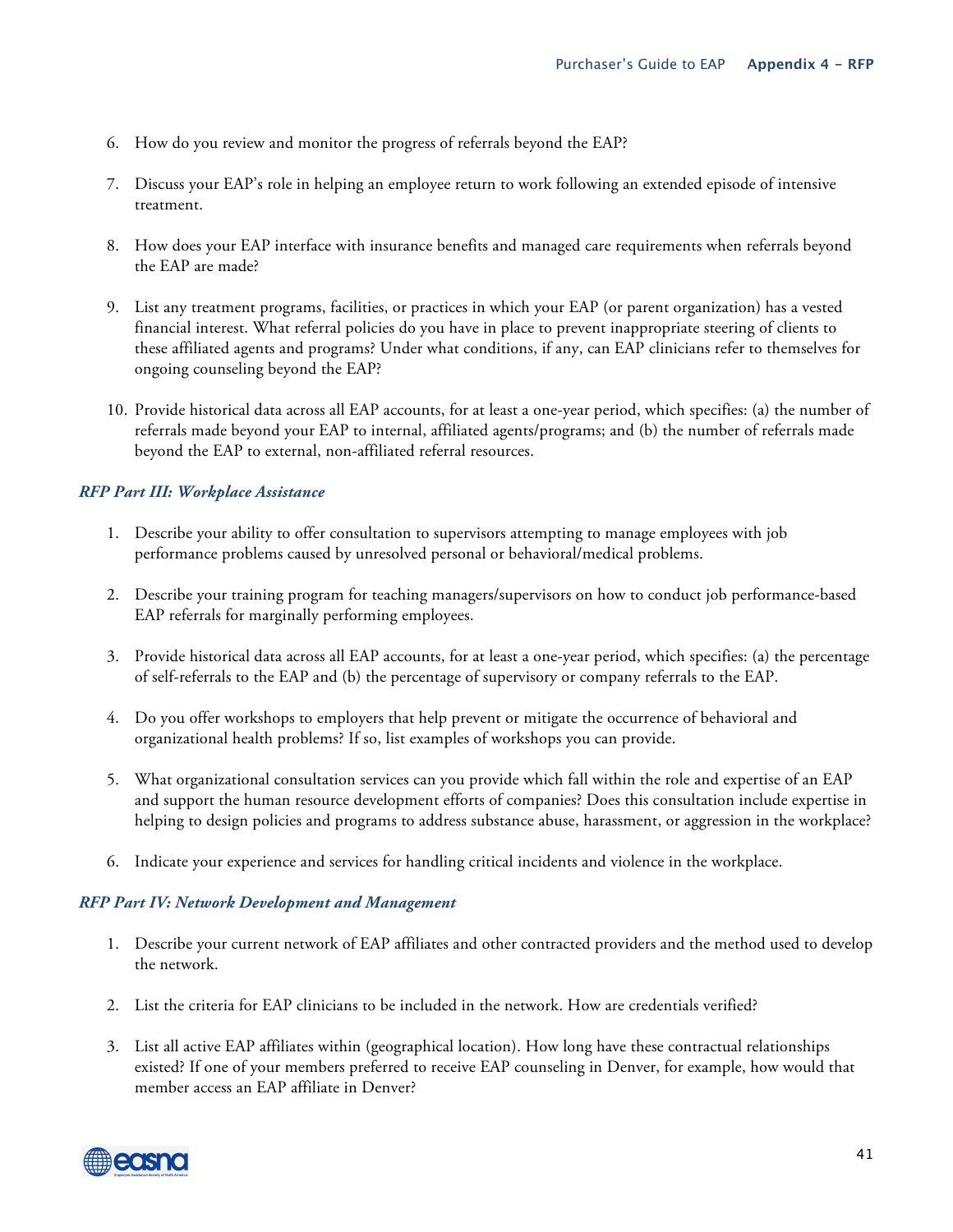- 6. How do you review and monitor the progress of referrals beyond the EAP?
- 7. Discuss your EAP's role in helping an employee return to work following an extended episode of intensive treatment.
- 8. How does your EAP interface with insurance benefits and managed care requirements when referrals beyond the EAP are made?
- 9. List any treatment programs, facilities, or practices in which your EAP (or parent organization) has a vested financial interest. What referral policies do you have in place to prevent inappropriate steering of clients to these affiliated agents and programs? Under what conditions, if any, can EAP clinicians refer to themselves for ongoing counseling beyond the EAP?
- 10. Provide historical data across all EAP accounts, for at least a one-year period, which specifies: (a) the number of referrals made beyond your EAP to internal, affiliated agents/programs; and (b) the number of referrals made beyond the EAP to external, non-affiliated referral resources.

#### *RFP Part III: Workplace Assistance*

- 1. Describe your ability to offer consultation to supervisors attempting to manage employees with job performance problems caused by unresolved personal or behavioral/medical problems.
- 2. Describe your training program for teaching managers/supervisors on how to conduct job performance-based EAP referrals for marginally performing employees.
- 3. Provide historical data across all EAP accounts, for at least a one-year period, which specifies: (a) the percentage of self-referrals to the EAP and (b) the percentage of supervisory or company referrals to the EAP.
- 4. Do you offer workshops to employers that help prevent or mitigate the occurrence of behavioral and organizational health problems? If so, list examples of workshops you can provide.
- 5. What organizational consultation services can you provide which fall within the role and expertise of an EAP and support the human resource development efforts of companies? Does this consultation include expertise in helping to design policies and programs to address substance abuse, harassment, or aggression in the workplace?
- 6. Indicate your experience and services for handling critical incidents and violence in the workplace.

#### *RFP Part IV: Network Development and Management*

- 1. Describe your current network of EAP affiliates and other contracted providers and the method used to develop the network.
- 2. List the criteria for EAP clinicians to be included in the network. How are credentials verified?
- 3. List all active EAP affiliates within (geographical location). How long have these contractual relationships existed? If one of your members preferred to receive EAP counseling in Denver, for example, how would that member access an EAP affiliate in Denver?

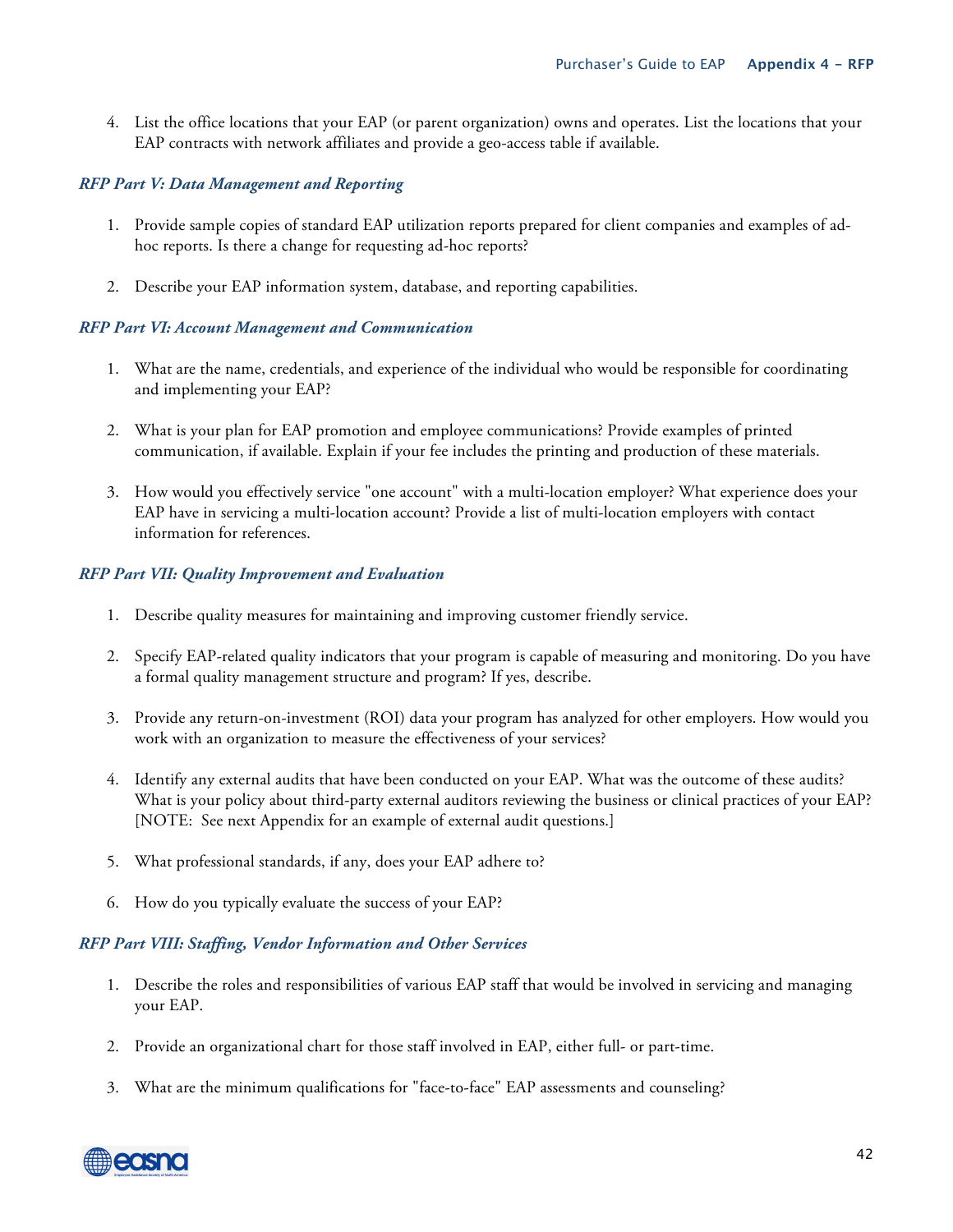4. List the office locations that your EAP (or parent organization) owns and operates. List the locations that your EAP contracts with network affiliates and provide a geo-access table if available.

#### *RFP Part V: Data Management and Reporting*

- 1. Provide sample copies of standard EAP utilization reports prepared for client companies and examples of adhoc reports. Is there a change for requesting ad-hoc reports?
- 2. Describe your EAP information system, database, and reporting capabilities.

#### *RFP Part VI: Account Management and Communication*

- 1. What are the name, credentials, and experience of the individual who would be responsible for coordinating and implementing your EAP?
- 2. What is your plan for EAP promotion and employee communications? Provide examples of printed communication, if available. Explain if your fee includes the printing and production of these materials.
- 3. How would you effectively service "one account" with a multi-location employer? What experience does your EAP have in servicing a multi-location account? Provide a list of multi-location employers with contact information for references.

#### *RFP Part VII: Quality Improvement and Evaluation*

- 1. Describe quality measures for maintaining and improving customer friendly service.
- 2. Specify EAP-related quality indicators that your program is capable of measuring and monitoring. Do you have a formal quality management structure and program? If yes, describe.
- 3. Provide any return-on-investment (ROI) data your program has analyzed for other employers. How would you work with an organization to measure the effectiveness of your services?
- 4. Identify any external audits that have been conducted on your EAP. What was the outcome of these audits? What is your policy about third-party external auditors reviewing the business or clinical practices of your EAP? [NOTE: See next Appendix for an example of external audit questions.]
- 5. What professional standards, if any, does your EAP adhere to?
- 6. How do you typically evaluate the success of your EAP?

#### *RFP Part VIII: Staffing, Vendor Information and Other Services*

- 1. Describe the roles and responsibilities of various EAP staff that would be involved in servicing and managing your EAP.
- 2. Provide an organizational chart for those staff involved in EAP, either full- or part-time.
- 3. What are the minimum qualifications for "face-to-face" EAP assessments and counseling?

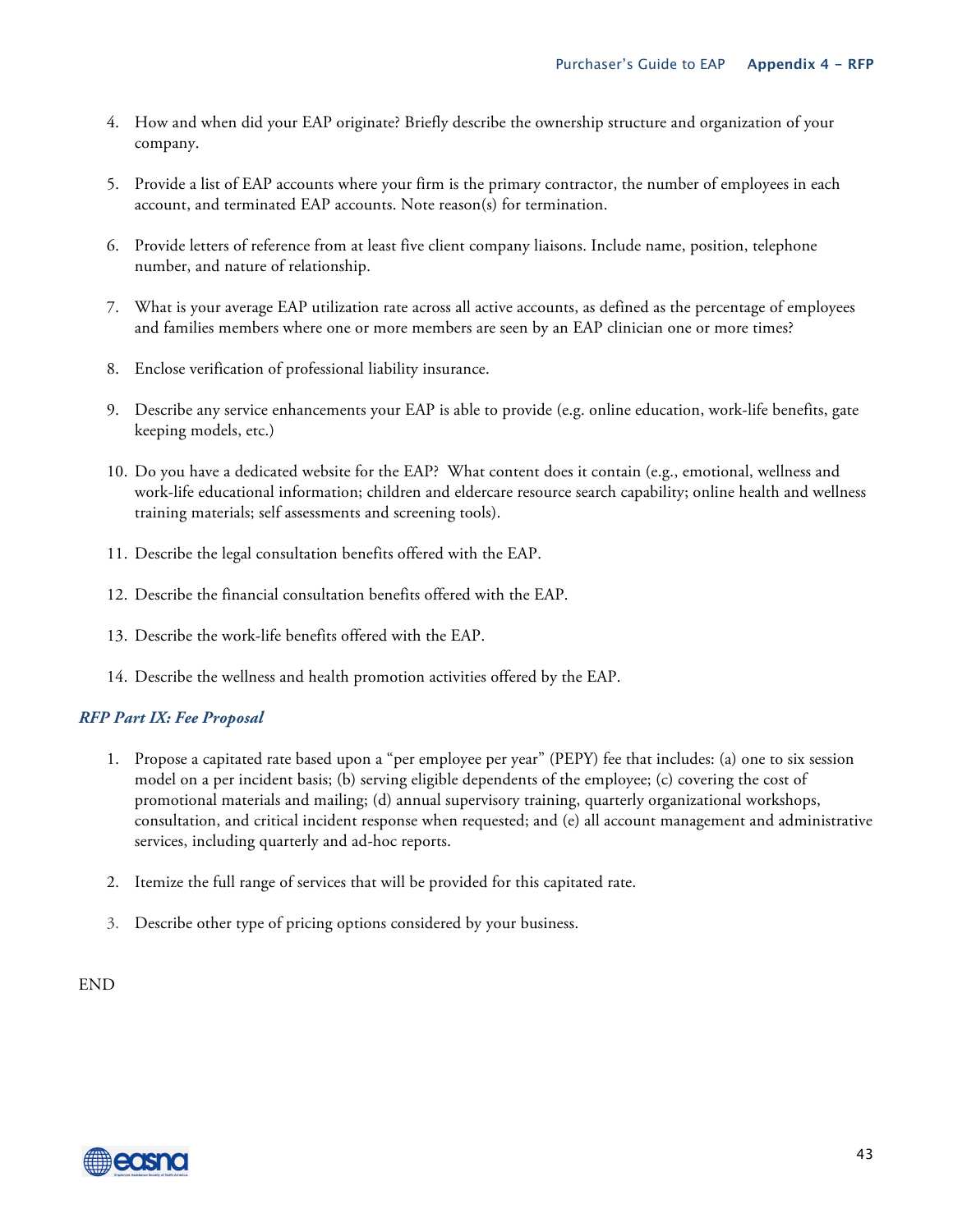- 4. How and when did your EAP originate? Briefly describe the ownership structure and organization of your company.
- 5. Provide a list of EAP accounts where your firm is the primary contractor, the number of employees in each account, and terminated EAP accounts. Note reason(s) for termination.
- 6. Provide letters of reference from at least five client company liaisons. Include name, position, telephone number, and nature of relationship.
- 7. What is your average EAP utilization rate across all active accounts, as defined as the percentage of employees and families members where one or more members are seen by an EAP clinician one or more times?
- 8. Enclose verification of professional liability insurance.
- 9. Describe any service enhancements your EAP is able to provide (e.g. online education, work-life benefits, gate keeping models, etc.)
- 10. Do you have a dedicated website for the EAP? What content does it contain (e.g., emotional, wellness and work-life educational information; children and eldercare resource search capability; online health and wellness training materials; self assessments and screening tools).
- 11. Describe the legal consultation benefits offered with the EAP.
- 12. Describe the financial consultation benefits offered with the EAP.
- 13. Describe the work-life benefits offered with the EAP.
- 14. Describe the wellness and health promotion activities offered by the EAP.

#### *RFP Part IX: Fee Proposal*

- 1. Propose a capitated rate based upon a "per employee per year" (PEPY) fee that includes: (a) one to six session model on a per incident basis; (b) serving eligible dependents of the employee; (c) covering the cost of promotional materials and mailing; (d) annual supervisory training, quarterly organizational workshops, consultation, and critical incident response when requested; and (e) all account management and administrative services, including quarterly and ad-hoc reports.
- 2. Itemize the full range of services that will be provided for this capitated rate.
- 3. Describe other type of pricing options considered by your business.

END

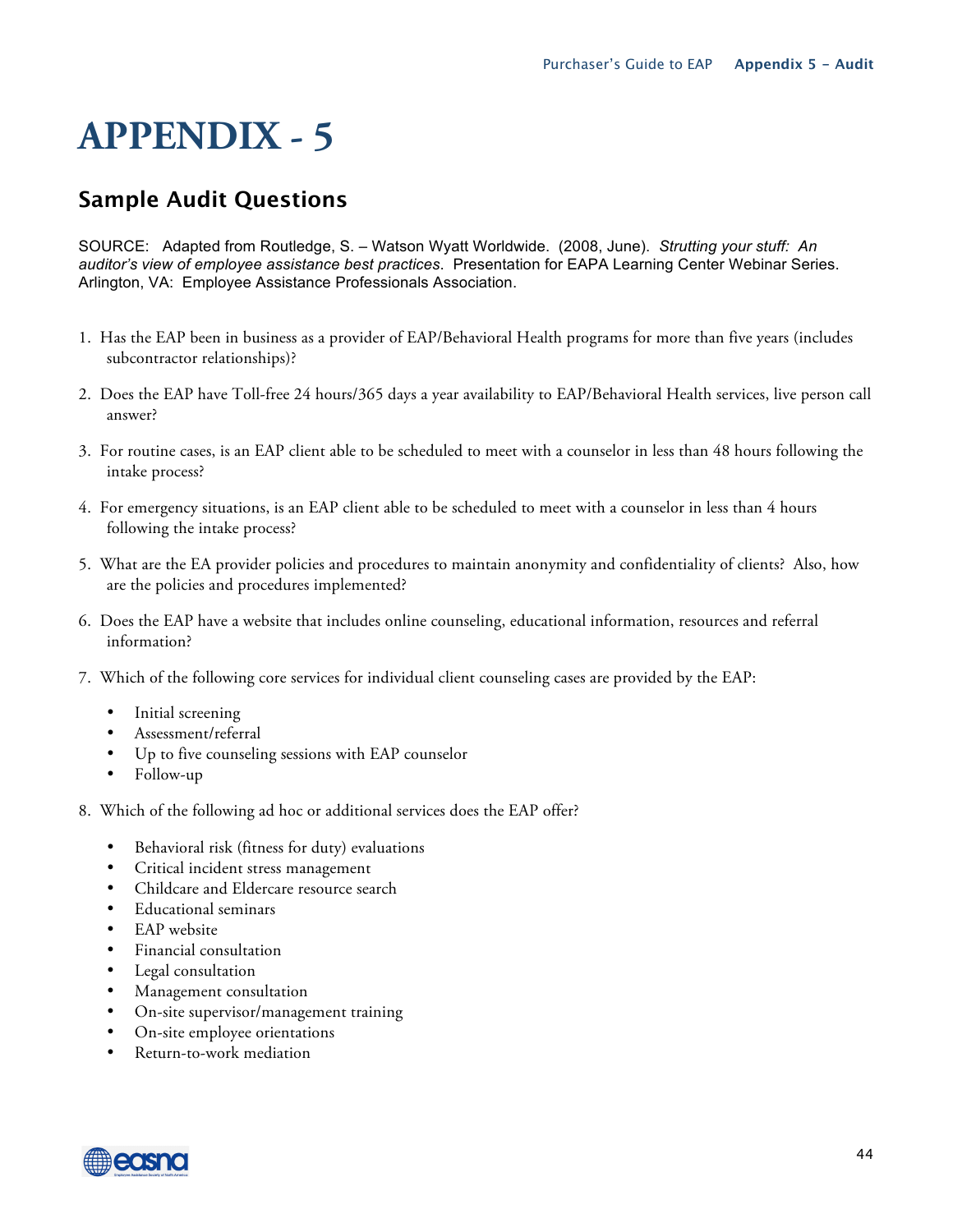## **Sample Audit Questions**

SOURCE:Adapted from Routledge, S. – Watson Wyatt Worldwide. (2008, June). *Strutting your stuff: An auditor's view of employee assistance best practices*. Presentation for EAPA Learning Center Webinar Series. Arlington, VA: Employee Assistance Professionals Association.

- 1. Has the EAP been in business as a provider of EAP/Behavioral Health programs for more than five years (includes subcontractor relationships)?
- 2. Does the EAP have Toll-free 24 hours/365 days a year availability to EAP/Behavioral Health services, live person call answer?
- 3. For routine cases, is an EAP client able to be scheduled to meet with a counselor in less than 48 hours following the intake process?
- 4. For emergency situations, is an EAP client able to be scheduled to meet with a counselor in less than 4 hours following the intake process?
- 5. What are the EA provider policies and procedures to maintain anonymity and confidentiality of clients? Also, how are the policies and procedures implemented?
- 6. Does the EAP have a website that includes online counseling, educational information, resources and referral information?
- 7. Which of the following core services for individual client counseling cases are provided by the EAP:
	- Initial screening
	- Assessment/referral
	- Up to five counseling sessions with EAP counselor
	- Follow-up
- 8. Which of the following ad hoc or additional services does the EAP offer?
	- Behavioral risk (fitness for duty) evaluations
	- Critical incident stress management
	- Childcare and Eldercare resource search
	- Educational seminars
	- EAP website
	- Financial consultation
	- Legal consultation
	- Management consultation
	- On-site supervisor/management training
	- On-site employee orientations
	- Return-to-work mediation

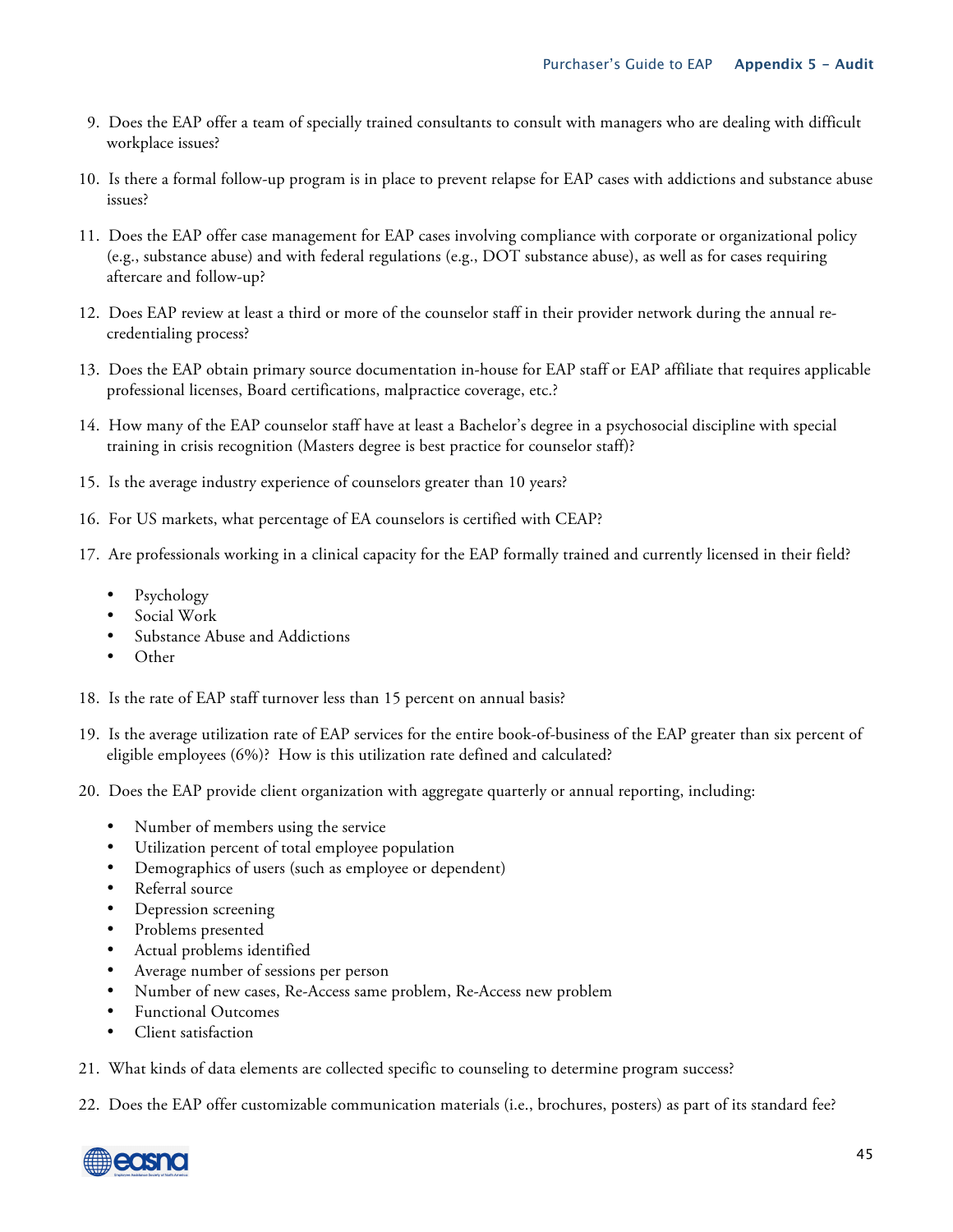- 9. Does the EAP offer a team of specially trained consultants to consult with managers who are dealing with difficult workplace issues?
- 10. Is there a formal follow-up program is in place to prevent relapse for EAP cases with addictions and substance abuse issues?
- 11. Does the EAP offer case management for EAP cases involving compliance with corporate or organizational policy (e.g., substance abuse) and with federal regulations (e.g., DOT substance abuse), as well as for cases requiring aftercare and follow-up?
- 12. Does EAP review at least a third or more of the counselor staff in their provider network during the annual recredentialing process?
- 13. Does the EAP obtain primary source documentation in-house for EAP staff or EAP affiliate that requires applicable professional licenses, Board certifications, malpractice coverage, etc.?
- 14. How many of the EAP counselor staff have at least a Bachelor's degree in a psychosocial discipline with special training in crisis recognition (Masters degree is best practice for counselor staff)?
- 15. Is the average industry experience of counselors greater than 10 years?
- 16. For US markets, what percentage of EA counselors is certified with CEAP?
- 17. Are professionals working in a clinical capacity for the EAP formally trained and currently licensed in their field?
	- Psychology
	- Social Work
	- Substance Abuse and Addictions
	- Other
- 18. Is the rate of EAP staff turnover less than 15 percent on annual basis?
- 19. Is the average utilization rate of EAP services for the entire book-of-business of the EAP greater than six percent of eligible employees (6%)? How is this utilization rate defined and calculated?
- 20. Does the EAP provide client organization with aggregate quarterly or annual reporting, including:
	- Number of members using the service
	- Utilization percent of total employee population
	- Demographics of users (such as employee or dependent)
	- Referral source
	- Depression screening
	- Problems presented
	- Actual problems identified
	- Average number of sessions per person
	- Number of new cases, Re-Access same problem, Re-Access new problem
	- Functional Outcomes
	- Client satisfaction
- 21. What kinds of data elements are collected specific to counseling to determine program success?
- 22. Does the EAP offer customizable communication materials (i.e., brochures, posters) as part of its standard fee?

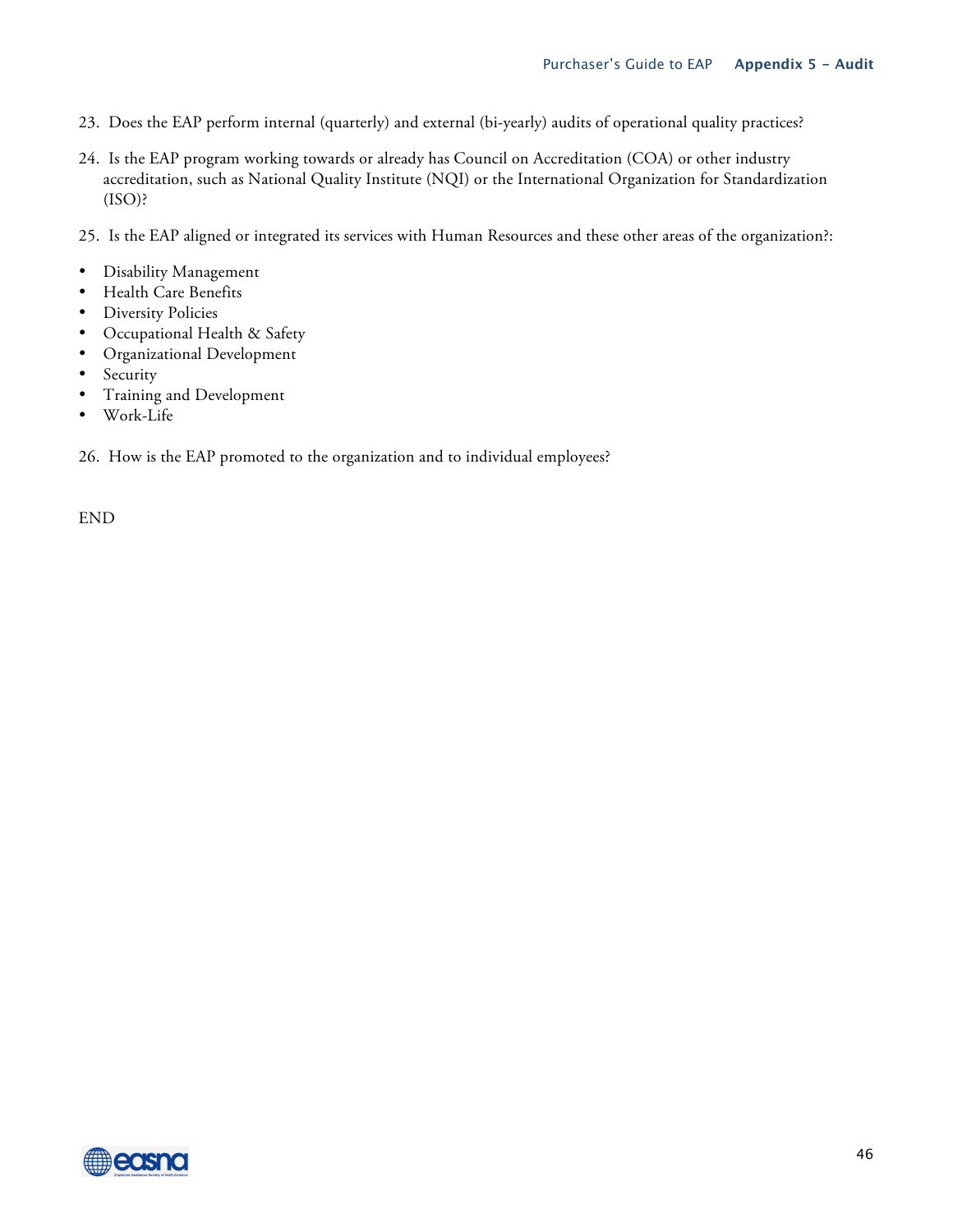- 23. Does the EAP perform internal (quarterly) and external (bi-yearly) audits of operational quality practices?
- 24. Is the EAP program working towards or already has Council on Accreditation (COA) or other industry accreditation, such as National Quality Institute (NQI) or the International Organization for Standardization  $(ISO)$ ?
- 25. Is the EAP aligned or integrated its services with Human Resources and these other areas of the organization?:
- Disability Management
- Health Care Benefits
- Diversity Policies
- Occupational Health & Safety
- Organizational Development
- Security
- Training and Development
- Work-Life

26. How is the EAP promoted to the organization and to individual employees?

END

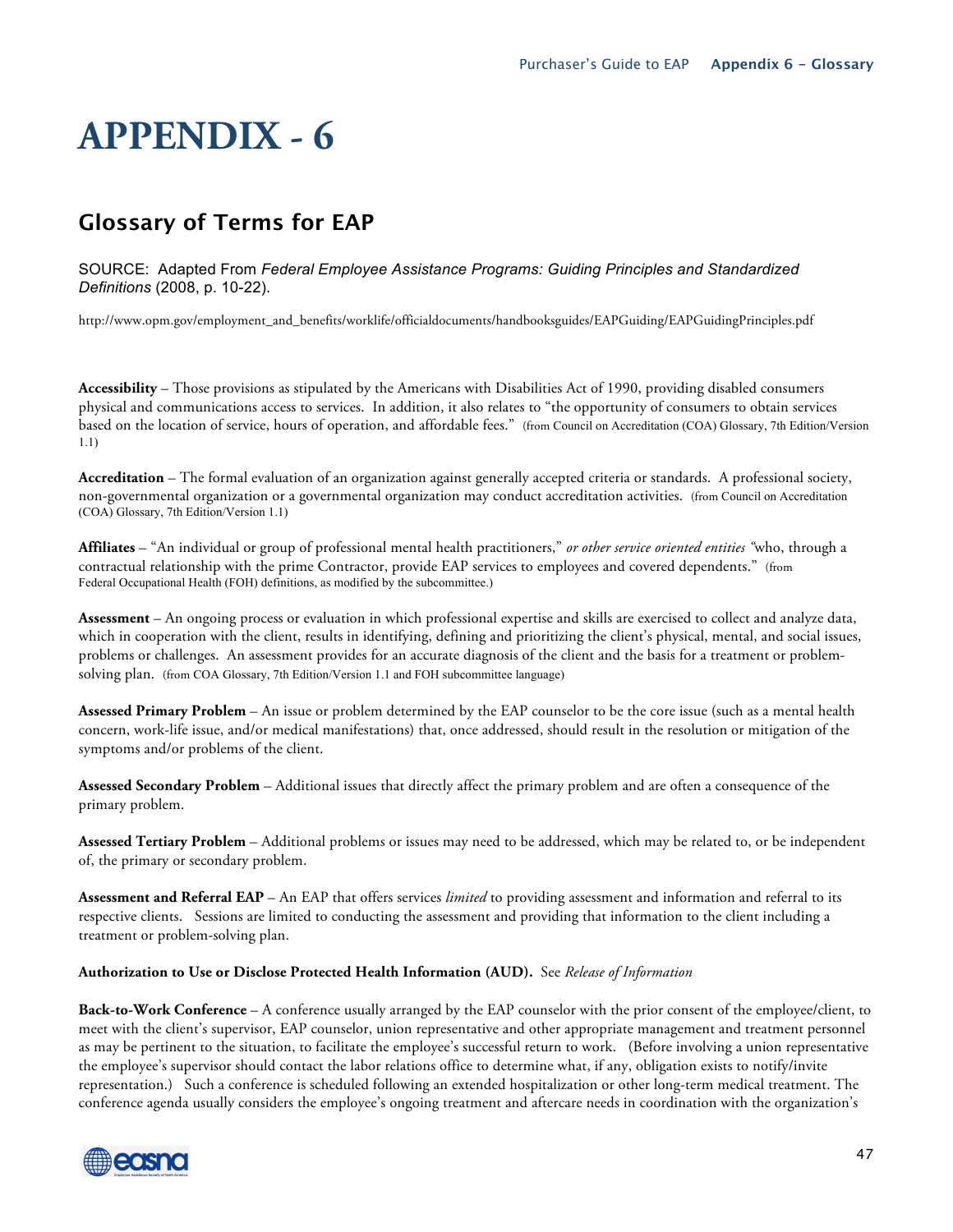## **Glossary of Terms for EAP**

SOURCE: Adapted From *Federal Employee Assistance Programs: Guiding Principles and Standardized Definitions* (2008, p. 10-22).

http://www.opm.gov/employment\_and\_benefits/worklife/officialdocuments/handbooksguides/EAPGuiding/EAPGuidingPrinciples.pdf

**Accessibility** – Those provisions as stipulated by the Americans with Disabilities Act of 1990, providing disabled consumers physical and communications access to services. In addition, it also relates to "the opportunity of consumers to obtain services based on the location of service, hours of operation, and affordable fees." (from Council on Accreditation (COA) Glossary, 7th Edition/Version 1.1)

**Accreditation** – The formal evaluation of an organization against generally accepted criteria or standards. A professional society, non-governmental organization or a governmental organization may conduct accreditation activities. (from Council on Accreditation (COA) Glossary, 7th Edition/Version 1.1)

**Affiliates** – "An individual or group of professional mental health practitioners," *or other service oriented entities "*who, through a contractual relationship with the prime Contractor, provide EAP services to employees and covered dependents." (from Federal Occupational Health (FOH) definitions, as modified by the subcommittee.)

**Assessment** – An ongoing process or evaluation in which professional expertise and skills are exercised to collect and analyze data, which in cooperation with the client, results in identifying, defining and prioritizing the client's physical, mental, and social issues, problems or challenges. An assessment provides for an accurate diagnosis of the client and the basis for a treatment or problemsolving plan. (from COA Glossary, 7th Edition/Version 1.1 and FOH subcommittee language)

**Assessed Primary Problem** – An issue or problem determined by the EAP counselor to be the core issue (such as a mental health concern, work-life issue, and/or medical manifestations) that, once addressed, should result in the resolution or mitigation of the symptoms and/or problems of the client.

**Assessed Secondary Problem** – Additional issues that directly affect the primary problem and are often a consequence of the primary problem.

**Assessed Tertiary Problem** – Additional problems or issues may need to be addressed, which may be related to, or be independent of, the primary or secondary problem.

**Assessment and Referral EAP** – An EAP that offers services *limited* to providing assessment and information and referral to its respective clients. Sessions are limited to conducting the assessment and providing that information to the client including a treatment or problem-solving plan.

**Authorization to Use or Disclose Protected Health Information (AUD).** See *Release of Information*

**Back-to-Work Conference** – A conference usually arranged by the EAP counselor with the prior consent of the employee/client, to meet with the client's supervisor, EAP counselor, union representative and other appropriate management and treatment personnel as may be pertinent to the situation, to facilitate the employee's successful return to work. (Before involving a union representative the employee's supervisor should contact the labor relations office to determine what, if any, obligation exists to notify/invite representation.) Such a conference is scheduled following an extended hospitalization or other long-term medical treatment. The conference agenda usually considers the employee's ongoing treatment and aftercare needs in coordination with the organization's

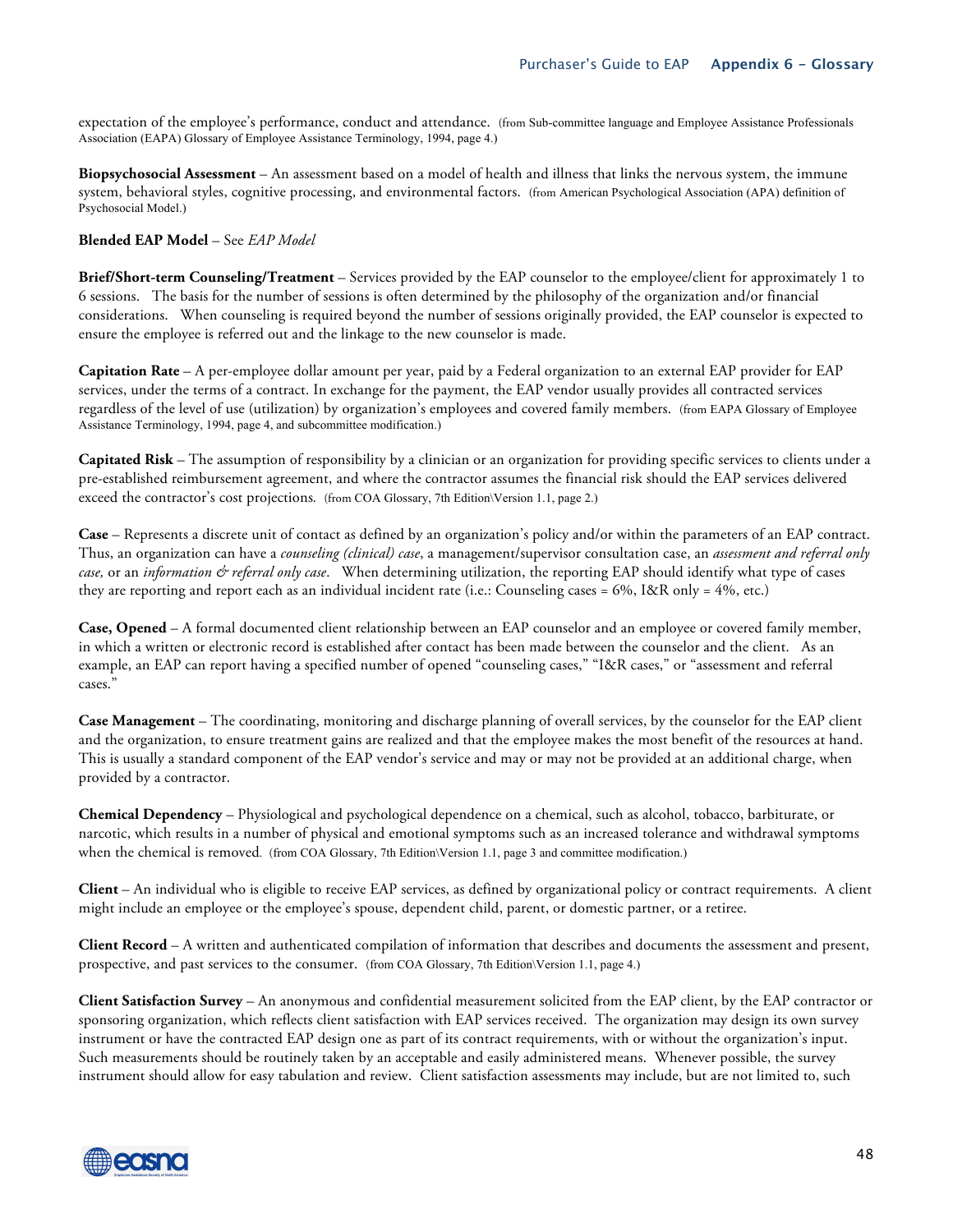expectation of the employee's performance, conduct and attendance. (from Sub-committee language and Employee Assistance Professionals Association (EAPA) Glossary of Employee Assistance Terminology, 1994, page 4.)

**Biopsychosocial Assessment** – An assessment based on a model of health and illness that links the nervous system, the immune system, behavioral styles, cognitive processing, and environmental factors. (from American Psychological Association (APA) definition of Psychosocial Model.)

#### **Blended EAP Model** – See *EAP Model*

**Brief/Short-term Counseling/Treatment** – Services provided by the EAP counselor to the employee/client for approximately 1 to 6 sessions. The basis for the number of sessions is often determined by the philosophy of the organization and/or financial considerations. When counseling is required beyond the number of sessions originally provided, the EAP counselor is expected to ensure the employee is referred out and the linkage to the new counselor is made.

**Capitation Rate** – A per-employee dollar amount per year, paid by a Federal organization to an external EAP provider for EAP services, under the terms of a contract. In exchange for the payment, the EAP vendor usually provides all contracted services regardless of the level of use (utilization) by organization's employees and covered family members. (from EAPA Glossary of Employee Assistance Terminology, 1994, page 4, and subcommittee modification.)

**Capitated Risk** – The assumption of responsibility by a clinician or an organization for providing specific services to clients under a pre-established reimbursement agreement, and where the contractor assumes the financial risk should the EAP services delivered exceed the contractor's cost projections*.* (from COA Glossary, 7th Edition\Version 1.1, page 2.)

**Case** – Represents a discrete unit of contact as defined by an organization's policy and/or within the parameters of an EAP contract. Thus, an organization can have a *counseling (clinical) case*, a management/supervisor consultation case, an *assessment and referral only case,* or an *information & referral only case*. When determining utilization, the reporting EAP should identify what type of cases they are reporting and report each as an individual incident rate (i.e.: Counseling cases = 6%, I&R only = 4%, etc.)

**Case, Opened** – A formal documented client relationship between an EAP counselor and an employee or covered family member, in which a written or electronic record is established after contact has been made between the counselor and the client. As an example, an EAP can report having a specified number of opened "counseling cases," "I&R cases," or "assessment and referral cases."

**Case Management** – The coordinating, monitoring and discharge planning of overall services, by the counselor for the EAP client and the organization, to ensure treatment gains are realized and that the employee makes the most benefit of the resources at hand. This is usually a standard component of the EAP vendor's service and may or may not be provided at an additional charge, when provided by a contractor.

**Chemical Dependency** – Physiological and psychological dependence on a chemical, such as alcohol, tobacco, barbiturate, or narcotic, which results in a number of physical and emotional symptoms such as an increased tolerance and withdrawal symptoms when the chemical is removed. *(from COA Glossary, 7th Edition*)Version 1.1, page 3 and committee modification.)

**Client** – An individual who is eligible to receive EAP services, as defined by organizational policy or contract requirements. A client might include an employee or the employee's spouse, dependent child, parent, or domestic partner, or a retiree.

**Client Record** – A written and authenticated compilation of information that describes and documents the assessment and present, prospective, and past services to the consumer. (from COA Glossary, 7th Edition\Version 1.1, page 4.)

**Client Satisfaction Survey** – An anonymous and confidential measurement solicited from the EAP client, by the EAP contractor or sponsoring organization, which reflects client satisfaction with EAP services received. The organization may design its own survey instrument or have the contracted EAP design one as part of its contract requirements, with or without the organization's input. Such measurements should be routinely taken by an acceptable and easily administered means. Whenever possible, the survey instrument should allow for easy tabulation and review. Client satisfaction assessments may include, but are not limited to, such

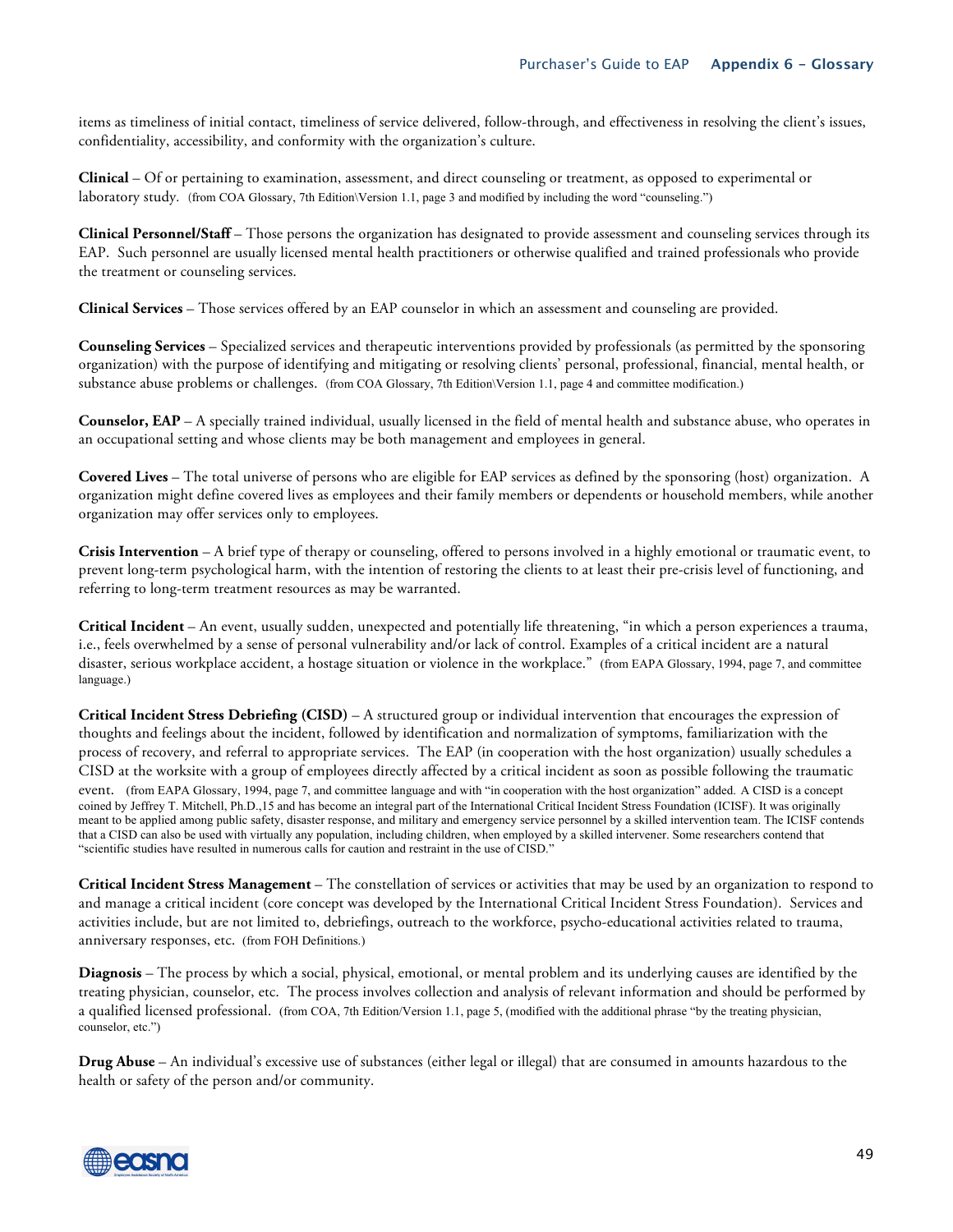items as timeliness of initial contact, timeliness of service delivered, follow-through, and effectiveness in resolving the client's issues, confidentiality, accessibility, and conformity with the organization's culture.

**Clinical** – Of or pertaining to examination, assessment, and direct counseling or treatment, as opposed to experimental or laboratory study*.* (from COA Glossary, 7th Edition\Version 1.1, page 3 and modified by including the word "counseling.")

**Clinical Personnel/Staff** – Those persons the organization has designated to provide assessment and counseling services through its EAP. Such personnel are usually licensed mental health practitioners or otherwise qualified and trained professionals who provide the treatment or counseling services.

**Clinical Services** – Those services offered by an EAP counselor in which an assessment and counseling are provided.

**Counseling Services** – Specialized services and therapeutic interventions provided by professionals (as permitted by the sponsoring organization) with the purpose of identifying and mitigating or resolving clients' personal, professional, financial, mental health, or substance abuse problems or challenges. (from COA Glossary, 7th Edition\Version 1.1, page 4 and committee modification.)

**Counselor, EAP** – A specially trained individual, usually licensed in the field of mental health and substance abuse, who operates in an occupational setting and whose clients may be both management and employees in general.

**Covered Lives** – The total universe of persons who are eligible for EAP services as defined by the sponsoring (host) organization. A organization might define covered lives as employees and their family members or dependents or household members, while another organization may offer services only to employees.

**Crisis Intervention** – A brief type of therapy or counseling, offered to persons involved in a highly emotional or traumatic event, to prevent long-term psychological harm, with the intention of restoring the clients to at least their pre-crisis level of functioning, and referring to long-term treatment resources as may be warranted.

**Critical Incident** – An event, usually sudden, unexpected and potentially life threatening, "in which a person experiences a trauma, i.e., feels overwhelmed by a sense of personal vulnerability and/or lack of control. Examples of a critical incident are a natural disaster, serious workplace accident, a hostage situation or violence in the workplace." (from EAPA Glossary, 1994, page 7, and committee language.)

**Critical Incident Stress Debriefing (CISD)** – A structured group or individual intervention that encourages the expression of thoughts and feelings about the incident, followed by identification and normalization of symptoms, familiarization with the process of recovery, and referral to appropriate services. The EAP (in cooperation with the host organization) usually schedules a CISD at the worksite with a group of employees directly affected by a critical incident as soon as possible following the traumatic event. (from EAPA Glossary, 1994, page 7, and committee language and with "in cooperation with the host organization" added. A CISD is a concept coined by Jeffrey T. Mitchell, Ph.D.,15 and has become an integral part of the International Critical Incident Stress Foundation (ICISF). It was originally meant to be applied among public safety, disaster response, and military and emergency service personnel by a skilled intervention team. The ICISF contends that a CISD can also be used with virtually any population, including children, when employed by a skilled intervener. Some researchers contend that "scientific studies have resulted in numerous calls for caution and restraint in the use of CISD."

**Critical Incident Stress Management** – The constellation of services or activities that may be used by an organization to respond to and manage a critical incident (core concept was developed by the International Critical Incident Stress Foundation). Services and activities include, but are not limited to, debriefings, outreach to the workforce, psycho-educational activities related to trauma, anniversary responses, etc. (from FOH Definitions.)

**Diagnosis** – The process by which a social, physical, emotional, or mental problem and its underlying causes are identified by the treating physician, counselor, etc. The process involves collection and analysis of relevant information and should be performed by a qualified licensed professional. (from COA, 7th Edition/Version 1.1, page 5, (modified with the additional phrase "by the treating physician, counselor, etc.")

**Drug Abuse** – An individual's excessive use of substances (either legal or illegal) that are consumed in amounts hazardous to the health or safety of the person and/or community.

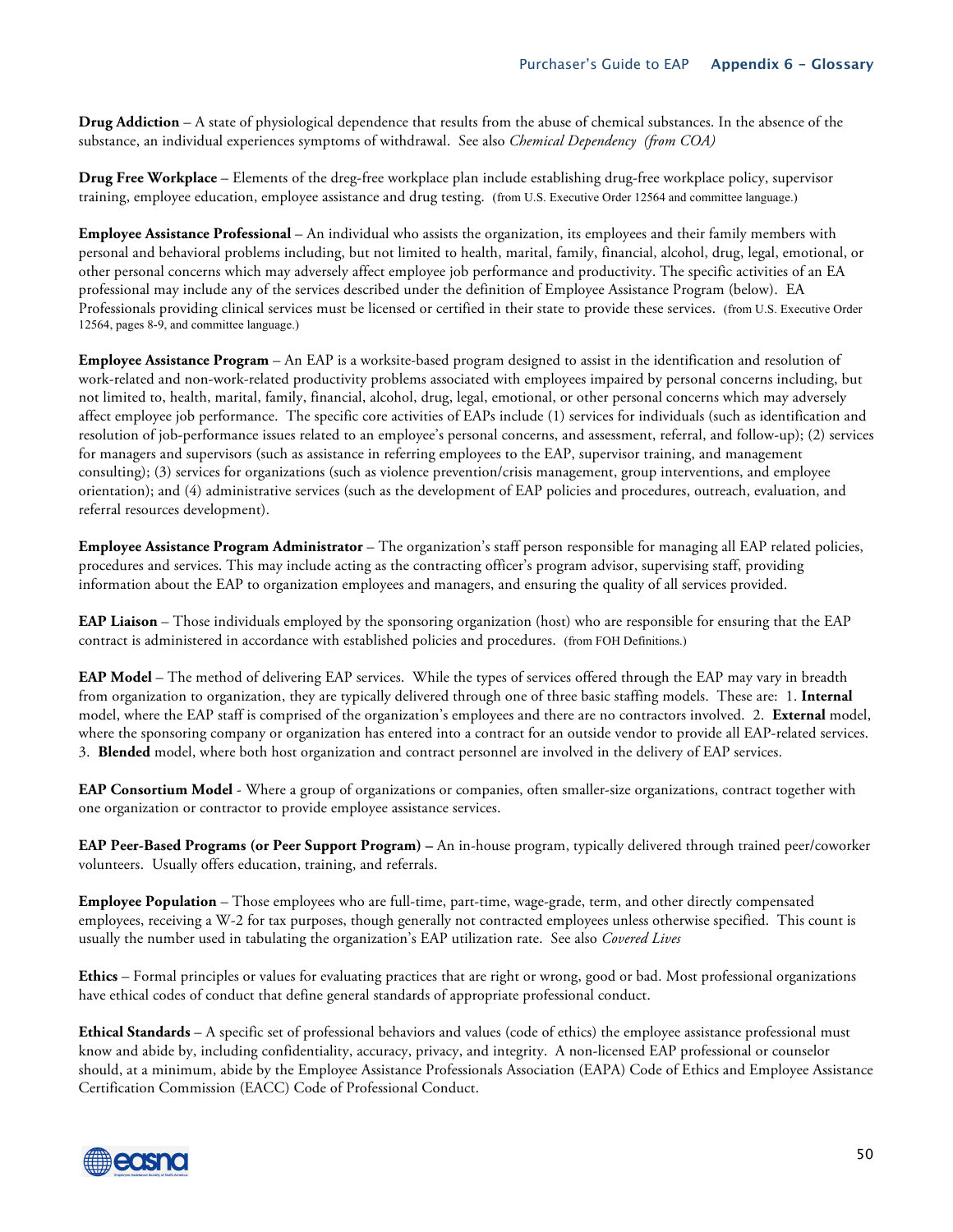**Drug Addiction** – A state of physiological dependence that results from the abuse of chemical substances. In the absence of the substance, an individual experiences symptoms of withdrawal. See also *Chemical Dependency (from COA)*

**Drug Free Workplace** – Elements of the dreg-free workplace plan include establishing drug-free workplace policy, supervisor training, employee education, employee assistance and drug testing. (from U.S. Executive Order 12564 and committee language.)

**Employee Assistance Professional** – An individual who assists the organization, its employees and their family members with personal and behavioral problems including, but not limited to health, marital, family, financial, alcohol, drug, legal, emotional, or other personal concerns which may adversely affect employee job performance and productivity. The specific activities of an EA professional may include any of the services described under the definition of Employee Assistance Program (below). EA Professionals providing clinical services must be licensed or certified in their state to provide these services. (from U.S. Executive Order 12564, pages 8-9, and committee language.)

**Employee Assistance Program** – An EAP is a worksite-based program designed to assist in the identification and resolution of work-related and non-work-related productivity problems associated with employees impaired by personal concerns including, but not limited to, health, marital, family, financial, alcohol, drug, legal, emotional, or other personal concerns which may adversely affect employee job performance. The specific core activities of EAPs include (1) services for individuals (such as identification and resolution of job-performance issues related to an employee's personal concerns, and assessment, referral, and follow-up); (2) services for managers and supervisors (such as assistance in referring employees to the EAP, supervisor training, and management consulting); (3) services for organizations (such as violence prevention/crisis management, group interventions, and employee orientation); and (4) administrative services (such as the development of EAP policies and procedures, outreach, evaluation, and referral resources development).

**Employee Assistance Program Administrator** – The organization's staff person responsible for managing all EAP related policies, procedures and services. This may include acting as the contracting officer's program advisor, supervising staff, providing information about the EAP to organization employees and managers, and ensuring the quality of all services provided.

**EAP Liaison** – Those individuals employed by the sponsoring organization (host) who are responsible for ensuring that the EAP contract is administered in accordance with established policies and procedures. (from FOH Definitions.)

**EAP Model** – The method of delivering EAP services. While the types of services offered through the EAP may vary in breadth from organization to organization, they are typically delivered through one of three basic staffing models. These are: 1. **Internal**  model, where the EAP staff is comprised of the organization's employees and there are no contractors involved. 2. **External** model, where the sponsoring company or organization has entered into a contract for an outside vendor to provide all EAP-related services. 3. **Blended** model, where both host organization and contract personnel are involved in the delivery of EAP services.

**EAP Consortium Model** - Where a group of organizations or companies, often smaller-size organizations, contract together with one organization or contractor to provide employee assistance services.

**EAP Peer-Based Programs (or Peer Support Program) –** An in-house program, typically delivered through trained peer/coworker volunteers. Usually offers education, training, and referrals.

**Employee Population** – Those employees who are full-time, part-time, wage-grade, term, and other directly compensated employees, receiving a W-2 for tax purposes, though generally not contracted employees unless otherwise specified. This count is usually the number used in tabulating the organization's EAP utilization rate. See also *Covered Lives*

**Ethics** – Formal principles or values for evaluating practices that are right or wrong, good or bad. Most professional organizations have ethical codes of conduct that define general standards of appropriate professional conduct.

**Ethical Standards** – A specific set of professional behaviors and values (code of ethics) the employee assistance professional must know and abide by, including confidentiality, accuracy, privacy, and integrity. A non-licensed EAP professional or counselor should, at a minimum, abide by the Employee Assistance Professionals Association (EAPA) Code of Ethics and Employee Assistance Certification Commission (EACC) Code of Professional Conduct.

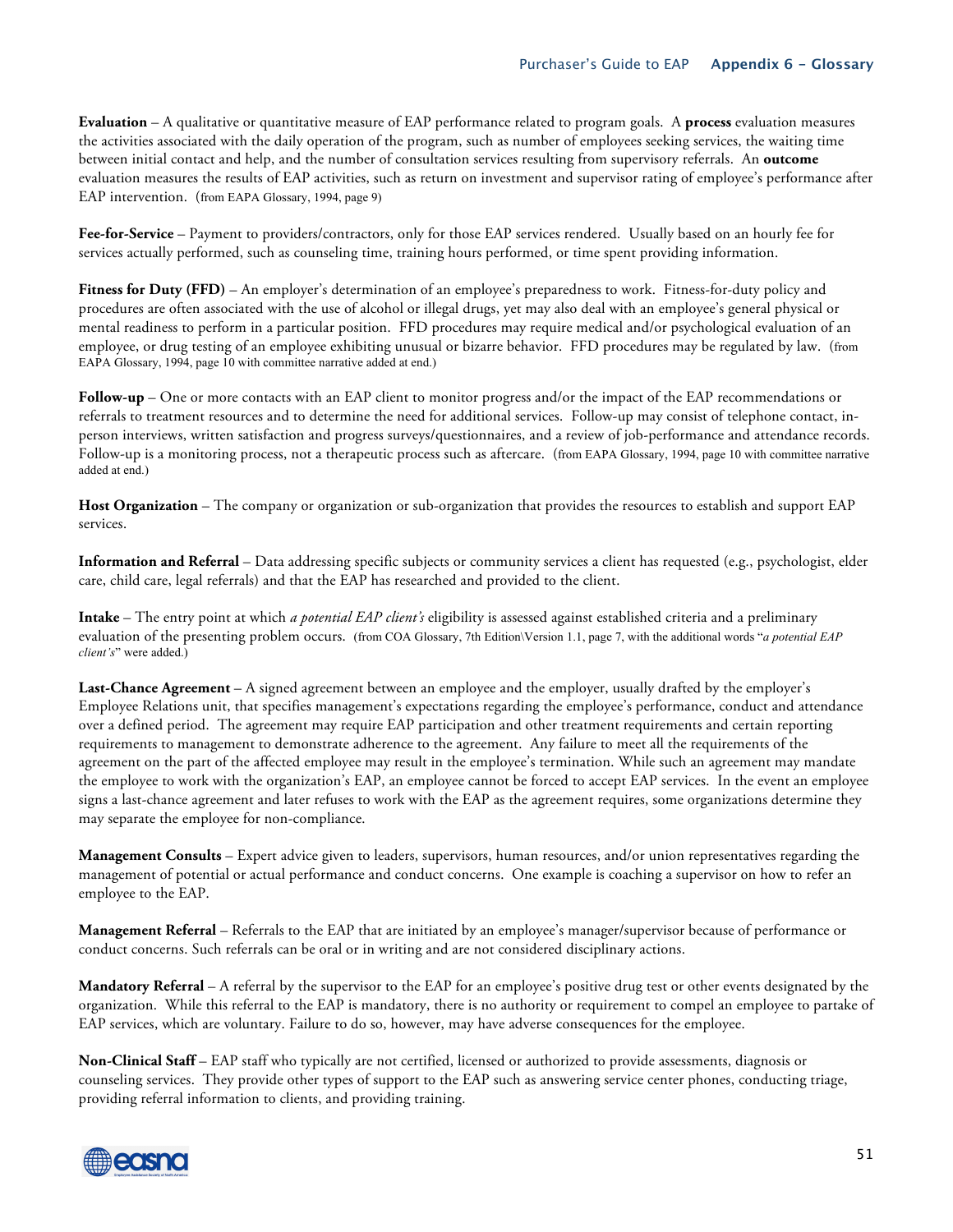**Evaluation** – A qualitative or quantitative measure of EAP performance related to program goals. A **process** evaluation measures the activities associated with the daily operation of the program, such as number of employees seeking services, the waiting time between initial contact and help, and the number of consultation services resulting from supervisory referrals. An **outcome**  evaluation measures the results of EAP activities, such as return on investment and supervisor rating of employee's performance after EAP intervention. (from EAPA Glossary, 1994, page 9)

**Fee-for-Service** – Payment to providers/contractors, only for those EAP services rendered. Usually based on an hourly fee for services actually performed, such as counseling time, training hours performed, or time spent providing information.

**Fitness for Duty (FFD)** – An employer's determination of an employee's preparedness to work. Fitness-for-duty policy and procedures are often associated with the use of alcohol or illegal drugs, yet may also deal with an employee's general physical or mental readiness to perform in a particular position. FFD procedures may require medical and/or psychological evaluation of an employee, or drug testing of an employee exhibiting unusual or bizarre behavior. FFD procedures may be regulated by law. (from EAPA Glossary, 1994, page 10 with committee narrative added at end.)

**Follow-up** – One or more contacts with an EAP client to monitor progress and/or the impact of the EAP recommendations or referrals to treatment resources and to determine the need for additional services. Follow-up may consist of telephone contact, inperson interviews, written satisfaction and progress surveys/questionnaires, and a review of job-performance and attendance records. Follow-up is a monitoring process, not a therapeutic process such as aftercare. (from EAPA Glossary, 1994, page 10 with committee narrative added at end.)

**Host Organization** – The company or organization or sub-organization that provides the resources to establish and support EAP services.

**Information and Referral** – Data addressing specific subjects or community services a client has requested (e.g., psychologist, elder care, child care, legal referrals) and that the EAP has researched and provided to the client.

**Intake** – The entry point at which *a potential EAP client's* eligibility is assessed against established criteria and a preliminary evaluation of the presenting problem occurs. (from COA Glossary, 7th Edition\Version 1.1, page 7, with the additional words "*a potential EAP client's*" were added.)

**Last-Chance Agreement** – A signed agreement between an employee and the employer, usually drafted by the employer's Employee Relations unit, that specifies management's expectations regarding the employee's performance, conduct and attendance over a defined period. The agreement may require EAP participation and other treatment requirements and certain reporting requirements to management to demonstrate adherence to the agreement. Any failure to meet all the requirements of the agreement on the part of the affected employee may result in the employee's termination. While such an agreement may mandate the employee to work with the organization's EAP, an employee cannot be forced to accept EAP services. In the event an employee signs a last-chance agreement and later refuses to work with the EAP as the agreement requires, some organizations determine they may separate the employee for non-compliance.

**Management Consults** – Expert advice given to leaders, supervisors, human resources, and/or union representatives regarding the management of potential or actual performance and conduct concerns. One example is coaching a supervisor on how to refer an employee to the EAP.

**Management Referral** – Referrals to the EAP that are initiated by an employee's manager/supervisor because of performance or conduct concerns. Such referrals can be oral or in writing and are not considered disciplinary actions.

**Mandatory Referral** – A referral by the supervisor to the EAP for an employee's positive drug test or other events designated by the organization. While this referral to the EAP is mandatory, there is no authority or requirement to compel an employee to partake of EAP services, which are voluntary. Failure to do so, however, may have adverse consequences for the employee.

**Non-Clinical Staff** – EAP staff who typically are not certified, licensed or authorized to provide assessments, diagnosis or counseling services. They provide other types of support to the EAP such as answering service center phones, conducting triage, providing referral information to clients, and providing training.

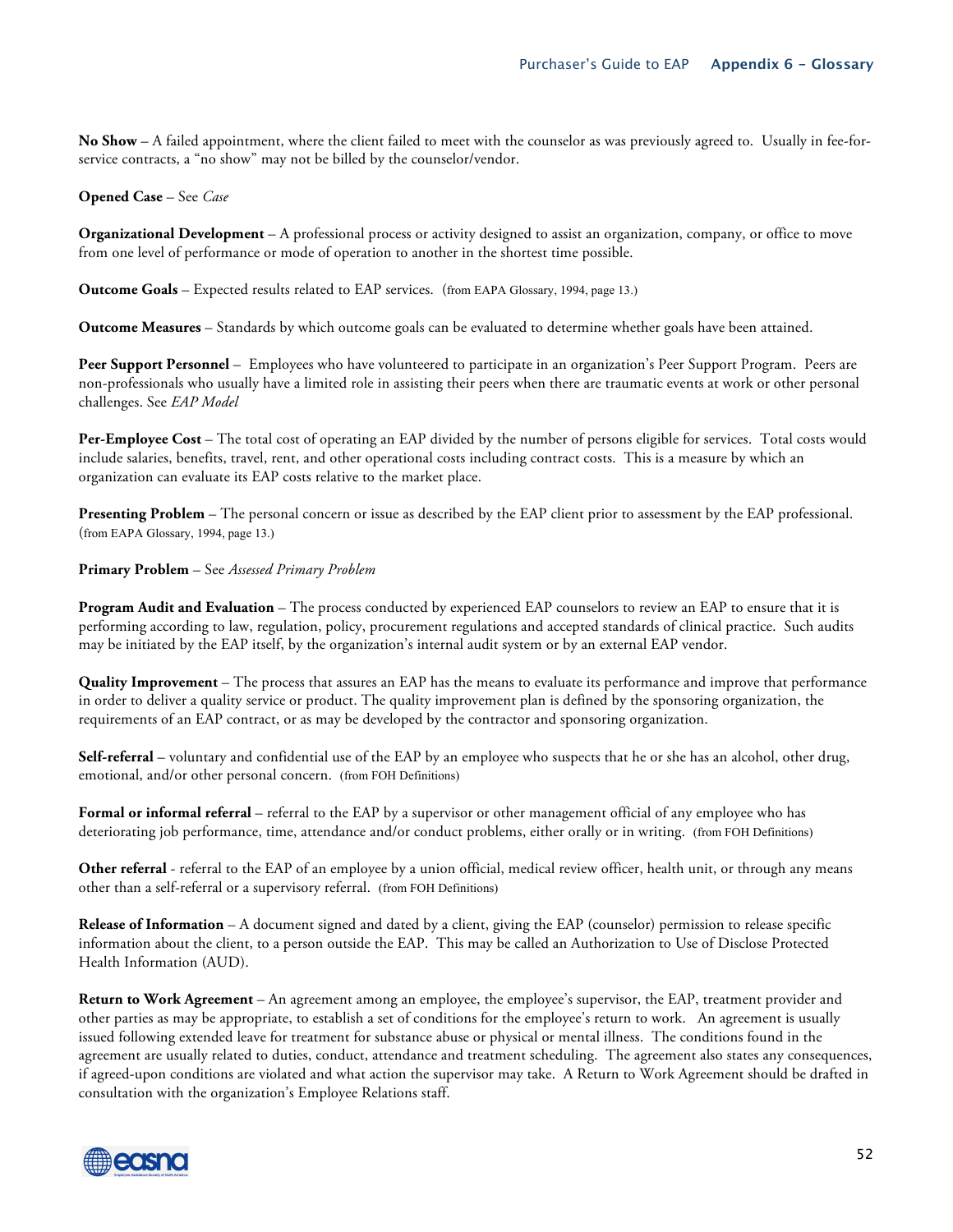**No Show** – A failed appointment, where the client failed to meet with the counselor as was previously agreed to. Usually in fee-forservice contracts, a "no show" may not be billed by the counselor/vendor.

#### **Opened Case** – See *Case*

**Organizational Development** – A professional process or activity designed to assist an organization, company, or office to move from one level of performance or mode of operation to another in the shortest time possible.

**Outcome Goals** – Expected results related to EAP services. (from EAPA Glossary, 1994, page 13.)

**Outcome Measures** – Standards by which outcome goals can be evaluated to determine whether goals have been attained.

**Peer Support Personnel** – Employees who have volunteered to participate in an organization's Peer Support Program. Peers are non-professionals who usually have a limited role in assisting their peers when there are traumatic events at work or other personal challenges. See *EAP Model*

**Per-Employee Cost** – The total cost of operating an EAP divided by the number of persons eligible for services. Total costs would include salaries, benefits, travel, rent, and other operational costs including contract costs. This is a measure by which an organization can evaluate its EAP costs relative to the market place.

**Presenting Problem** – The personal concern or issue as described by the EAP client prior to assessment by the EAP professional. (from EAPA Glossary, 1994, page 13.)

#### **Primary Problem** – See *Assessed Primary Problem*

**Program Audit and Evaluation** – The process conducted by experienced EAP counselors to review an EAP to ensure that it is performing according to law, regulation, policy, procurement regulations and accepted standards of clinical practice. Such audits may be initiated by the EAP itself, by the organization's internal audit system or by an external EAP vendor.

**Quality Improvement** – The process that assures an EAP has the means to evaluate its performance and improve that performance in order to deliver a quality service or product. The quality improvement plan is defined by the sponsoring organization, the requirements of an EAP contract, or as may be developed by the contractor and sponsoring organization.

**Self-referral** – voluntary and confidential use of the EAP by an employee who suspects that he or she has an alcohol, other drug, emotional, and/or other personal concern. (from FOH Definitions)

**Formal or informal referral** – referral to the EAP by a supervisor or other management official of any employee who has deteriorating job performance, time, attendance and/or conduct problems, either orally or in writing. (from FOH Definitions)

**Other referral** - referral to the EAP of an employee by a union official, medical review officer, health unit, or through any means other than a self-referral or a supervisory referral. (from FOH Definitions)

**Release of Information** – A document signed and dated by a client, giving the EAP (counselor) permission to release specific information about the client, to a person outside the EAP. This may be called an Authorization to Use of Disclose Protected Health Information (AUD).

**Return to Work Agreement** – An agreement among an employee, the employee's supervisor, the EAP, treatment provider and other parties as may be appropriate, to establish a set of conditions for the employee's return to work. An agreement is usually issued following extended leave for treatment for substance abuse or physical or mental illness. The conditions found in the agreement are usually related to duties, conduct, attendance and treatment scheduling. The agreement also states any consequences, if agreed-upon conditions are violated and what action the supervisor may take. A Return to Work Agreement should be drafted in consultation with the organization's Employee Relations staff.

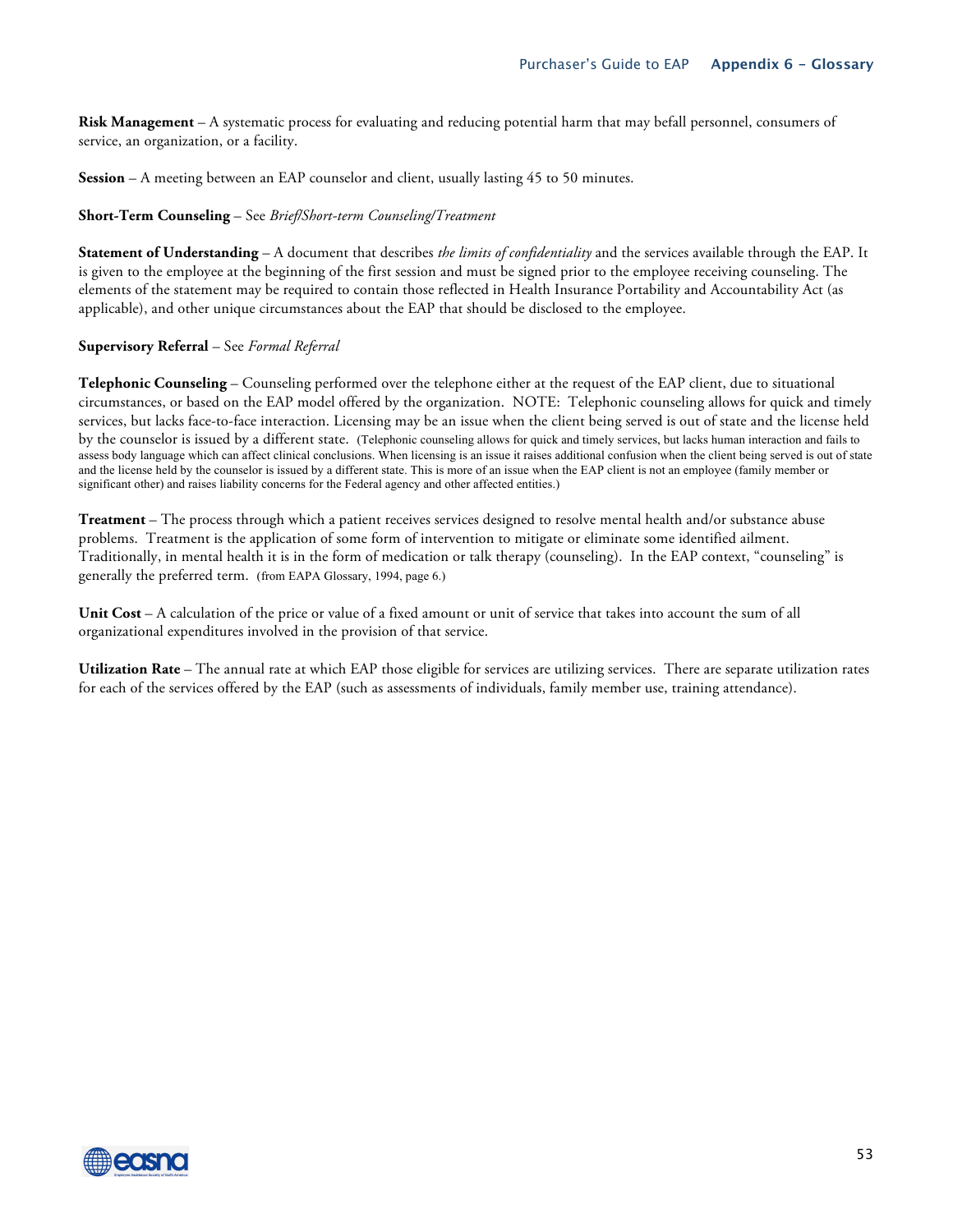**Risk Management** – A systematic process for evaluating and reducing potential harm that may befall personnel, consumers of service, an organization, or a facility.

**Session** – A meeting between an EAP counselor and client, usually lasting 45 to 50 minutes.

#### **Short-Term Counseling** – See *Brief/Short-term Counseling/Treatment*

**Statement of Understanding** – A document that describes *the limits of confidentiality* and the services available through the EAP. It is given to the employee at the beginning of the first session and must be signed prior to the employee receiving counseling. The elements of the statement may be required to contain those reflected in Health Insurance Portability and Accountability Act (as applicable), and other unique circumstances about the EAP that should be disclosed to the employee.

#### **Supervisory Referral** – See *Formal Referral*

**Telephonic Counseling** – Counseling performed over the telephone either at the request of the EAP client, due to situational circumstances, or based on the EAP model offered by the organization. NOTE: Telephonic counseling allows for quick and timely services, but lacks face-to-face interaction. Licensing may be an issue when the client being served is out of state and the license held by the counselor is issued by a different state. (Telephonic counseling allows for quick and timely services, but lacks human interaction and fails to assess body language which can affect clinical conclusions. When licensing is an issue it raises additional confusion when the client being served is out of state and the license held by the counselor is issued by a different state. This is more of an issue when the EAP client is not an employee (family member or significant other) and raises liability concerns for the Federal agency and other affected entities.)

**Treatment** – The process through which a patient receives services designed to resolve mental health and/or substance abuse problems. Treatment is the application of some form of intervention to mitigate or eliminate some identified ailment. Traditionally, in mental health it is in the form of medication or talk therapy (counseling). In the EAP context, "counseling" is generally the preferred term. (from EAPA Glossary, 1994, page 6.)

**Unit Cost** – A calculation of the price or value of a fixed amount or unit of service that takes into account the sum of all organizational expenditures involved in the provision of that service.

**Utilization Rate** – The annual rate at which EAP those eligible for services are utilizing services. There are separate utilization rates for each of the services offered by the EAP (such as assessments of individuals, family member use, training attendance).

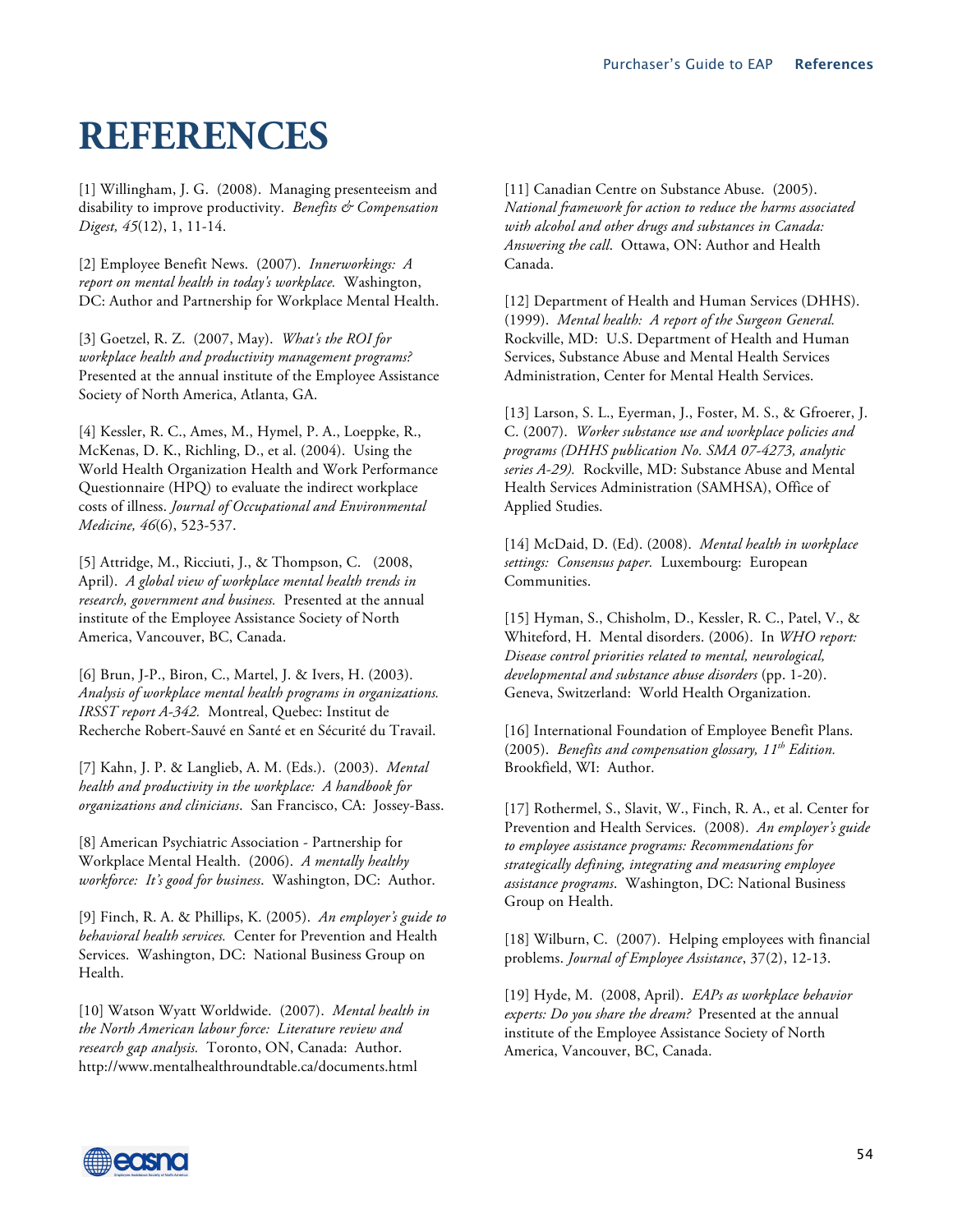## **REFERENCES**

[1] Willingham, J. G. (2008). Managing presenteeism and disability to improve productivity. *Benefits & Compensation Digest, 45*(12), 1, 11-14.

[2] Employee Benefit News. (2007). *Innerworkings: A report on mental health in today's workplace.* Washington, DC: Author and Partnership for Workplace Mental Health.

[3] Goetzel, R. Z. (2007, May). *What's the ROI for workplace health and productivity management programs?* Presented at the annual institute of the Employee Assistance Society of North America, Atlanta, GA.

[4] Kessler, R. C., Ames, M., Hymel, P. A., Loeppke, R., McKenas, D. K., Richling, D., et al. (2004). Using the World Health Organization Health and Work Performance Questionnaire (HPQ) to evaluate the indirect workplace costs of illness. *Journal of Occupational and Environmental Medicine, 46*(6), 523-537.

[5] Attridge, M., Ricciuti, J., & Thompson, C. (2008, April). *A global view of workplace mental health trends in research, government and business.* Presented at the annual institute of the Employee Assistance Society of North America, Vancouver, BC, Canada.

[6] Brun, J-P., Biron, C., Martel, J. & Ivers, H. (2003). *Analysis of workplace mental health programs in organizations. IRSST report A-342.* Montreal, Quebec: Institut de Recherche Robert-Sauvé en Santé et en Sécurité du Travail.

[7] Kahn, J. P. & Langlieb, A. M. (Eds.). (2003). *Mental health and productivity in the workplace: A handbook for organizations and clinicians*. San Francisco, CA: Jossey-Bass.

[8] American Psychiatric Association - Partnership for Workplace Mental Health. (2006). *A mentally healthy workforce: It's good for business*. Washington, DC: Author.

[9] Finch, R. A. & Phillips, K. (2005). *An employer's guide to behavioral health services.* Center for Prevention and Health Services. Washington, DC: National Business Group on Health.

[10] Watson Wyatt Worldwide. (2007). *Mental health in the North American labour force: Literature review and research gap analysis.* Toronto, ON, Canada: Author. http://www.mentalhealthroundtable.ca/documents.html

[11] Canadian Centre on Substance Abuse. (2005). *National framework for action to reduce the harms associated with alcohol and other drugs and substances in Canada: Answering the call*. Ottawa, ON: Author and Health Canada.

[12] Department of Health and Human Services (DHHS). (1999). *Mental health: A report of the Surgeon General.* Rockville, MD: U.S. Department of Health and Human Services, Substance Abuse and Mental Health Services Administration, Center for Mental Health Services.

[13] Larson, S. L., Eyerman, J., Foster, M. S., & Gfroerer, J. C. (2007). *Worker substance use and workplace policies and programs (DHHS publication No. SMA 07-4273, analytic series A-29).* Rockville, MD: Substance Abuse and Mental Health Services Administration (SAMHSA), Office of Applied Studies.

[14] McDaid, D. (Ed). (2008). *Mental health in workplace settings: Consensus paper.* Luxembourg: European Communities.

[15] Hyman, S., Chisholm, D., Kessler, R. C., Patel, V., & Whiteford, H. Mental disorders. (2006). In *WHO report: Disease control priorities related to mental, neurological, developmental and substance abuse disorders* (pp. 1-20). Geneva, Switzerland: World Health Organization.

[16] International Foundation of Employee Benefit Plans. (2005). *Benefits and compensation glossary, 11th Edition.*  Brookfield, WI: Author.

[17] Rothermel, S., Slavit, W., Finch, R. A., et al. Center for Prevention and Health Services. (2008). *An employer's guide to employee assistance programs: Recommendations for strategically defining, integrating and measuring employee assistance programs*. Washington, DC: National Business Group on Health.

[18] Wilburn, C. (2007). Helping employees with financial problems. *Journal of Employee Assistance*, 37(2), 12-13.

[19] Hyde, M. (2008, April). *EAPs as workplace behavior experts: Do you share the dream?* Presented at the annual institute of the Employee Assistance Society of North America, Vancouver, BC, Canada.

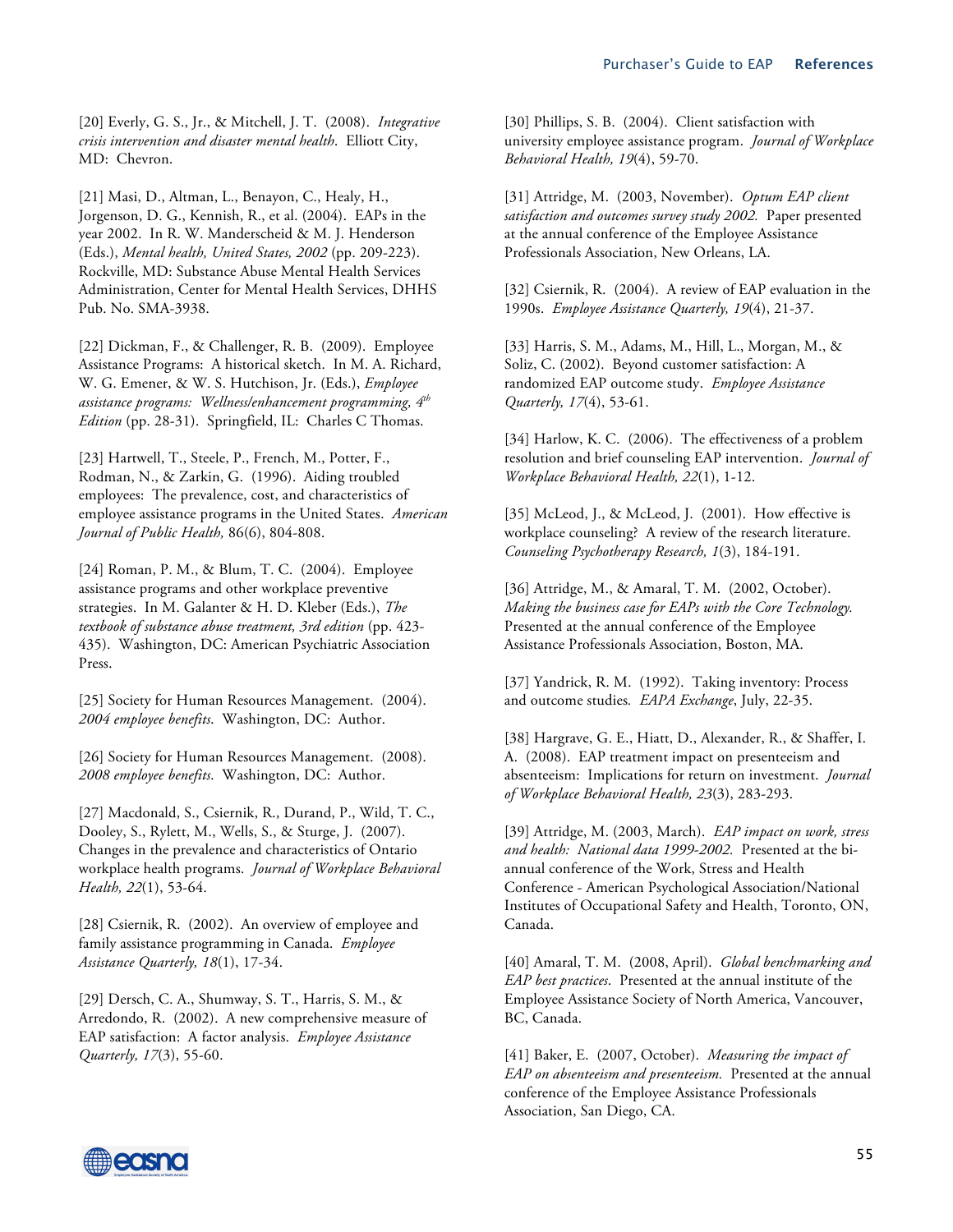[20] Everly, G. S., Jr., & Mitchell, J. T. (2008). *Integrative crisis intervention and disaster mental health*. Elliott City, MD: Chevron.

[21] Masi, D., Altman, L., Benayon, C., Healy, H., Jorgenson, D. G., Kennish, R., et al. (2004). EAPs in the year 2002. In R. W. Manderscheid & M. J. Henderson (Eds.), *Mental health, United States, 2002* (pp. 209-223). Rockville, MD: Substance Abuse Mental Health Services Administration, Center for Mental Health Services, DHHS Pub. No. SMA-3938.

[22] Dickman, F., & Challenger, R. B. (2009).Employee Assistance Programs: A historical sketch. In M. A. Richard, W. G. Emener, & W. S. Hutchison, Jr. (Eds.), *Employee assistance programs: Wellness/enhancement programming, 4th Edition* (pp. 28-31). Springfield, IL: Charles C Thomas.

[23] Hartwell, T., Steele, P., French, M., Potter, F., Rodman, N., & Zarkin, G. (1996). Aiding troubled employees: The prevalence, cost, and characteristics of employee assistance programs in the United States. *American Journal of Public Health,* 86(6), 804-808.

[24] Roman, P. M., & Blum, T. C. (2004). Employee assistance programs and other workplace preventive strategies. In M. Galanter & H. D. Kleber (Eds.), *The textbook of substance abuse treatment, 3rd edition* (pp. 423- 435). Washington, DC: American Psychiatric Association Press.

[25] Society for Human Resources Management. (2004). *2004 employee benefits*. Washington, DC: Author.

[26] Society for Human Resources Management. (2008). *2008 employee benefits*. Washington, DC: Author.

[27] Macdonald, S., Csiernik, R., Durand, P., Wild, T. C., Dooley, S., Rylett, M., Wells, S., & Sturge, J. (2007). Changes in the prevalence and characteristics of Ontario workplace health programs. *Journal of Workplace Behavioral Health, 22*(1), 53-64.

[28] Csiernik, R. (2002). An overview of employee and family assistance programming in Canada. *Employee Assistance Quarterly, 18*(1), 17-34.

[29] Dersch, C. A., Shumway, S. T., Harris, S. M., & Arredondo, R. (2002). A new comprehensive measure of EAP satisfaction: A factor analysis. *Employee Assistance Quarterly, 17*(3), 55-60.

[30] Phillips, S. B. (2004). Client satisfaction with university employee assistance program. *Journal of Workplace Behavioral Health, 19*(4), 59-70.

[31] Attridge, M. (2003, November). *Optum EAP client satisfaction and outcomes survey study 2002.* Paper presented at the annual conference of the Employee Assistance Professionals Association, New Orleans, LA.

[32] Csiernik, R. (2004). A review of EAP evaluation in the 1990s. *Employee Assistance Quarterly, 19*(4), 21-37.

[33] Harris, S. M., Adams, M., Hill, L., Morgan, M., & Soliz, C. (2002). Beyond customer satisfaction: A randomized EAP outcome study. *Employee Assistance Quarterly, 17*(4), 53-61.

[34] Harlow, K. C. (2006). The effectiveness of a problem resolution and brief counseling EAP intervention. *Journal of Workplace Behavioral Health, 22*(1), 1-12.

[35] McLeod, J., & McLeod, J. (2001). How effective is workplace counseling? A review of the research literature. *Counseling Psychotherapy Research, 1*(3), 184-191.

[36] Attridge, M., & Amaral, T. M. (2002, October). *Making the business case for EAPs with the Core Technology.* Presented at the annual conference of the Employee Assistance Professionals Association, Boston, MA.

[37] Yandrick, R. M. (1992). Taking inventory: Process and outcome studies*. EAPA Exchange*, July, 22-35.

[38] Hargrave, G. E., Hiatt, D., Alexander, R., & Shaffer, I. A. (2008). EAP treatment impact on presenteeism and absenteeism: Implications for return on investment. *Journal of Workplace Behavioral Health, 23*(3), 283-293.

[39] Attridge, M. (2003, March). *EAP impact on work, stress and health: National data 1999-2002.* Presented at the biannual conference of the Work, Stress and Health Conference - American Psychological Association/National Institutes of Occupational Safety and Health, Toronto, ON, Canada.

[40] Amaral, T. M. (2008, April). *Global benchmarking and EAP best practices*. Presented at the annual institute of the Employee Assistance Society of North America, Vancouver, BC, Canada.

[41] Baker, E. (2007, October). *Measuring the impact of EAP on absenteeism and presenteeism.* Presented at the annual conference of the Employee Assistance Professionals Association, San Diego, CA.

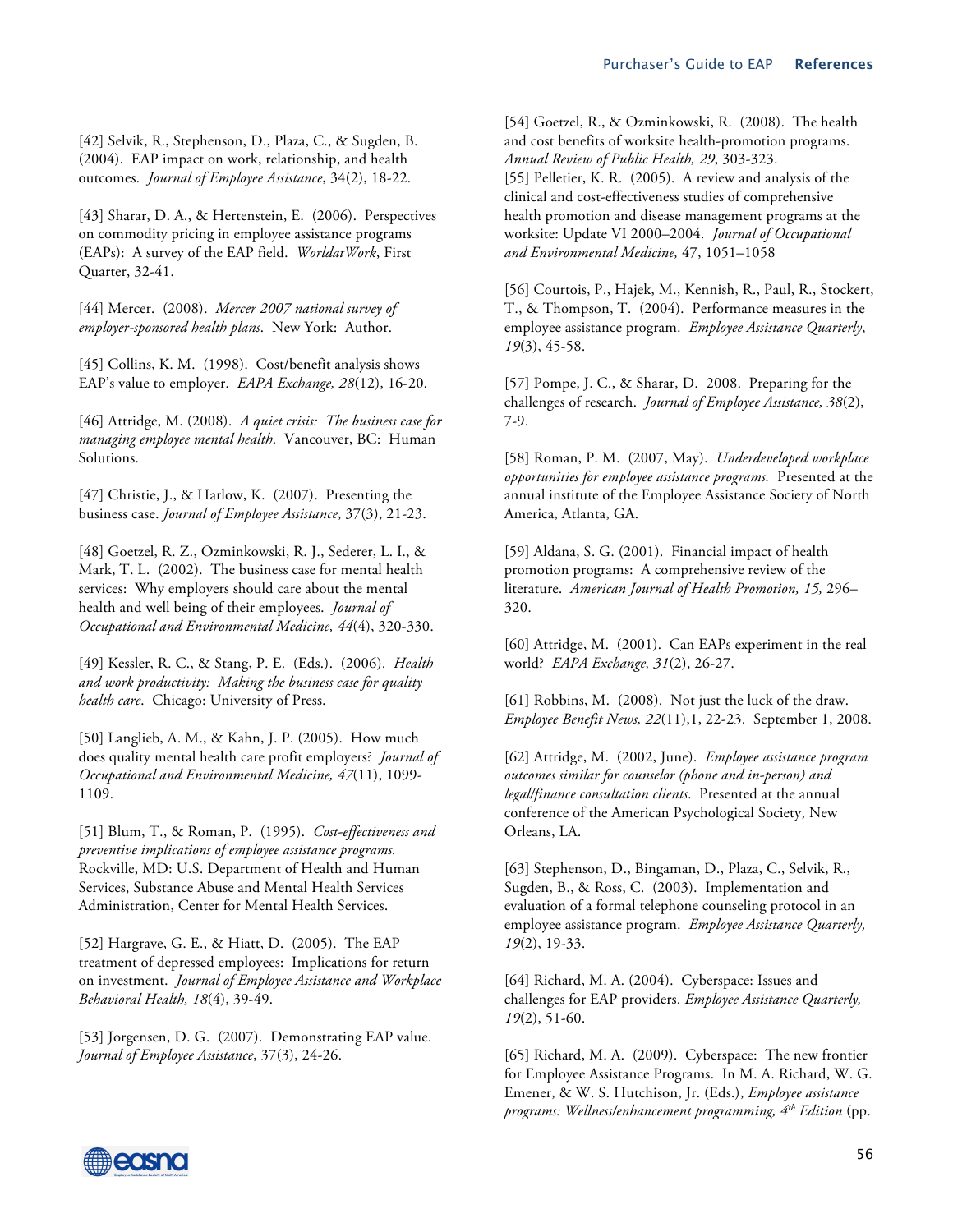[42] Selvik, R., Stephenson, D., Plaza, C., & Sugden, B. (2004). EAP impact on work, relationship, and health outcomes. *Journal of Employee Assistance*, 34(2), 18-22.

[43] Sharar, D. A., & Hertenstein, E. (2006). Perspectives on commodity pricing in employee assistance programs (EAPs): A survey of the EAP field. *WorldatWork*, First Quarter, 32-41.

[44] Mercer. (2008). *Mercer 2007 national survey of employer-sponsored health plans*. New York: Author.

[45] Collins, K. M. (1998). Cost/benefit analysis shows EAP's value to employer. *EAPA Exchange, 28*(12), 16-20.

[46] Attridge, M. (2008). *A quiet crisis: The business case for managing employee mental health*. Vancouver, BC: Human Solutions.

[47] Christie, J., & Harlow, K. (2007). Presenting the business case. *Journal of Employee Assistance*, 37(3), 21-23.

[48] Goetzel, R. Z., Ozminkowski, R. J., Sederer, L. I., & Mark, T. L. (2002). The business case for mental health services: Why employers should care about the mental health and well being of their employees. *Journal of Occupational and Environmental Medicine, 44*(4), 320-330.

[49] Kessler, R. C., & Stang, P. E. (Eds.). (2006). *Health and work productivity: Making the business case for quality health care*. Chicago: University of Press.

[50] Langlieb, A. M., & Kahn, J. P. (2005). How much does quality mental health care profit employers? *Journal of Occupational and Environmental Medicine, 47*(11), 1099- 1109.

[51] Blum, T., & Roman, P. (1995). *Cost-effectiveness and preventive implications of employee assistance programs.* Rockville, MD: U.S. Department of Health and Human Services, Substance Abuse and Mental Health Services Administration, Center for Mental Health Services.

[52] Hargrave, G. E., & Hiatt, D. (2005). The EAP treatment of depressed employees: Implications for return on investment. *Journal of Employee Assistance and Workplace Behavioral Health, 18*(4), 39-49.

[53] Jorgensen, D. G. (2007). Demonstrating EAP value. *Journal of Employee Assistance*, 37(3), 24-26.

[54] Goetzel, R., & Ozminkowski, R. (2008). The health and cost benefits of worksite health-promotion programs. *Annual Review of Public Health, 29*, 303-323. [55] Pelletier, K. R. (2005). A review and analysis of the clinical and cost-effectiveness studies of comprehensive health promotion and disease management programs at the worksite: Update VI 2000–2004. *Journal of Occupational and Environmental Medicine,* 47, 1051–1058

[56] Courtois, P., Hajek, M., Kennish, R., Paul, R., Stockert, T., & Thompson, T. (2004). Performance measures in the employee assistance program. *Employee Assistance Quarterly*, *19*(3), 45-58.

[57] Pompe, J. C., & Sharar, D. 2008. Preparing for the challenges of research. *Journal of Employee Assistance, 38*(2), 7-9.

[58] Roman, P. M. (2007, May). *Underdeveloped workplace opportunities for employee assistance programs.* Presented at the annual institute of the Employee Assistance Society of North America, Atlanta, GA.

[59] Aldana, S. G. (2001). Financial impact of health promotion programs: A comprehensive review of the literature. *American Journal of Health Promotion, 15,* 296– 320.

[60] Attridge, M. (2001). Can EAPs experiment in the real world? *EAPA Exchange, 31*(2), 26-27.

[61] Robbins, M. (2008). Not just the luck of the draw. *Employee Benefit News, 22*(11),1, 22-23. September 1, 2008.

[62] Attridge, M. (2002, June). *Employee assistance program outcomes similar for counselor (phone and in-person) and legal/finance consultation clients*. Presented at the annual conference of the American Psychological Society, New Orleans, LA.

[63] Stephenson, D., Bingaman, D., Plaza, C., Selvik, R., Sugden, B., & Ross, C. (2003). Implementation and evaluation of a formal telephone counseling protocol in an employee assistance program. *Employee Assistance Quarterly, 19*(2), 19-33.

[64] Richard, M. A. (2004). Cyberspace: Issues and challenges for EAP providers. *Employee Assistance Quarterly, 19*(2), 51-60.

[65] Richard, M. A. (2009).Cyberspace: The new frontier for Employee Assistance Programs. In M. A. Richard, W. G. Emener, & W. S. Hutchison, Jr. (Eds.), *Employee assistance programs: Wellness/enhancement programming, 4th Edition* (pp.

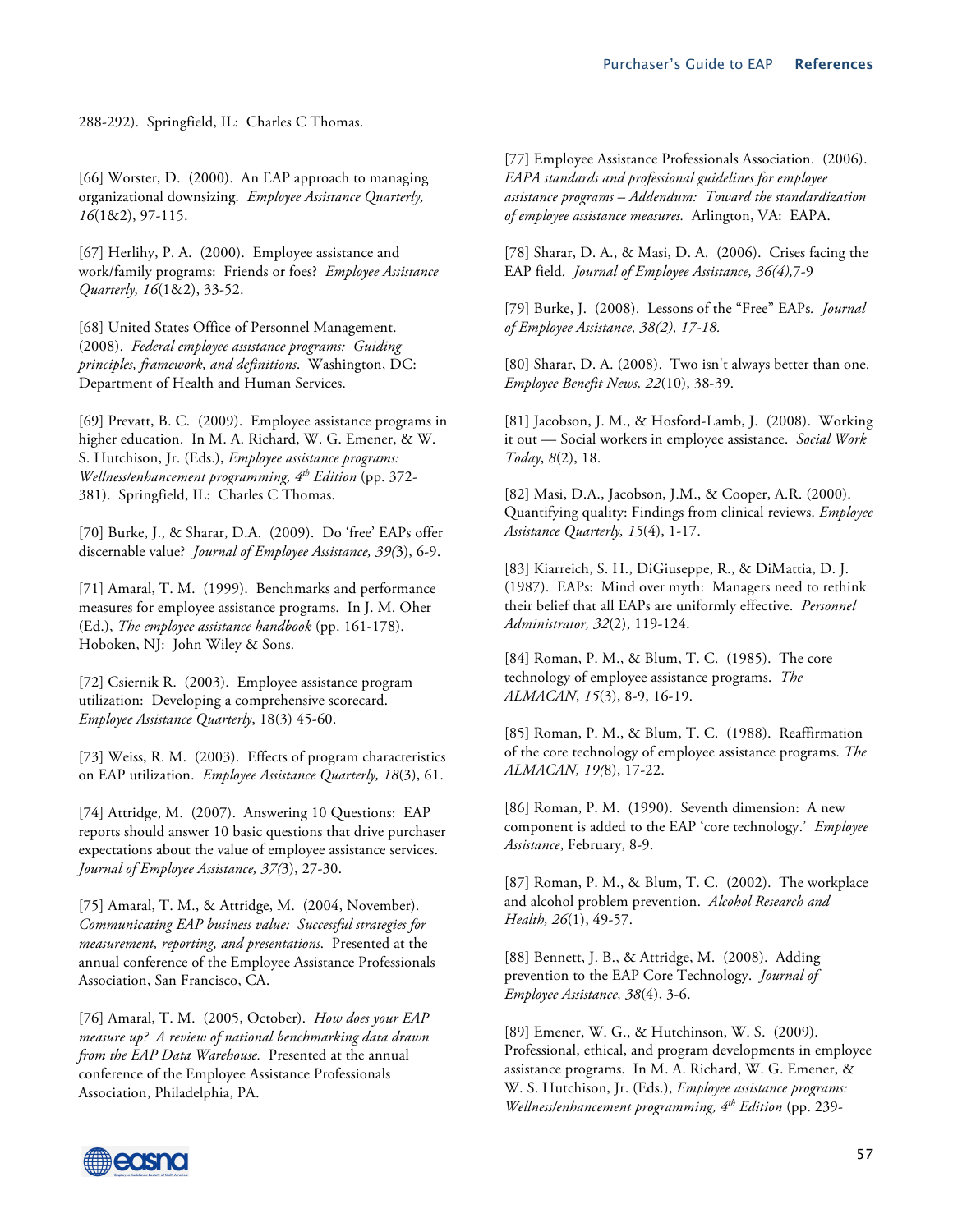288-292). Springfield, IL: Charles C Thomas.

[66] Worster, D. (2000). An EAP approach to managing organizational downsizing. *Employee Assistance Quarterly, 16*(1&2), 97-115.

[67] Herlihy, P. A. (2000). Employee assistance and work/family programs: Friends or foes? *Employee Assistance Quarterly, 16*(1&2), 33-52.

[68] United States Office of Personnel Management. (2008). *Federal employee assistance programs: Guiding principles, framework, and definitions*. Washington, DC: Department of Health and Human Services.

[69] Prevatt, B. C. (2009).Employee assistance programs in higher education. In M. A. Richard, W. G. Emener, & W. S. Hutchison, Jr. (Eds.), *Employee assistance programs: Wellness/enhancement programming, 4th Edition* (pp. 372- 381). Springfield, IL: Charles C Thomas.

[70] Burke, J., & Sharar, D.A. (2009). Do 'free' EAPs offer discernable value? *Journal of Employee Assistance, 39(*3), 6-9.

[71] Amaral, T. M. (1999). Benchmarks and performance measures for employee assistance programs. In J. M. Oher (Ed.), *The employee assistance handbook* (pp. 161-178). Hoboken, NJ: John Wiley & Sons.

[72] Csiernik R. (2003). Employee assistance program utilization: Developing a comprehensive scorecard. *Employee Assistance Quarterly*, 18(3) 45-60.

[73] Weiss, R. M. (2003). Effects of program characteristics on EAP utilization. *Employee Assistance Quarterly, 18*(3), 61.

[74] Attridge, M. (2007). Answering 10 Questions: EAP reports should answer 10 basic questions that drive purchaser expectations about the value of employee assistance services. *Journal of Employee Assistance, 37(*3), 27-30.

[75] Amaral, T. M., & Attridge, M. (2004, November). *Communicating EAP business value: Successful strategies for measurement, reporting, and presentations*. Presented at the annual conference of the Employee Assistance Professionals Association, San Francisco, CA.

[76] Amaral, T. M. (2005, October). *How does your EAP measure up? A review of national benchmarking data drawn from the EAP Data Warehouse.* Presented at the annual conference of the Employee Assistance Professionals Association, Philadelphia, PA.

[77] Employee Assistance Professionals Association. (2006). *EAPA standards and professional guidelines for employee assistance programs – Addendum: Toward the standardization of employee assistance measures.* Arlington, VA: EAPA.

[78] Sharar, D. A., & Masi, D. A. (2006). Crises facing the EAP field*. Journal of Employee Assistance, 36(4),*7-9

[79] Burke, J. (2008). Lessons of the "Free" EAPs*. Journal of Employee Assistance, 38(2), 17-18.*

[80] Sharar, D. A. (2008). Two isn't always better than one. *Employee Benefit News, 22*(10), 38-39.

[81] Jacobson, J. M., & Hosford-Lamb, J. (2008). Working it out — Social workers in employee assistance. *Social Work Today*, *8*(2), 18.

[82] Masi, D.A., Jacobson, J.M., & Cooper, A.R. (2000). Quantifying quality: Findings from clinical reviews. *Employee Assistance Quarterly, 15*(4), 1-17.

[83] Kiarreich, S. H., DiGiuseppe, R., & DiMattia, D. J. (1987). EAPs: Mind over myth: Managers need to rethink their belief that all EAPs are uniformly effective. *Personnel Administrator, 32*(2), 119-124.

[84] Roman, P. M., & Blum, T. C. (1985). The core technology of employee assistance programs. *The ALMACAN*, *15*(3), 8-9, 16-19.

[85] Roman, P. M., & Blum, T. C. (1988). Reaffirmation of the core technology of employee assistance programs. *The ALMACAN, 19(*8), 17-22.

[86] Roman, P. M. (1990). Seventh dimension: A new component is added to the EAP 'core technology.' *Employee Assistance*, February, 8-9.

[87] Roman, P. M., & Blum, T. C. (2002). The workplace and alcohol problem prevention. *Alcohol Research and Health, 26*(1), 49-57.

[88] Bennett, J. B., & Attridge, M. (2008). Adding prevention to the EAP Core Technology. *Journal of Employee Assistance, 38*(4), 3-6.

[89] Emener, W. G., & Hutchinson, W. S. (2009). Professional, ethical, and program developments in employee assistance programs. In M. A. Richard, W. G. Emener, & W. S. Hutchison, Jr. (Eds.), *Employee assistance programs: Wellness/enhancement programming, 4th Edition* (pp. 239-

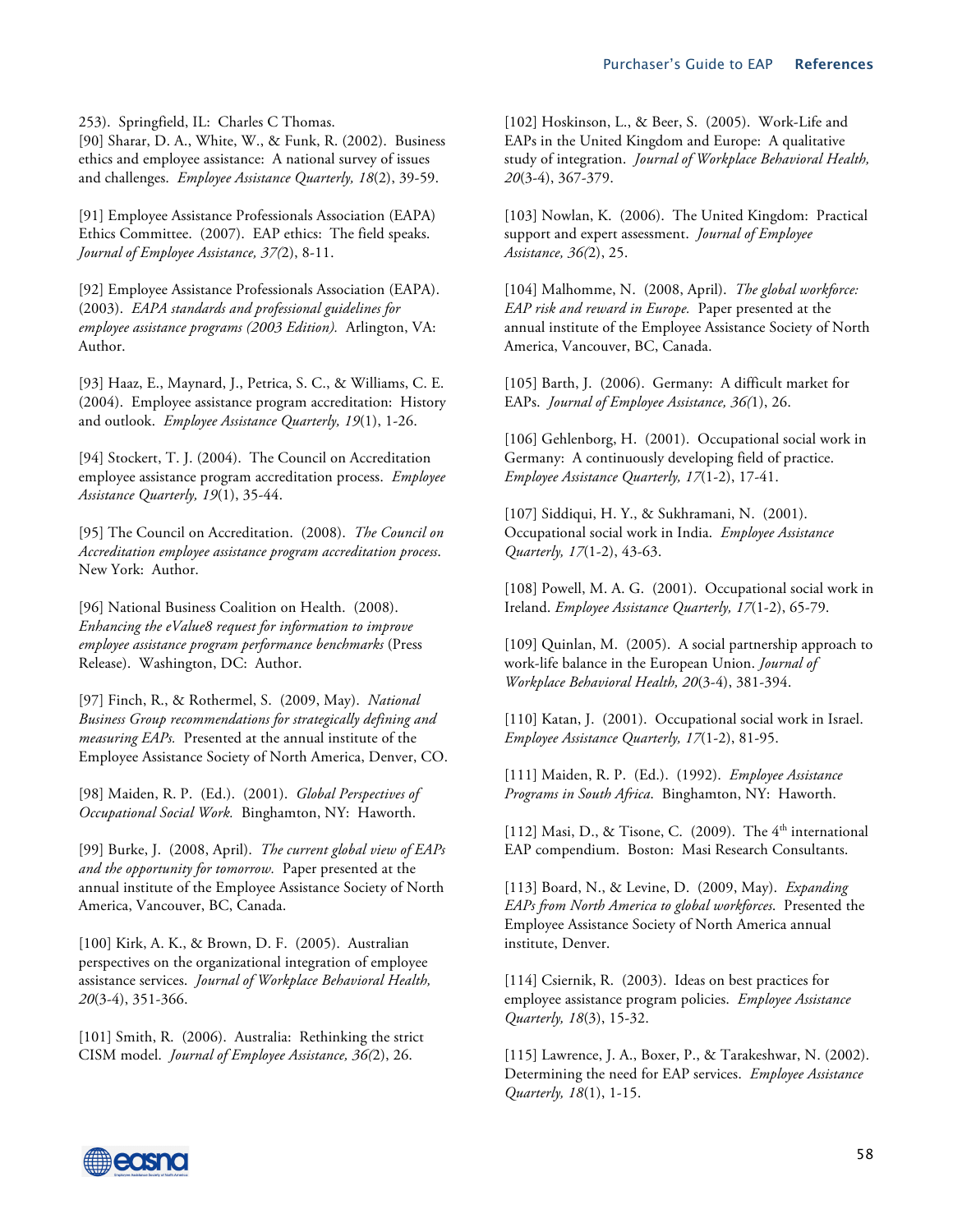253). Springfield, IL: Charles C Thomas.

[90] Sharar, D. A., White, W., & Funk, R. (2002). Business ethics and employee assistance: A national survey of issues and challenges. *Employee Assistance Quarterly, 18*(2), 39-59.

[91] Employee Assistance Professionals Association (EAPA) Ethics Committee. (2007). EAP ethics: The field speaks. *Journal of Employee Assistance, 37(*2), 8-11.

[92] Employee Assistance Professionals Association (EAPA). (2003). *EAPA standards and professional guidelines for employee assistance programs (2003 Edition).* Arlington, VA: Author.

[93] Haaz, E., Maynard, J., Petrica, S. C., & Williams, C. E. (2004). Employee assistance program accreditation: History and outlook. *Employee Assistance Quarterly, 19*(1), 1-26.

[94] Stockert, T. J. (2004). The Council on Accreditation employee assistance program accreditation process. *Employee Assistance Quarterly, 19*(1), 35-44.

[95] The Council on Accreditation. (2008). *The Council on Accreditation employee assistance program accreditation process*. New York: Author.

[96] National Business Coalition on Health. (2008). *Enhancing the eValue8 request for information to improve employee assistance program performance benchmarks* (Press Release). Washington, DC: Author.

[97] Finch, R., & Rothermel, S. (2009, May). *National Business Group recommendations for strategically defining and measuring EAPs.* Presented at the annual institute of the Employee Assistance Society of North America, Denver, CO.

[98] Maiden, R. P. (Ed.). (2001). *Global Perspectives of Occupational Social Work.* Binghamton, NY: Haworth.

[99] Burke, J. (2008, April). *The current global view of EAPs and the opportunity for tomorrow.* Paper presented at the annual institute of the Employee Assistance Society of North America, Vancouver, BC, Canada.

[100] Kirk, A. K., & Brown, D. F. (2005). Australian perspectives on the organizational integration of employee assistance services. *Journal of Workplace Behavioral Health, 20*(3-4), 351-366.

[101] Smith, R. (2006). Australia: Rethinking the strict CISM model. *Journal of Employee Assistance, 36(*2), 26.

[102] Hoskinson, L., & Beer, S. (2005). Work-Life and EAPs in the United Kingdom and Europe: A qualitative study of integration. *Journal of Workplace Behavioral Health, 20*(3-4), 367-379.

[103] Nowlan, K. (2006). The United Kingdom: Practical support and expert assessment. *Journal of Employee Assistance, 36(*2), 25.

[104] Malhomme, N. (2008, April). *The global workforce: EAP risk and reward in Europe.* Paper presented at the annual institute of the Employee Assistance Society of North America, Vancouver, BC, Canada.

[105] Barth, J. (2006). Germany: A difficult market for EAPs. *Journal of Employee Assistance, 36(*1), 26.

[106] Gehlenborg, H. (2001). Occupational social work in Germany: A continuously developing field of practice. *Employee Assistance Quarterly, 17*(1-2), 17-41.

[107] Siddiqui, H. Y., & Sukhramani, N. (2001). Occupational social work in India. *Employee Assistance Quarterly, 17*(1-2), 43-63.

[108] Powell, M. A. G. (2001). Occupational social work in Ireland. *Employee Assistance Quarterly, 17*(1-2), 65-79.

[109] Quinlan, M. (2005). A social partnership approach to work-life balance in the European Union. *Journal of Workplace Behavioral Health, 20*(3-4), 381-394.

[110] Katan, J. (2001). Occupational social work in Israel. *Employee Assistance Quarterly, 17*(1-2), 81-95.

[111] Maiden, R. P. (Ed.). (1992). *Employee Assistance Programs in South Africa*. Binghamton, NY: Haworth.

[112] Masi, D., & Tisone, C. (2009). The  $4<sup>th</sup>$  international EAP compendium. Boston: Masi Research Consultants.

[113] Board, N., & Levine, D. (2009, May). *Expanding EAPs from North America to global workforces*. Presented the Employee Assistance Society of North America annual institute, Denver.

[114] Csiernik, R. (2003). Ideas on best practices for employee assistance program policies. *Employee Assistance Quarterly, 18*(3), 15-32.

[115] Lawrence, J. A., Boxer, P., & Tarakeshwar, N. (2002). Determining the need for EAP services. *Employee Assistance Quarterly, 18*(1), 1-15.

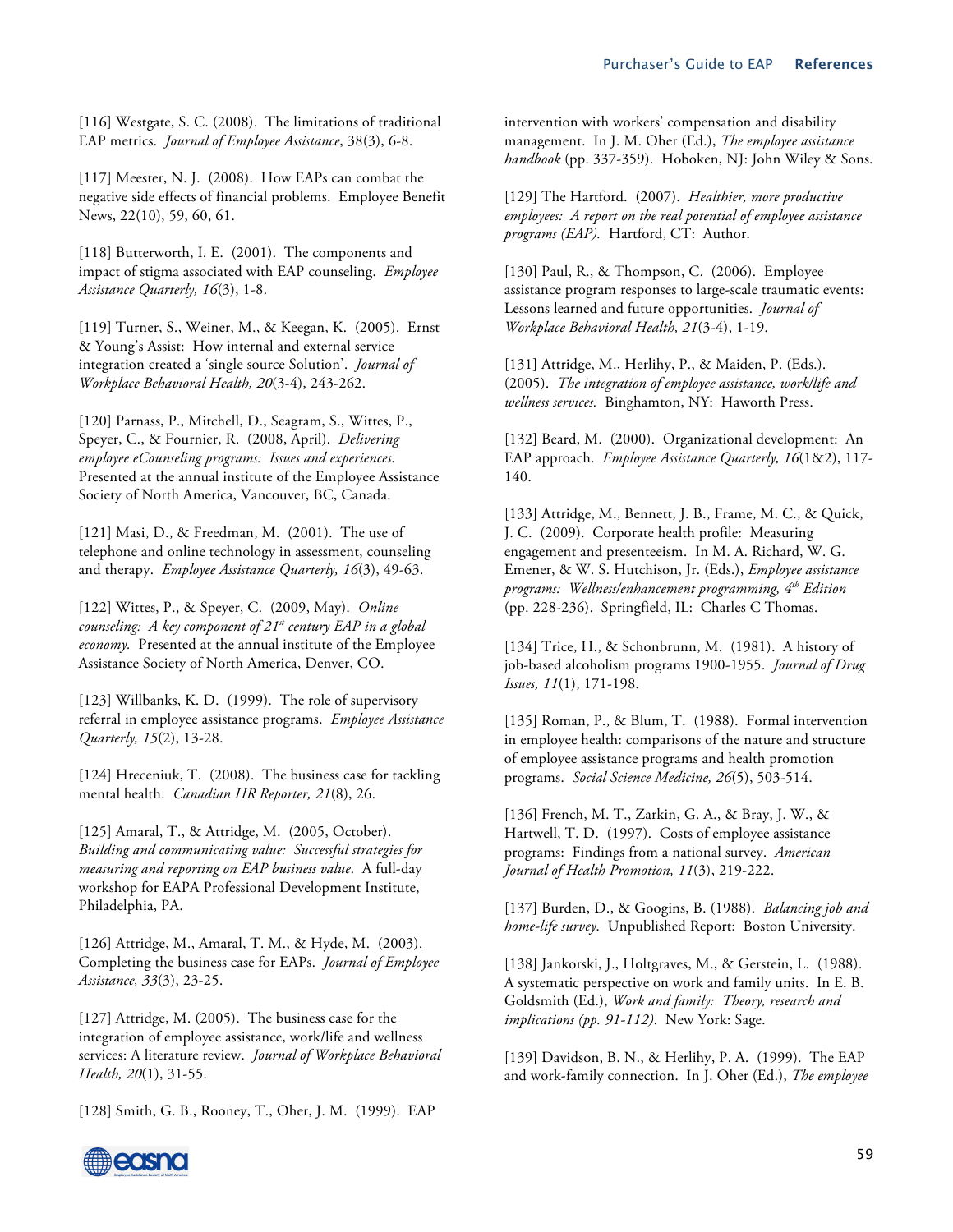[116] Westgate, S. C. (2008). The limitations of traditional EAP metrics. *Journal of Employee Assistance*, 38(3), 6-8.

[117] Meester, N. J. (2008). How EAPs can combat the negative side effects of financial problems. Employee Benefit News, 22(10), 59, 60, 61.

[118] Butterworth, I. E. (2001). The components and impact of stigma associated with EAP counseling. *Employee Assistance Quarterly, 16*(3), 1-8.

[119] Turner, S., Weiner, M., & Keegan, K. (2005). Ernst & Young's Assist: How internal and external service integration created a 'single source Solution'. *Journal of Workplace Behavioral Health, 20*(3-4), 243-262.

[120] Parnass, P., Mitchell, D., Seagram, S., Wittes, P., Speyer, C., & Fournier, R. (2008, April). *Delivering employee eCounseling programs: Issues and experiences*. Presented at the annual institute of the Employee Assistance Society of North America, Vancouver, BC, Canada.

[121] Masi, D., & Freedman, M. (2001). The use of telephone and online technology in assessment, counseling and therapy. *Employee Assistance Quarterly, 16*(3), 49-63.

[122] Wittes, P., & Speyer, C. (2009, May). *Online counseling: A key component of 21st century EAP in a global economy.* Presented at the annual institute of the Employee Assistance Society of North America, Denver, CO.

[123] Willbanks, K. D. (1999). The role of supervisory referral in employee assistance programs. *Employee Assistance Quarterly, 15*(2), 13-28.

[124] Hreceniuk, T. (2008). The business case for tackling mental health. *Canadian HR Reporter, 21*(8), 26.

[125] Amaral, T., & Attridge, M. (2005, October). *Building and communicating value: Successful strategies for measuring and reporting on EAP business value*. A full-day workshop for EAPA Professional Development Institute, Philadelphia, PA.

[126] Attridge, M., Amaral, T. M., & Hyde, M. (2003). Completing the business case for EAPs. *Journal of Employee Assistance, 33*(3), 23-25.

[127] Attridge, M. (2005). The business case for the integration of employee assistance, work/life and wellness services: A literature review. *Journal of Workplace Behavioral Health, 20*(1), 31-55.

[128] Smith, G. B., Rooney, T., Oher, J. M. (1999). EAP

intervention with workers' compensation and disability management. In J. M. Oher (Ed.), *The employee assistance handbook* (pp. 337-359). Hoboken, NJ: John Wiley & Sons.

[129] The Hartford. (2007). *Healthier, more productive employees: A report on the real potential of employee assistance programs (EAP).* Hartford, CT: Author.

[130] Paul, R., & Thompson, C. (2006). Employee assistance program responses to large-scale traumatic events: Lessons learned and future opportunities. *Journal of Workplace Behavioral Health, 21*(3-4), 1-19.

[131] Attridge, M., Herlihy, P., & Maiden, P. (Eds.). (2005). *The integration of employee assistance, work/life and wellness services.* Binghamton, NY: Haworth Press.

[132] Beard, M. (2000). Organizational development: An EAP approach. *Employee Assistance Quarterly, 16*(1&2), 117- 140.

[133] Attridge, M., Bennett, J. B., Frame, M. C., & Quick, J. C. (2009).Corporate health profile: Measuring engagement and presenteeism. In M. A. Richard, W. G. Emener, & W. S. Hutchison, Jr. (Eds.), *Employee assistance programs: Wellness/enhancement programming, 4th Edition* (pp. 228-236). Springfield, IL: Charles C Thomas.

[134] Trice, H., & Schonbrunn, M. (1981). A history of job-based alcoholism programs 1900-1955. *Journal of Drug Issues, 11*(1), 171-198.

[135] Roman, P., & Blum, T. (1988). Formal intervention in employee health: comparisons of the nature and structure of employee assistance programs and health promotion programs. *Social Science Medicine, 26*(5), 503-514.

[136] French, M. T., Zarkin, G. A., & Bray, J. W., & Hartwell, T. D. (1997). Costs of employee assistance programs: Findings from a national survey. *American Journal of Health Promotion, 11*(3), 219-222.

[137] Burden, D., & Googins, B. (1988). *Balancing job and home-life survey*. Unpublished Report: Boston University.

[138] Jankorski, J., Holtgraves, M., & Gerstein, L. (1988). A systematic perspective on work and family units. In E. B. Goldsmith (Ed.), *Work and family: Theory, research and implications (pp. 91-112)*. New York: Sage.

[139] Davidson, B. N., & Herlihy, P. A. (1999). The EAP and work-family connection. In J. Oher (Ed.), *The employee* 

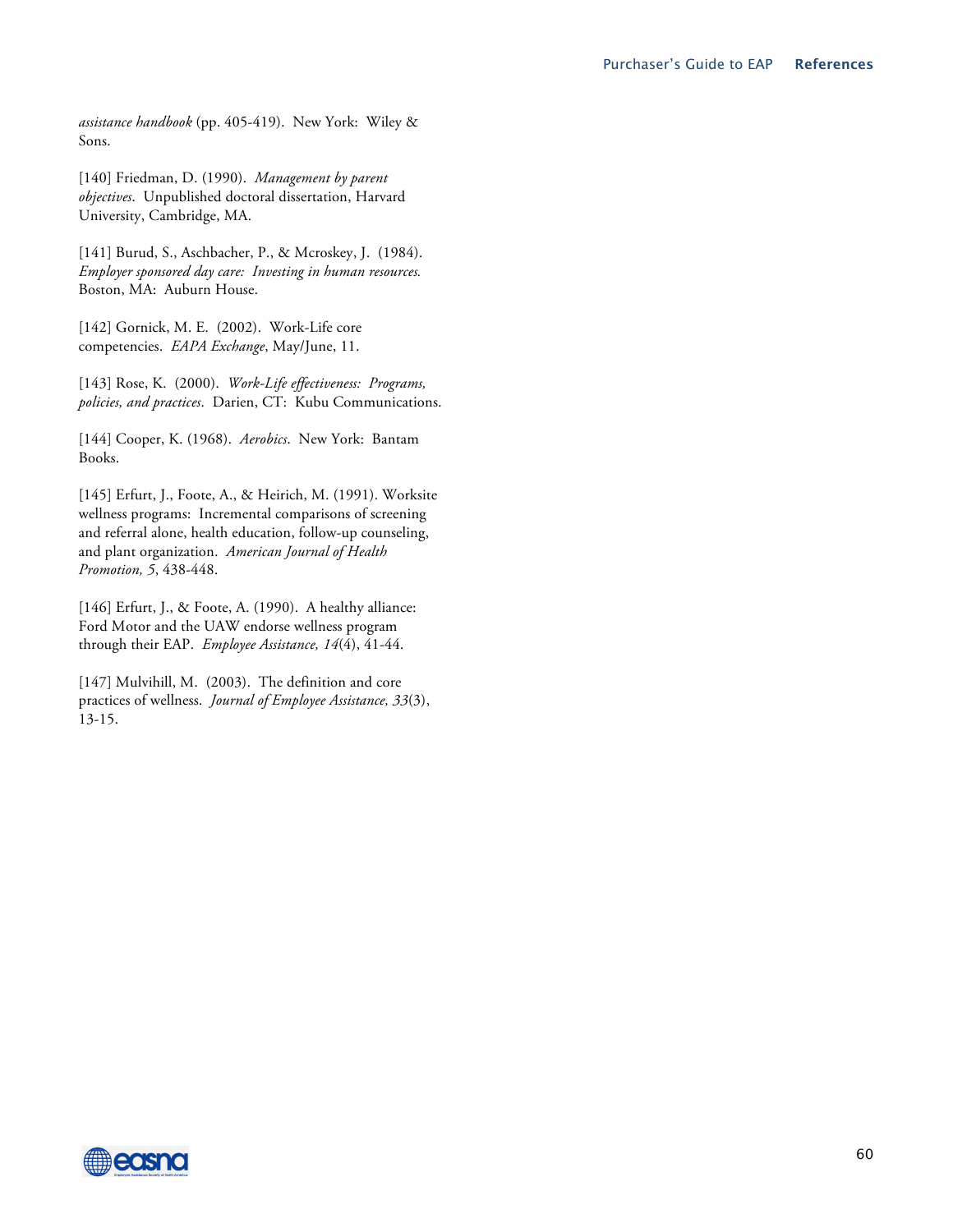*assistance handbook* (pp. 405-419). New York: Wiley & Sons.

[140] Friedman, D. (1990). *Management by parent objectives*. Unpublished doctoral dissertation, Harvard University, Cambridge, MA.

[141] Burud, S., Aschbacher, P., & Mcroskey, J. (1984). *Employer sponsored day care: Investing in human resources.* Boston, MA: Auburn House.

[142] Gornick, M. E. (2002). Work-Life core competencies. *EAPA Exchange*, May/June, 11.

[143] Rose, K. (2000). *Work-Life effectiveness: Programs, policies, and practices*. Darien, CT: Kubu Communications.

[144] Cooper, K. (1968). *Aerobics*. New York: Bantam Books.

[145] Erfurt, J., Foote, A., & Heirich, M. (1991). Worksite wellness programs: Incremental comparisons of screening and referral alone, health education, follow-up counseling, and plant organization. *American Journal of Health Promotion, 5*, 438-448.

[146] Erfurt, J., & Foote, A. (1990). A healthy alliance: Ford Motor and the UAW endorse wellness program through their EAP. *Employee Assistance, 14*(4), 41-44.

[147] Mulvihill, M. (2003). The definition and core practices of wellness. *Journal of Employee Assistance, 33*(3), 13-15.

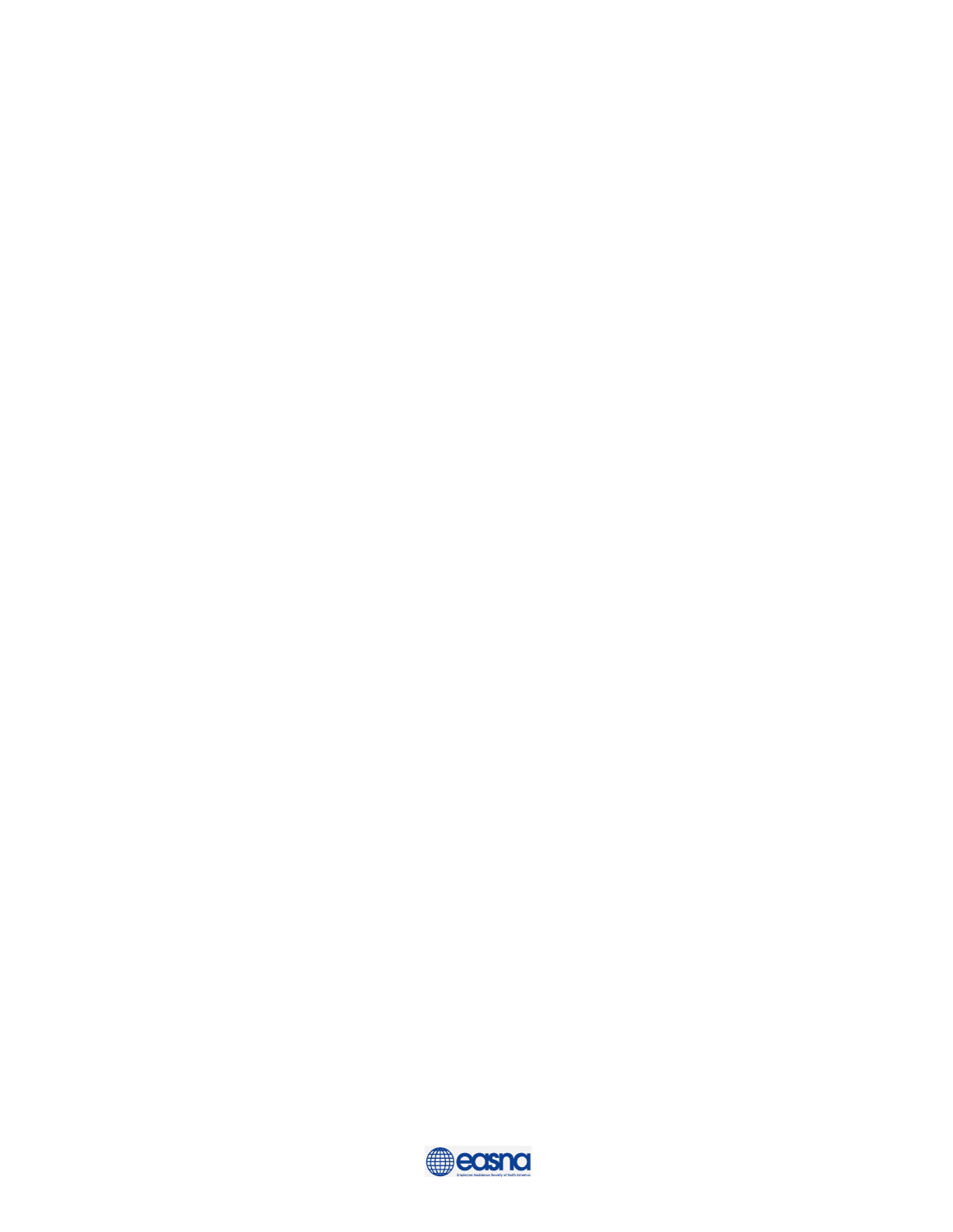